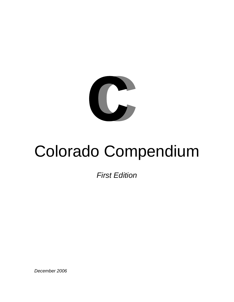

# Colorado Compendium

*First Edition* 

*December 2006*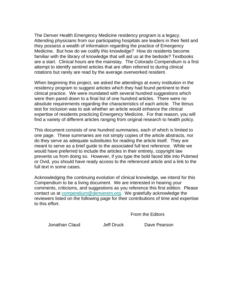The Denver Health Emergency Medicine residency program is a legacy. Attending physicians from our participating hospitals are leaders in their field and they possess a wealth of information regarding the practice of Emergency Medicine. But how do we codify this knowledge? How do residents become familiar with the library of knowledge that will aid us at the bedside? Textbooks are a start. Clinical hours are the mainstay. The Colorado Compendium is a first attempt to identify sentinel articles that are often referred to during clinical rotations but rarely are read by the average overworked resident.

When beginning this project, we asked the attendings at every institution in the residency program to suggest articles which they had found pertinent to their clinical practice. We were inundated with several hundred suggestions which were then pared down to a final list of one hundred articles. There were no absolute requirements regarding the characteristics of each article. The litmus test for inclusion was to ask whether an article would enhance the clinical expertise of residents practicing Emergency Medicine. For that reason, you will find a variety of different articles ranging from original research to health policy.

This document consists of one hundred summaries, each of which is limited to one page. These summaries are not simply copies of the article abstracts, nor do they serve as adequate substitutes for reading the article itself. They are meant to serve as a brief guide to the associated full text reference. While we would have preferred to include the articles in their entirety, copyright law prevents us from doing so. However, if you type the bold faced title into Pubmed or Ovid, you should have ready access to the referenced article and a link to the full text in some cases.

Acknowledging the continuing evolution of clinical knowledge, we intend for this Compendium to be a living document. We are interested in hearing your comments, criticisms, and suggestions as you reference this first edition. Please contact us at [compendium@denverem.org](mailto:compendium@denverem.org). We gratefully acknowledge the reviewers listed on the following page for their contributions of time and expertise to this effort.

From the Editors

Jonathan Claud Jeff Druck Dave Pearson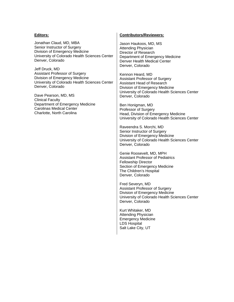#### **Editors:**

Jonathan Claud, MD, MBA Senior Instructor of Surgery Division of Emergency Medicine University of Colorado Health Sciences Center Denver, Colorado

Jeff Druck, MD Assistant Professor of Surgery Division of Emergency Medicine University of Colorado Health Sciences Center Denver, Colorado

Dave Pearson, MD, MS Clinical Faculty Department of Emergency Medicine Carolinas Medical Center Charlotte, North Carolina

#### **Contributors/Reviewers:**

Jason Haukoos, MD, MS Attending Physician Director of Research Department of Emergency Medicine Denver Health Medical Center Denver, Colorado

Kennon Heard, MD Assistant Professor of Surgery Assistant Head of Research Division of Emergency Medicine University of Colorado Health Sciences Center Denver, Colorado

Ben Honigman, MD Professor of Surgery Head, Division of Emergency Medicine University of Colorado Health Sciences Center

Raveendra S. Morchi, MD Senior Instructor of Surgery Division of Emergency Medicine University of Colorado Health Sciences Center Denver, Colorado

Genie Roosevelt, MD, MPH Assistant Professor of Pediatrics Fellowship Director Section of Emergency Medicine The Children's Hospital Denver, Colorado

Fred Severyn, MD Assistant Professor of Surgery Division of Emergency Medicine University of Colorado Health Sciences Center Denver, Colorado

Kurt Whitaker, MD Attending Physician Emergency Medicine LDS Hospital Salt Lake City, UT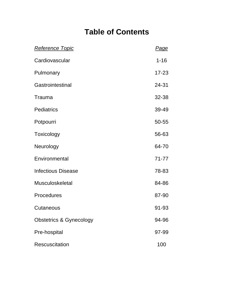# **Table of Contents**

| <u>Reference Topic</u>             | <b>Page</b> |
|------------------------------------|-------------|
| Cardiovascular                     | $1 - 16$    |
| Pulmonary                          | $17 - 23$   |
| Gastrointestinal                   | 24-31       |
| Trauma                             | 32-38       |
| <b>Pediatrics</b>                  | 39-49       |
| Potpourri                          | 50-55       |
| Toxicology                         | 56-63       |
| Neurology                          | 64-70       |
| Environmental                      | $71 - 77$   |
| <b>Infectious Disease</b>          | 78-83       |
| <b>Musculoskeletal</b>             | 84-86       |
| <b>Procedures</b>                  | 87-90       |
| Cutaneous                          | 91-93       |
| <b>Obstetrics &amp; Gynecology</b> | 94-96       |
| Pre-hospital                       | 97-99       |
| <b>Rescuscitation</b>              | 100         |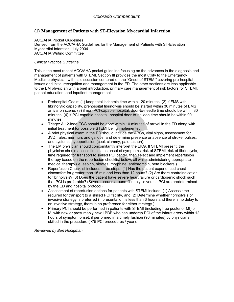# **(1) Management of Patients with ST-Elevation Myocardial Infarction.**

#### ACC/AHA Pocket Guidelines Derived from the ACC/AHA Guidelines for the Management of Patients with ST-Elevation Myocardial Infarction, July 2004 ACC/AHA Writing Committee

# *Clinical Practice Guideline*

This is the most recent ACC/AHA pocket guideline focusing on the advances in the diagnosis and management of patients with STEMI. Section III provides the most utility to the Emergency Medicine physician with its discussion centered on the "Onset of STEMI" covering pre-hospital issues and initial recognition and management in the ED. The other sections are less applicable to the EM physician with a brief introduction, primary care management of risk factors for STEMI, patient education, and inpatient management.

- Prehospital Goals: (1) keep total ischemic time within 120 minutes, (2) if EMS with fibrinolytic capability, prehospital fibrinolysis should be started within 30 minutes of EMS arrival on scene, (3) if non-PCI-capable hospital, door-to-needle time should be within 30 minutes, (4) if PCI-capable hospital, hospital door-to-balloon time should be within 90 minutes.
- Triage: A 12-lead ECG should be done within 10 minutes of arrival in the ED along with initial treatment for possible STEMI being implemented.
- A brief physical exam in the ED should include the ABCs, vital signs, assessment for JVD, rales, murmurs and gallops, and determine presence or absence of stroke, pulses, and systemic hypoperfusion (cool, clammy, pale, ashen).
- The EM physician should concomitantly interpret the EKG. If STEMI present, the physician should assess time since onset of symptoms, risk of STEMI, risk of fibrinolysis, time required for transport to skilled PCI center, then select and implement reperfusion therapy based on the reperfusion checklist below, all while administering appropriate medical therapy (ie: aspirin, nitrates, morphine, antithrombin, beta blockers.)
- Reperfusion Checklist includes three steps: (1) Has the patient experienced chest discomfort for greater than 15 min and less than 12 hours? (2) Are there contraindication to fibrinolysis? (3) Does the patient have severe heart failure or cardiogenic shock such that PCI is preferable? (Several issues around fibrinolysis versus PCI are predetermined by the ED and hospital protocol).
- Assessment of reperfusion options for patients with STEMI include: (1) Assess time required for transport to a skilled PCI facility, and (2) Determine whether fibrinolysis or invasive strategy is preferred (If presentation is less than 3 hours and there is no delay to an invasive strategy, there is no preference for either strategy.)
- Primary PCI should be performed in patients with STEMI (including true posterior MI) or MI with new or presumably new LBBB who can undergo PCI of the infarct artery within 12 hours of symptom onset, if performed in a timely fashion (90 minutes) by physicians skilled in the procedure (>75 PCI procedures / year).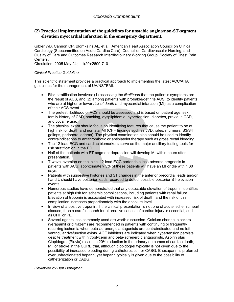# **(2) Practical implementation of the guidelines for unstable angina/non-ST-segment elevation myocardial infarction in the emergency department.**

[Gibler WB,](http://www.ncbi.nlm.nih.gov/entrez/query.fcgi?db=pubmed&cmd=Search&itool=pubmed_Abstract&term=%22Gibler+WB%22%5BAuthor%5D) [Cannon CP,](http://www.ncbi.nlm.nih.gov/entrez/query.fcgi?db=pubmed&cmd=Search&itool=pubmed_Abstract&term=%22Cannon+CP%22%5BAuthor%5D) [Blomkalns AL,](http://www.ncbi.nlm.nih.gov/entrez/query.fcgi?db=pubmed&cmd=Search&itool=pubmed_Abstract&term=%22Blomkalns+AL%22%5BAuthor%5D) et al; [American Heart Association Council on Clinical](http://www.ncbi.nlm.nih.gov/entrez/query.fcgi?db=pubmed&cmd=Search&itool=pubmed_Abstract&term=%22American+Heart+Association+Council+on+Clinical+Cardiology+%28Subcommittee+on+Acute+Cardiac+Care%29%22%5BCorporate+Author%5D)  [Cardiology \(Subcommittee on Acute Cardiac Care\)](http://www.ncbi.nlm.nih.gov/entrez/query.fcgi?db=pubmed&cmd=Search&itool=pubmed_Abstract&term=%22American+Heart+Association+Council+on+Clinical+Cardiology+%28Subcommittee+on+Acute+Cardiac+Care%29%22%5BCorporate+Author%5D); [Council on Cardiovascular Nursing, and](http://www.ncbi.nlm.nih.gov/entrez/query.fcgi?db=pubmed&cmd=Search&itool=pubmed_Abstract&term=%22Council+on+Cardiovascular+Nursing%2C+and+Quality+of+Care+and+Outcomes+Research+Interdisciplinary+Working+Group%22%5BCorporate+Author%5D)  [Quality of Care and Outcomes Research Interdisciplinary Working Group](http://www.ncbi.nlm.nih.gov/entrez/query.fcgi?db=pubmed&cmd=Search&itool=pubmed_Abstract&term=%22Council+on+Cardiovascular+Nursing%2C+and+Quality+of+Care+and+Outcomes+Research+Interdisciplinary+Working+Group%22%5BCorporate+Author%5D); [Society of Chest Pain](http://www.ncbi.nlm.nih.gov/entrez/query.fcgi?db=pubmed&cmd=Search&itool=pubmed_Abstract&term=%22Society+of+Chest+Pain+Centers%22%5BCorporate+Author%5D)  [Centers](http://www.ncbi.nlm.nih.gov/entrez/query.fcgi?db=pubmed&cmd=Search&itool=pubmed_Abstract&term=%22Society+of+Chest+Pain+Centers%22%5BCorporate+Author%5D).

Circulation. 2005 May 24;111(20):2699-710.

#### *Clinical Practice Guideline*

This scientific statement provides a practical approach to implementing the latest ACC/AHA guidelines for the management of UA/NSTEMI.

- Risk stratification involves: (1) assessing the *likelihood* that the patient's symptoms are the result of ACS, and (2) among patients with probable/definite ACS, to identify patients who are at higher or lower *risk of death* and myocardial infarction (MI) as a complication of their ACS event.
- The pretest likelihood of ACS should be assessed and is based on patient age, sex, family history of CAD, smoking, dysplipidemia, hypertension, diabetes, previous CAD, and cocaine use.
- The physical exam should focus on identifying features that cause the patient to be at high risk for death and nonfatal MI (CHF findings such as JVD, rales, murmurs, S3/S4 gallops, peripheral edema). The physical examination also should be used to identify contraindications to antithrombotic or antiplatelet therapy such as gross rectal bleeding.
- The 12-lead ECG and cardiac biomarkers serve as the major ancillary testing tools for risk stratification in the ED.
- Half of the patients with ST-segment depression will develop MI within hours after presentation.
- T-wave inversion on the initial 12-lead ECG portends a less-adverse prognosis in patients with ACS; approximately 5% of these patients will have an MI or die within 30 days.
- Patients with suggestive histories and ST changes in the anterior precordial leads and/or I and L should have posterior leads recorded to detect possible posterior ST-elevation events.
- Numerous studies have demonstrated that any detectable elevation of troponin identifies patients at high risk for ischemic complications, including patients with renal failure. Elevation of troponin is associated with increased risk of death, and the risk of this complication increases proportionately with the absolute level.
- In view of a positive troponin, if the clinical presentation is not one of acute ischemic heart disease, then a careful search for alternative causes of cardiac injury is essential, such as CHF or PE.
- Several agents less commonly used are worth discussion. Calcium channel blockers (verapamil or diltiazem) are recommended in patients with continuing or frequently recurring ischemia when beta-adrenergic antagonists are contraindicated and no left ventricular dysfunction exists. ACE inhibitors are indicated when hypertension persists despite treatment with nitroglycerin and beta-adrenergic antagonists. Aspirin plus Clopidogrel (Plavix) results in 20% reduction in the primary outcomes of cardiac death, MI, or stroke in the CURE trial, although clopidogrel typically is not given due to the possibility of increased bleeding during catheterization or CABG. Enoxaparin is preferred over unfractionated heparin, yet heparin typically is given due to the possibility of catheterization or CABG.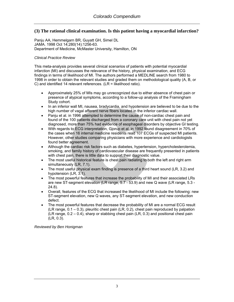# **(3) The rational clinical examination. Is this patient having a myocardial infarction?**

Panju AA, Hemmelgarn BR, Guyatt GH, Simel DL JAMA. 1998 Oct 14;280(14):1256-63. Department of Medicine, McMaster University, Hamilton, ON

#### *Clinical Practice Review*

This meta-analysis provides several clinical scenarios of patients with potential myocardial infarction (MI) and discusses the relevance of the history, physical examination, and ECG findings in terms of likelihood of MI. The authors performed a MEDLINE search from 1980 to 1998 in order to obtain the relevant studies and graded them on methodological quality (A, B, or C) and identified 14 relevant references. (LR = likelihood ratio).

- Approximately 25% of MIs may go unrecognized due to either absence of chest pain or presence of atypical symptoms, according to a follow-up analysis of the Framingham Study cohort.
- In an inferior wall MI, nausea, bradycardia, and hypotension are believed to be due to the high number of vagal afferent nerve fibers located in the inferior cardiac wall.
- Panju et al. in 1996 attempted to determine the cause of non-cardiac chest pain and found of the 100 patients discharged from a coronary care unit with chest pain not yet diagnosed, more than 75% had evidence of esophageal disorders by objective GI testing.
- With regards to ECG interpretation, Gjorup et al. in 1992 found disagreement in 70% of the cases when 16 internal medicine residents read 107 ECGs of suspected MI patients. However, other studies comparing physicians with more experience and cardiologists found better agreement.
- Although the cardiac risk factors such as diabetes, hypertension, hypercholesterolemia, smoking, and family history of cardiovascular disease are frequently presented in patients with chest pain, there is little data to support their diagnostic value.
- The most useful historical feature is chest pain radiating to both the left and right arm simultaneously (LR, 7.1).
- The most useful physical exam finding is presence of a third heart sound (LR, 3.2) and hypotension (LR, 3.1).
- The most powerful features that increase the probability of MI and their associated LRs are new ST-segment elevation (LR range, 5.7 - 53.9) and new Q wave (LR range, 5.3 - 24.8).
- Overall, features of the ECG that increased the likelihood of MI include the following: new ST-segment elevation, new Q waves, any ST-segment elevation, and new conduction defect.
- The most powerful features that decrease the probability of MI are a normal ECG result (LR range, 0.1 – 0.3), pleuritic chest pain (LR, 0.2), chest pain reproduced by palpation (LR range, 0.2 – 0.4), sharp or stabbing chest pain (LR, 0.3) and positional chest pain (LR, 0.3).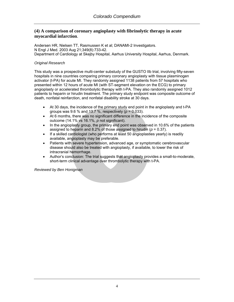# **(4) A comparison of coronary angioplasty with fibrinolytic therapy in acute myocardial infarction**.

[Andersen HR](http://www.ncbi.nlm.nih.gov/entrez/query.fcgi?db=pubmed&cmd=Search&itool=pubmed_Abstract&term=%22Andersen+HR%22%5BAuthor%5D), [Nielsen TT,](http://www.ncbi.nlm.nih.gov/entrez/query.fcgi?db=pubmed&cmd=Search&itool=pubmed_Abstract&term=%22Nielsen+TT%22%5BAuthor%5D) [Rasmussen K](http://www.ncbi.nlm.nih.gov/entrez/query.fcgi?db=pubmed&cmd=Search&itool=pubmed_Abstract&term=%22Rasmussen+K%22%5BAuthor%5D) et al; [DANAMI-2 Investigators](http://www.ncbi.nlm.nih.gov/entrez/query.fcgi?db=pubmed&cmd=Search&itool=pubmed_Abstract&term=%22DANAMI%2D2+Investigators%22%5BCorporate+Author%5D). N Engl J Med. 2003 Aug 21;349(8):733-42. Department of Cardiology at Skejby Hospital, Aarhus University Hospital, Aarhus, Denmark.

#### *Original Research*

This study was a prospective multi-center substudy of the GUSTO IIb trial, involving fifty-seven hospitals in nine countries comparing primary coronary angioplasty with tissue plasminogen activator (t-PA) for acute MI. They randomly assigned 1138 patients from 57 hospitals who presented within 12 hours of acute MI (with ST-segment elevation on the ECG) to primary angioplasty or accelerated thrombolytic therapy with t-PA. They also randomly assigned 1012 patients to heparin or hirudin treatment. The primary study endpoint was composite outcome of death, nonfatal reinfarction, and nonfatal disability stroke at 30 days.

- At 30 days, the incidence of the primary study end point in the angioplasty and t-PA groups was 9.6 % and 13.7 %, respectively (*p* = 0.033).
- At 6 months, there was no significant difference in the incidence of the composite outcome (14.1% vs 16.1%, *p* not significant).
- In the angioplasty group, the primary end point was observed in 10.6% of the patients assigned to heparin and 8.2% of those assigned to hirudin (*p* = 0.37).
- If a skilled cardiologist (who performs at least 50 angioplasties yearly) is readily available, angioplasty may be preferable.
- Patients with severe hypertension, advanced age, or symptomatic cerebrovascular disease should also be treated with angioplasty, if available, to lower the risk of intracranial hemorrhage.
- Author's conclusion: The trial suggests that angioplasty provides a small-to-moderate, short-term clinical advantage over thrombolytic therapy with t-PA.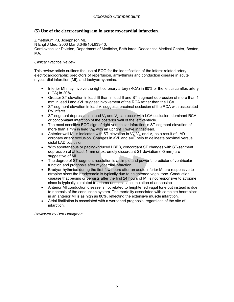# **(5) Use of the electrocardiogram in acute myocardial infarction***.*

Zimetbaum PJ, Josephson ME. N Engl J Med. 2003 Mar 6;348(10):933-40. Cardiovascular Division, Department of Medicine, Beth Israel Deaconess Medical Center, Boston, MA.

#### *Clinical Practice Review*

This review article outlines the use of ECG for the identification of the infarct-related artery, electrocardiographic predictors of reperfusion, arrhythmias and conduction disease in acute myocardial infarction (MI), and tachyarrhythmias.

- Inferior MI may involve the right coronary artery (RCA) in 80% or the left circumflex artery (LCA) in 20%.
- Greater ST elevation in lead III than in lead II and ST-segment depression of more than 1 mm in lead I and aVL suggest involvement of the RCA rather than the LCA.
- ST-segment elevation in lead  $V_1$  suggests proximal occlusion of the RCA with associated RV infarct.
- ST-segment depression in lead  $V_1$  and  $V_2$  can occur with LCA occlusion, dominant RCA, or concomitant infarction of the posterior wall of the left ventricle.
- The most sensitive ECG sign of right ventricular infarction is ST-segment elevation of more than 1 mm in lead  $V_{4R}$  with an upright T wave in that lead.
- Anterior wall MI is indicated with ST-elevation in  $V_1$ ,  $V_2$ , and  $V_3$  as a result of LAD coronary artery occlusion. Changes in aVL and aVF help to delineate proximal versus distal LAD occlusion.
- With spontaneous or pacing-induced LBBB, concordant ST changes with ST-segment depression of at least 1 mm or extremely discordant ST deviation (>5 mm) are suggestive of MI.
- The degree of ST-segment resolution is a simple and powerful predictor of ventricular function and prognosis after myocardial infarction.
- Bradyarrhythmias during the first few hours after an acute inferior MI are responsive to atropine since the bradycardia is typically due to heightened vagal tone. Conduction disease that begins or persists after the first 24 hours of MI is not responsive to atropine since is typically is related to edema and local accumulation of adenosine.
- Anterior MI conduction disease is not related to heightened vagal tone but instead is due to necrosis of the conduction system. The mortality associated with complete heart block in an anterior MI is as high as 80%, reflecting the extensive muscle infarction.
- Atrial fibrillation is associated with a worsened prognosis, regardless of the site of infarction.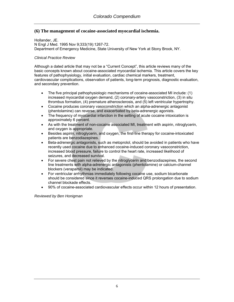# **(6) The management of cocaine-associated myocardial ischemia.**

Hollander, JE. N Engl J Med. 1995 Nov 9;333(19):1267-72. Department of Emergency Medicine, State University of New York at Stony Brook, NY.

#### *Clinical Practice Review*

Although a dated article that may not be a "Current Concept", this article reviews many of the basic concepts known about cocaine-associated myocardial ischemia. This article covers the key features of pathophysiology, initial evaluation, cardiac chemical markers, treatment, cardiovascular complications, observation of patients, long-term prognosis, diagnostic evaluation, and secondary prevention.

- The five principal pathophysiologic mechanisms of cocaine-associated MI include: (1) increased myocardial oxygen demand, (2) coronary-artery vasoconstriction, (3) in situ thrombus formation, (4) premature atherosclerosis, and (5) left ventricular hypertrophy.
- Cocaine produces coronary vasoconstriction which an alpha-adrenergic antagonist (phentolamine) can reverse, and exacerbated by beta-adrenergic agonists.
- The frequency of myocardial infarction in the setting of acute cocaine intoxication is approximately 6 percent.
- As with the treatment of non-cocaine associated MI, treatment with aspirin, nitroglycerin, and oxygen is appropriate.
- Besides aspirin, nitroglycerin, and oxygen, the first-line therapy for cocaine-intoxicated patients are benzodiazepines.
- Beta-adrenergic antagonists, such as metoprolol, should be avoided in patients who have recently used cocaine due to enhanced cocaine-induced coronary vasoconstriction, increased blood pressure, failure to control the heart rate, increased likelihood of seizures, and decreased survival.
- For severe chest pain not relieved by the nitroglycerin and benzodiazepines, the second line treatments with alpha-adrenergic antagonists (phentolamine) or calcium-channel blockers (verapamil) may be indicated.
- For ventricular arrhythmias immediately following cocaine use, sodium bicarbonate should be considered since it reverses cocaine-induced QRS prolongation due to sodium channel blockade effects.
- 90% of cocaine-associated cardiovascular effects occur within 12 hours of presentation.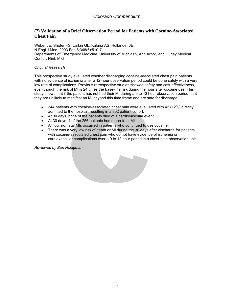# **(7) Validation of a Brief Observation Period for Patients with Cocaine-Associated Chest Pain***.*

[Weber JE,](http://www.ncbi.nlm.nih.gov/entrez/query.fcgi?db=pubmed&cmd=Search&itool=pubmed_Abstract&term=%22Weber+JE%22%5BAuthor%5D) [Shofer FS,](http://www.ncbi.nlm.nih.gov/entrez/query.fcgi?db=pubmed&cmd=Search&itool=pubmed_Abstract&term=%22Shofer+FS%22%5BAuthor%5D) [Larkin GL](http://www.ncbi.nlm.nih.gov/entrez/query.fcgi?db=pubmed&cmd=Search&itool=pubmed_Abstract&term=%22Larkin+GL%22%5BAuthor%5D), [Kalaria AS](http://www.ncbi.nlm.nih.gov/entrez/query.fcgi?db=pubmed&cmd=Search&itool=pubmed_Abstract&term=%22Kalaria+AS%22%5BAuthor%5D), [Hollander JE.](http://www.ncbi.nlm.nih.gov/entrez/query.fcgi?db=pubmed&cmd=Search&itool=pubmed_Abstract&term=%22Hollander+JE%22%5BAuthor%5D) N Engl J Med. 2003 Feb 6;348(6):510-7. Departments of Emergency Medicine, University of Michigan, Ann Arbor, and Hurley Medical Center, Flint, Mich.

#### *Original Research*

This prospective study evaluated whether discharging cocaine-associated chest pain patients with no evidence of ischemia after a 12-hour observation period could be done safely with a very low rate of complications. Previous retrospective studies showed safety and cost-effectiveness, even though the risk of MI is 24 times the base-line risk during the hour after cocaine use. This study shows that if the patient has not had their MI during a 9 to 12 hour observation period, that they are unlikely to manifest an MI beyond this time frame and are safe for discharge.

- 344 patients with cocaine-associated chest pain were evaluated with 42 (12%) directly admitted to the hospital, resulting in a 302 patient cohort.
- At 30 days, none of the patients died of a cardiovascular event.
- At 30 days, 4 of the 256 patients had a non-fatal MI.
- All four nonfatal MIs occurred in patients who continued to use cocaine.
- There was a very low risk of death or MI during the 30 days after discharge for patients with cocaine-associated chest pain who do not have evidence of ischemia or cardiovascular complications over a 9 to 12 hour period in a chest-pain observation unit.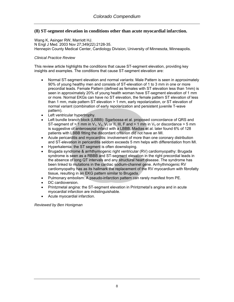# **(8) ST-segment elevation in conditions other than acute myocardial infarction.**

[Wang K,](http://www.ncbi.nlm.nih.gov/entrez/query.fcgi?db=pubmed&cmd=Search&itool=pubmed_Abstract&term=%22Wang+K%22%5BAuthor%5D) [Asinger RW](http://www.ncbi.nlm.nih.gov/entrez/query.fcgi?db=pubmed&cmd=Search&itool=pubmed_Abstract&term=%22Asinger+RW%22%5BAuthor%5D), [Marriott HJ.](http://www.ncbi.nlm.nih.gov/entrez/query.fcgi?db=pubmed&cmd=Search&itool=pubmed_Abstract&term=%22Marriott+HJ%22%5BAuthor%5D) N Engl J Med. 2003 Nov 27;349(22):2128-35. Hennepin County Medical Center, Cardiology Division, University of Minnesota, Minneapolis.

#### *Clinical Practice Review*

This review article highlights the conditions that cause ST-segment elevation, providing key insights and examples. The conditions that cause ST-segment elevation are:

- Normal ST-segment elevation and normal variants: Male Pattern is seen in approximately 90% of young healthy men and consists of ST-elevation of 1 to 3 mm in one or more precordial leads. Female Pattern (defined as females with ST elevation less than 1mm) is seen in approximately 20% of young health woman have ST-segment elevation of 1 mm or more. Normal EKGs can have no ST elevation, the female pattern ST elevation of less than 1 mm, male pattern ST elevation > 1 mm, early repolarization, or ST elevation of normal variant (combination of early repolarization and persistent juvenile T-wave pattern).
- Left ventricular hypertrophy.
- Left bundle branch block (LBBB): Sgarbossa et al. proposed concordance of QRS and ST-segment of > 1 mm in  $V_1$ ,  $V_2$ ,  $V_3$  or II, III, F and > 1 mm in  $V_5$  or discordance > 5 mm is suggestive of anteroseptal infarct with a LBBB. Madias et al. later found 6% of 128 patients with LBBB fitting the discordant criterion did not have an MI.
- Acute pericarditis and myocarditis: involvement of more than one coronary distribution and ST-elevation in pericarditis seldom exceeds 5 mm helps with differentiation from MI.
- Hyperkalemia: the ST segment is often downsloping.
- Brugada syndrome & arrhthymogenic right ventricular (RV) cardiomyopathy: Brugada syndrome is seen as a RBBB and ST-segment elevation in the right precordial leads in the absence of long QT intervals and any structural heart disease. The syndrome has been linked to mutations in the cardiac sodium-channel gene. Arrhythmogenic RV cardiomyopathy has as its hallmark the replacement of the RV myocardium with fibrofatty tissue, resulting in an EKG pattern similar to Brugada.
- Pulmonary embolism: A pseudo-infarction pattern can rarely manifest from PE.
- DC cardioversion.
- Printzmetal angina: the ST-segment elevation in Printzmetal's angina and in acute myocardial infarction are indistinguishable.
- Acute myocardial infarction.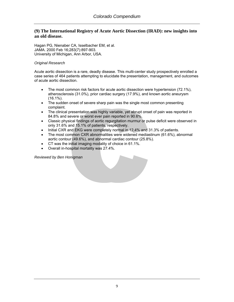# **(9) The International Registry of Acute Aortic Dissection (IRAD): new insights into an old disease.**

[Hagan PG,](http://www.ncbi.nlm.nih.gov/entrez/query.fcgi?db=pubmed&cmd=Search&itool=pubmed_Abstract&term=%22Hagan+PG%22%5BAuthor%5D) [Nienaber CA,](http://www.ncbi.nlm.nih.gov/entrez/query.fcgi?db=pubmed&cmd=Search&itool=pubmed_Abstract&term=%22Nienaber+CA%22%5BAuthor%5D) [Isselbacher EM,](http://www.ncbi.nlm.nih.gov/entrez/query.fcgi?db=pubmed&cmd=Search&itool=pubmed_Abstract&term=%22Isselbacher+EM%22%5BAuthor%5D) et al. JAMA. 2000 Feb 16;283(7):897-903. University of Michigan, Ann Arbor, USA.

#### *Original Research*

Acute aortic dissection is a rare, deadly disease. This multi-center study prospectively enrolled a case series of 464 patients attempting to elucidate the presentation, management, and outcomes of acute aortic dissection.

- The most common risk factors for acute aortic dissection were hypertension (72.1%), atherosclerosis (31.0%), prior cardiac surgery (17.9%), and known aortic aneurysm (16.1%).
- The sudden onset of severe sharp pain was the single most common presenting complaint.
- The clinical presentation was highly variable, yet abrupt onset of pain was reported in 84.8% and severe or worst ever pain reported in 90.6%.
- Classic physical findings of aortic regurgitation murmur or pulse deficit were observed in only 31.6% and 15.1% of patients, respectively.
- Initial CXR and EKG were completely normal in 12.4% and 31.3% of patients.
- The most common CXR abnormalities were widened mediastinum (61.6%), abnormal aortic contour (49.6%), and abnormal cardiac contour (25.8%).
- CT was the initial imaging modality of choice in 61.1%.
- Overall in-hospital mortality was 27.4%.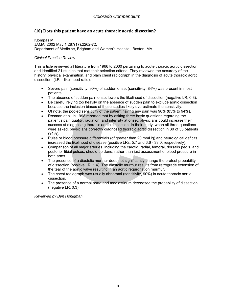# **(10) Does this patient have an acute thoracic aortic dissection?**

[Klompas M](http://www.ncbi.nlm.nih.gov/entrez/query.fcgi?db=pubmed&cmd=Search&itool=pubmed_Abstract&term=%22Klompas+M%22%5BAuthor%5D). JAMA. 2002 May 1;287(17):2262-72. Department of Medicine, Brigham and Women's Hospital, Boston, MA.

#### *Clinical Practice Review*

This article reviewed all literature from 1966 to 2000 pertaining to acute thoracic aortic dissection and identified 21 studies that met their selection criteria. They reviewed the accuracy of the history, physical examination, and plain chest radiograph in the diagnosis of acute thoracic aortic dissection. (LR = likelihood ratio).

- Severe pain (sensitivity, 90%) of sudden onset (sensitivity, 84%) was present in most patients.
- The absence of sudden pain onset lowers the likelihood of dissection (negative LR, 0.3).
- Be careful relying too heavily on the absence of sudden pain to exclude aortic dissection because the inclusion biases of these studies likely overestimate the sensitivity.
- Of note, the pooled sensitivity of the patient having any pain was 90% (85% to 94%).
- Rosman et al. in 1998 reported that by asking three basic questions regarding the patient's pain quality, radiation, and intensity at onset, physicians could increase their success at diagnosing thoracic aortic dissection. In their study, when all three questions were asked, physicians correctly diagnosed thoracic aortic dissection in 30 of 33 patients (91%).
- Pulse or blood pressure differentials (of greater than 20 mmHg) and neurological deficits increased the likelihood of disease (positive LRs, 5.7 and 6.6 - 33.0, respectively).
- Comparison of all major arteries, including the carotid, radial, femoral, dorsalis pedis, and posterior tibial pulses, should be done, rather than just assessment of blood pressure in both arms.
- The presence of a diastolic murmur does not significantly change the pretest probability of dissection (positive LR, 1.4). The diastolic murmur results from retrograde extension of the tear of the aortic valve resulting in an aortic regurgitation murmur.
- The chest radiograph was usually abnormal (sensitivity, 90%) in acute thoracic aortic dissection.
- The presence of a normal aorta and mediastinum decreased the probability of dissection (negative LR, 0.3).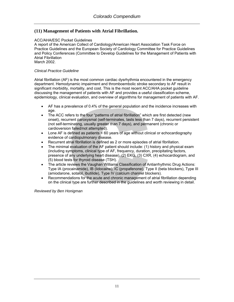# **(11) Management of Patients with Atrial Fibrillation.**

#### ACC/AHA/ESC Pocket Guidelines

A report of the American Collect of Cardiology/American Heart Association Task Force on Practice Guidelines and the European Society of Cardiology Committee for Practice Guidelines and Policy Conferences (Committee to Develop Guidelines for the Management of Patients with Atrial Fibrillation

March 2002.

#### *Clinical Practice Guideline*

Atrial fibrillation (AF) is the most common cardiac dysrhythmia encountered in the emergency department. Hemodynamic impairment and thromboembolic stroke secondary to AF result in significant morbidity, mortality, and cost. This is the most recent ACC/AHA pocket guideline discussing the management of patients with AF and provides a useful classification scheme, epidemiology, clinical evaluation, and overview of algorithms for management of patients with AF.

- AF has a prevalence of 0.4% of the general population and the incidence increases with age.
- The ACC refers to the four "patterns of atrial fibrillation" which are first detected (new onset), recurrent paroxysmal (self-terminates, lasts less than 7 days), recurrent persistent (not self-terminating, usually greater than 7 days), and permanent (chronic or cardioversion failed/not attempted).
- Lone AF is defined as patients  $\leq 60$  years of age without clinical or echocardiography evidence of cardiopulmonary disease.
- Recurrent atrial fibrillation is defined as 2 or more episodes of atrial fibrillation.
- The minimal evaluation of the AF patient should include: (1) history and physical exam (including symptoms, clinical type of AF, frequency, duration, precipitating factors, presence of any underlying heart disease), (2) EKG, (3) CXR, (4) echocardiogram, and (5) blood tests for thyroid disease (TSH).
- The article reviews the Vaughan Williams Classification of Antiarrhythmic Drug Actions: Type IA (procainamide), IB (lidocaine), IC (propafenone), Type II (beta blockers), Type III (amiodarone, sotalol, ibutilide), Type IV (calcium channel blockers).
- Recommendations for the acute and chronic management of atrial fibrillation depending on the clinical type are further described in the guidelines and worth reviewing in detail.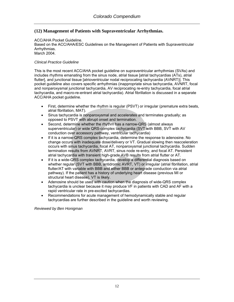# **(12) Management of Patients with Supraventricular Arrhythmias.**

#### ACC/AHA Pocket Guideline.

Based on the ACC/AHA/ESC Guidelines on the Management of Patients with Supraventricular Arrhythmias.

March 2004.

#### *Clinical Practice Guideline*

This is the most recent ACC/AHA pocket guideline on supraventricular arrhythmias (SVAs) and includes rhythms emanating from the sinus node, atrial tissue [atrial tachycardias (ATs), atrial flutter], and junctional tissue [atrioventricular nodal reciprocating tachycardia (AVNRT)]. This pocket guideline also covers specific arrhythmias (inappropriate sinus tachycardia, AVNRT, focal and nonparoxysmal junctional tachycardia, AV reciprocating re-entry tachycardia, focal atrial tachycardia, and macro-re-entrant atrial tachycardia). Atrial fibrillation is discussed in a separate ACC/AHA pocket guideline.

- First, determine whether the rhythm is regular (PSVT) or irregular (premature extra beats, atrial fibrillation, MAT).
- Sinus tachycardia is nonparoxysmal and accelerates and terminates gradually; as opposed to PSVT with abrupt onset and termination.
- Second, determine whether the rhythm has a narrow-QRS (almost always superventricular) or wide QRS-complex tachycardia (SVT with BBB, SVT with AV conduction over accessory pathway, ventricular tachycardia)
- If it is a narrow-QRS complex tachycardia, determine the response to adenosine. No change occurs with inadequate dose/delivery or VT. Gradual slowing then reacceleration occurs with sinus tachycardia, focal AT, nonparoxysmal junctional tachycardia. Sudden termination results from AVNRT, AVRT, sinus node re-entry, and focal AT. Persistent atrial tachycardia with transient high-grade AVB results from atrial flutter or AT.
- If it is a wide-QRS complex tachycardia, develop a differential diagnosis based on whether regular (SVT with BBB, antidromic AVRT, VT) or irregular (atrial fibrillation, atrial flutter/AT with variable with BBB and either BBB or antegrade conduction via atrial pathway). If the patient has a history of underlying heart disease (previous MI or structural heart disease), VT is likely.
- Adenosine should be used with caution when the diagnosis of wide-QRS complex tachycardia is unclear because it may produce VF in patients with CAD and AF with a rapid ventricular rate in pre-excited tachycardias.
- Recommendations for acute management of hemodynamically stable and regular tachycardias are further described in the guideline and worth reviewing.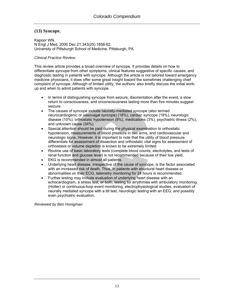# **(13) Syncope.**

[Kapoor WN.](http://www.ncbi.nlm.nih.gov/entrez/query.fcgi?db=pubmed&cmd=Search&itool=pubmed_Abstract&term=%22Kapoor+WN%22%5BAuthor%5D) N Engl J Med. 2000 Dec 21;343(25):1856-62. University of Pittsburgh School of Medicine, Pittsburgh, PA.

# *Clinical Practice Review*

This review article provides a broad overview of syncope. It provides details on how to differentiate syncope from other symptoms, clinical features suggestive of specific causes, and diagnostic testing in patients with syncope. Although the article is not tailored toward emergency medicine physicians, it does offer some great insight toward the sometimes challenging chief complaint of syncope. Although of limited utility, the authors' also briefly discuss the initial workup and when to admit patients with syncope.

- In terms of distinguishing syncope from seizure, disorientation after the event, a slow return to consciousness, and unconsciousness lasting more than five minutes suggest seizure.
- The causes of syncope include neurally-mediated syncope (also termed neurocardiogenic or vasovagal syncope) (18%), cardiac syncope (18%), neurologic disease (10%), orthostatic hypotension (8%), medications (3%), psychiatric illness (2%), and unknown cause (34%).
- Special attention should be paid during the physical examination to orthostatic hypotension, measurements of blood pressure in two arms, and cardiovascular and neurologic signs. However, it is important to note that the utility of blood pressure differentials for assessment of dissection and orthostatic vital signs for assessment of orthostasis or volume depletion is known to be extremely limited.
- Routine use of basic laboratory tests (complete blood counts, electrolytes, and tests of renal function and glucose level) is not recommended because of their low yield.
- EKG is recommended in almost all patients.
- Underlying heart disease, irrespective of the cause of syncope, is the factor associated with an increased risk of death. Thus, in patients with structural heart disease or abnormalities on their ECG, telemetry monitoring for 24 hours is recommended.
- Further testing may include evaluation of underlying heart disease with an echocardiogram, a stress test, or both, testing for arrythmias with ambulatory monitoring (Holter) or continuous-loop event monitoring, electrophysiological studies, evaluation of neurally mediated syncope with a tilt test, neurologic testing with an EEG, and possibly even psychiatric evaluation.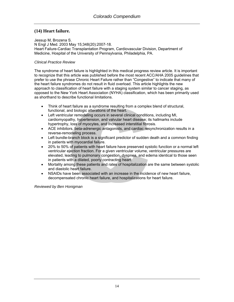# **(14) Heart failure.**

[Jessup M,](http://www.ncbi.nlm.nih.gov/entrez/query.fcgi?db=pubmed&cmd=Search&itool=pubmed_Abstract&term=%22Jessup+M%22%5BAuthor%5D) [Brozena S](http://www.ncbi.nlm.nih.gov/entrez/query.fcgi?db=pubmed&cmd=Search&itool=pubmed_Abstract&term=%22Brozena+S%22%5BAuthor%5D). N Engl J Med. 2003 May 15;348(20):2007-18. Heart Failure-Cardiac Transplantation Program, Cardiovascular Division, Department of Medicine, Hospital of the University of Pennsylvania, Philadelphia, PA.

# *Clinical Practice Review*

The syndrome of heart failure is highlighted in this medical progress review article. It is important to recognize that this article was published before the most recent ACC/AHA 2005 guidelines that prefer to use the phrase Chronic Heart Failure rather than "Congestive" to indicate that many of the heart failure syndromes do not result in fluid overload. This article highlights the new approach to classification of heart failure with a staging system similar to cancer staging, as opposed to the New York Heart Association (NYHA) classification, which has been primarily used as shorthand to describe functional limitations.

- Think of heart failure as a syndrome resulting from a complex blend of structural, functional, and biologic alterations of the heart.
- Left ventricular remodeling occurs in several clinical conditions, including MI, cardiomyopathy, hypertension, and valvular heart disease; its hallmarks include hypertrophy, loss of myocytes, and increased interstitial fibrosis.
- ACE inhibitors, beta-adrenergic antagonists, and cardiac resynchronization results in a reverse-remodeling process.
- Left bundle-branch block is a significant predictor of sudden death and a common finding in patients with myocardial failure.
- 20% to 50% of patients with heart failure have preserved systolic function or a normal left ventricular ejection fraction. For a given ventricular volume, ventricular pressures are elevated, leading to pulmonary congestion, dyspnea, and edema identical to those seen in patients with a dilated, poorly contracting heart.
- Mortality among these patients and rates of hospitalization are the same between systolic and diastolic heart failure.
- NSAIDs have been associated with an increase in the incidence of new heart failure, decompensated chronic heart failure, and hospitalizations for heart failure.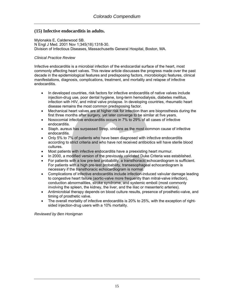# **(15) Infective endocarditis in adults.**

[Mylonakis E,](http://www.ncbi.nlm.nih.gov/entrez/query.fcgi?db=pubmed&cmd=Search&itool=pubmed_Abstract&term=%22Mylonakis+E%22%5BAuthor%5D) [Calderwood SB.](http://www.ncbi.nlm.nih.gov/entrez/query.fcgi?db=pubmed&cmd=Search&itool=pubmed_Abstract&term=%22Calderwood+SB%22%5BAuthor%5D) N Engl J Med. 2001 Nov 1;345(18):1318-30. Division of Infectious Diseases, Massachusetts General Hospital, Boston, MA.

#### *Clinical Practice Review*

Infective endocarditis is a microbial infection of the endocardial surface of the heart, most commonly affecting heart valves. This review article discusses the progress made over the past decade in the epidemiological features and predisposing factors, microbiologic features, clinical manifestations, diagnosis, complications, treatment, and mortality and relapse of infective endocarditis.

- In developed countries, risk factors for infective endocarditis of native valves include injection-drug use, poor dental hygiene, long-term hemodialysis, diabetes mellitus, infection with HIV, and mitral valve prolapse. In developing countries, rheumatic heart disease remains the most common predisposing factor.
- Mechanical heart valves are at higher risk for infection than are bioprosthesis during the first three months after surgery, yet later converge to be similar at five years.
- Nosocomial infective endocarditis occurs in 7% to 29% of all cases of infective endocarditis.
- Staph. aureus has surpassed Strep. viridans as the most common cause of infective endocarditis.
- Only 5% to 7% of patients who have been diagnosed with infective endocarditis according to strict criteria and who have not received antibiotics will have sterile blood cultures.
- Most patients with infective endocarditis have a preexisting heart murmur.
- In 2000, a modified version of the previously validated Duke Criteria was established.
- For patients with a low pre-test probability, a transthoracic echocardiogram is sufficient. For patients with a high pre-test probability, transesophageal echocardiogram is necessary if the transthoracic echocardiogram is normal.
- Complications of infective endocarditis include infection-induced valvular damage leading to congestive heart failure (aortic-valve more frequently than mitral-valve infection), conduction abnormalities, stroke syndrome, and systemic emboli (most commonly involving the spleen, the kidney, the liver, and the iliac or mesenteric arteries).
- Antimicrobial therapy depends on blood culture results, presence of prosthetic-valve, and timing of prosthetic valve.
- The overall mortality of infective endocarditis is 20% to 25%, with the exception of rightsided injection-drug users with a 10% mortality.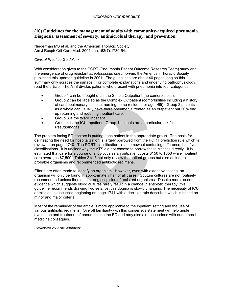# **(16) Guidelines for the management of adults with community-acquired pneumonia. Diagnosis, assessment of severity, antimicrobial therapy, and prevention.**

Niederman MS et al. and the American Thoracic Society Am J Respir Crit Care Med. 2001 Jun;163(7):1730-54.

#### *Clinical Practice Guideline*

With consideration given to the PORT (Pneumonia Patient Outcome Research Team) study and the emergence of drug resistant *streptococcus pneumoniae*, the American Thoracic Society published this updated guideline in 2001. The guidelines are about 40 pages long so this summary only scrapes the surface. For complete explanations and underlying pathophysiology, read the article. The ATS divides patients who present with pneumonia into four categories:

- Group 1 can be thought of as the Simple Outpatient (no comorbidities).
- Group 2 can be labeled as the Complex Outpatient (comorbidities including a history of cardiopulmonary disease, nursing home resident, or age >65). Group 2 patients as a whole can usually have there pneumonia treated as an outpatient but 20% end up returning and requiring inpatient care.
- Group 3 is the Ward Inpatient.
- Group 4 is the ICU Inpatient. Group 4 patients are at particular risk for *Pseudomonas*.

The problem facing ED doctors is putting each patient in the appropriate group. The basis for delineating the need for hospitalization is largely borrowed from the PORT prediction rule which is reviewed on page 1740. The PORT classification, in a somewhat confusing difference, has five classifications. It is unclear why the ATS did not choose to borrow these classes directly. It is estimated that care for a course of antibiotics as an outpatient costs \$150 to \$350 while inpatient care averages \$7,500. Tables 2 to 5 not only review the patient groups but also delineate probable organisms and recommended antibiotic regimens.

Efforts are often made to identify an organism. However, even with extensive testing, an organism will only be found in approximately half of all cases. Sputum cultures are not routinely recommended unless there is a strong suspicion of resistant organisms. Despite more recent evidence which suggests blood cultures rarely result in a change in antibiotic therapy, this guideline recommends drawing two sets, yet this dogma is slowly changing. The necessity of ICU admission is discussed beginning on page 1741 with a decision rule described which is based on minor and major criteria.

Most of the remainder of the article is more applicable to the inpatient setting and the use of various antibiotic regimens. Overall familiarity with this consensus statement will help guide evaluation and treatment of pneumonia in the ED and may also aid discussions with our internal medicine colleagues.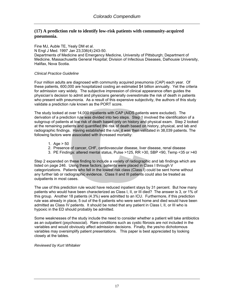# **(17) A prediction rule to identify low-risk patients with community-acquired pneumonia.**

Fine MJ, Auble TE, Yealy DM et al.

N Engl J Med. 1997 Jan 23;336(4):243-50.

Departments of Medicine and Emergency Medicine, University of Pittsburgh; Department of Medicine, Massachusetts General Hospital; Division of Infectious Diseases, Dalhousie University, Halifax, Nova Scotia.

#### *Clinical Practice Guideline*

Four million adults are diagnosed with community acquired pneumonia (CAP) each year. Of these patients, 600,000 are hospitalized costing an estimated \$4 billion annually. Yet the criteria for admission vary widely. The subjective impression of clinical appearance often guides the physician's decision to admit and physicians generally overestimate the risk of death in patients who present with pneumonia. As a result of this expensive subjectivity, the authors of this study validate a prediction rule known as the PORT score.

The study looked at over 14,000 inpatients with CAP (AIDS patients were excluded). The derivation of a prediction rule was divided into two steps. Step 1 involved the identification of a subgroup of patients at low risk of death based only on history and physical exam. Step 2 looked at the remaining patients and quantified the risk of death based on history, physical, and lab and radiographic findings. Having established the rule, it was then validated in 38,039 patients. The following factors were associated with increased mortality:

- 1. Age  $> 50$
- 2. Presence of cancer, CHF, cardiovascular disease, liver disease, renal disease
- 3. PE Findings: altered mental status, Pulse >125, RR >30, SBP <90, Temp <35 or >40

Step 2 expanded on these finding to include a variety of radiographic and lab findings which are listed on page 246. Using these factors, patients were placed in Class I through V categorizations. Patients who fell in the lowest risk class (Class I) could be sent home without any further lab or radiographic evidence. Class II and III patients could also be treated as outpatients in most cases.

The use of this prediction rule would have reduced inpatient stays by 31 percent. But how many patients who would have been characterized as Class I, II, or III died? The answer is 3, or 1% of this group. Another 18 patients (4.3%) were admitted to an ICU. Furthermore, if this prediction rule was already in place, 5 out of the 6 patients who were sent home and died would have been admitted as Class IV patients. It should be noted that any patient in Class I, II, or III who is hypoxic in the ED should probably be admitted.

Some weaknesses of the study include the need to consider whether a patient will take antibiotics as an outpatient (psychosocial). Rare conditions such as cystic fibrosis are not included in the variables and would obviously affect admission decisions. Finally, the yes/no dichotomous variables may oversimplify patient presentations. This paper is best appreciated by looking closely at the tables.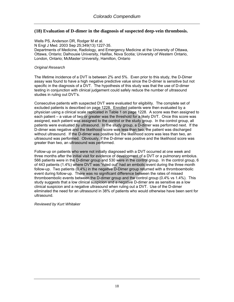# **(18) Evaluation of D-dimer in the diagnosis of suspected deep-vein thrombosis.**

Wells PS, Anderson DR, Rodger M et al. N Engl J Med. 2003 Sep 25;349(13):1227-35. Departments of Medicine, Radiology, and Emergency Medicine at the University of Ottawa, Ottawa, Ontario; Dalhousie University, Halifax, Nova Scotia; University of Western Ontario, London, Ontario; McMaster University, Hamilton, Ontario

#### *Original Research*

The lifetime incidence of a DVT is between 2% and 5%. Even prior to this study, the D-Dimer assay was found to have a high negative predictive value since the D-dimer is sensitive but not specific in the diagnosis of a DVT. The hypothesis of this study was that the use of D-dimer testing in conjunction with clinical judgement could safely reduce the number of ultrasound studies in ruling out DVT's.

Consecutive patients with suspected DVT were evaluated for eligibility. The complete set of excluded patients is described on page 1228. Enrolled patients were then evaluated by a physician using a clinical scale replicated in Table 1 on page 1228. A score was then assigned to each patient – a value of two or greater was the threshold for a likely DVT. Once this score was assigned, each patient was assigned to the control or the study group. In the control group, all patients were evaluated by ultrasound. In the study group, a D-dimer was performed next. If the D-dimer was negative and the likelihood score was less than two, the patient was discharged without ultrasound. If the D-dimer was positive but the likelihood score was less than two, an ultrasound was performed. Obviously, if the D-dimer was positive and the likelihood score was greater than two, an ultrasound was performed.

Follow-up on patients who were not initially diagnosed with a DVT occurred at one week and three months after the initial visit for evidence of development of a DVT or a pulmonary embolus. 566 patients were in the D-dimer group and 530 were in the control group. In the control group, 6 of 443 patients (1.4%) where DVT was "ruled out" had an embolic event during the three month follow-up. Two patients (0.4%) in the negative D-Dimer group returned with a thromboembolic event during follow-up. There was no significant difference between the rates of missed thromboembolic events between the D-dimer group and the control group (0.4% vs 1.4%). This study suggests that a low clinical suspicion and a negative D-dimer are as sensitive as a low clinical suspicion and a negative ultrasound when ruling out a DVT. Use of the D-dimer eliminated the need for an ultrasound in 38% of patients who would otherwise have been sent for ultrasound.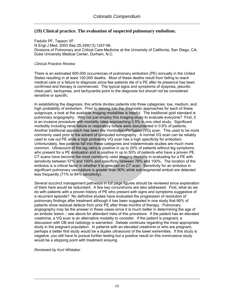# **(19) Clinical practice. The evaluation of suspected pulmonary embolism.**

Fedullo PF, Tapson VF. N Engl J Med. 2003 Sep 25;349(13):1247-56. Divisions of Pulmonary and Critical Care Medicine at the University of California, San Diego, CA; Duke University Medical Center, Durham, N.C.

#### *Clinical Practice Review*

There is an estimated 600,000 occurrences of pulmonary embolism (PE) annually in the United States resulting in at least 100,000 deaths. Most of these deaths result from failing to reach medical care or a failure to diagnosis since few patients die of a PE after its presence has been confirmed and therapy is commenced. The typical signs and symptoms of dyspnea, pleuritic chest pain, tachypnea, and tachycardia point to the diagnosis but should not be considered sensitive or specific.

In establishing the diagnosis, this article divides patients into three categories: low, medium, and high probability of embolism. Prior to delving into the diagnostic approaches for each of these subgroups, a look at the available imaging modalities is helpful. The traditional gold standard is pulmonary angiography. Why not just employ this imaging study to evaluate everyone? First, it is an invasive procedure with mortality rates approaching 0.5% in one cited study. Significant morbidity including renal failure or respiratory failure were documented in 0.8% of patients. Another traditional approach has been the Ventilation-Perfusion (VQ) scan. This used to be more commonly used prior to the advent of computed tomography. A normal VQ scan can be reliably used to rule out PE while a high probability VQ scan has a high specificity for embolism. Unfortunately, few patients fall into these categories and indeterminate studies are much more common. Ultrasound of the leg veins is positive in up to 20% of patients without leg symptoms who present for a PE evaluation and is positive in up to 50% of patients who have a proven PE. CT scans have become the most commonly used imaging modality in evaluating for a PE with sensitivity between 57% and 100% and specificity between 78% and 100%. The location of the embolus is a critical factor in whether it is detected on CT scan. Sensitivity for an embolus in significant pulmonary vasculature is greater than 90% while sub-segmental emboli are detected less frequently (71% to 84% sensitivity).

Several succinct management pathways in full page figures should be reviewed since explanation of them here would be redundant. A few key conundrums are also addressed. First, what do we do with patients with a proven history of PE who present with signs and symptoms suggestive of a recurrent episode? No definitive studies have evaluated the progression of resolution of pulmonary findings after treatment although it has been suggested in one study that 66% of patients show residual defects from prior PE after three months of therapy. Pulmonary angiography may be the answer in these cases since it is much better in determining the age of an embolic lesion – see above for attendant risks of this procedure. If the patient has an elevated creatinine, a VQ scan is an alternative modality to consider. If the patient is pregnant, a discussion with OB and radiology is warranted. Debate continues regarding the most appropriate study in the pregnant population. In patients with an elevated creatinine or who are pregnant, perhaps a better first study would be a duplex ultrasound of the lower extremities. If this study is negative, you still have to pursue further testing but a positive result on this noninvasive study would be a stopping point with treatment ensuing.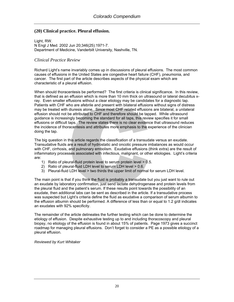# **(20) Clinical practice. Pleural effusion.**

Light, RW. N Engl J Med. 2002 Jun 20;346(25):1971-7. Department of Medicine, Vanderbilt University, Nashville, TN.

# *Clinical Practice Review*

Richard Light's name invariably comes up in discussions of pleural effusions. The most common causes of effusions in the United States are congestive heart failure (CHF), pneumonia, and cancer. The first part of the article describes aspects of the physical exam which are characteristic of a pleural effusion.

When should thoracentesis be performed? The first criteria is clinical significance. In this review, that is defined as an effusion which is more than 10 mm thick on ultrasound or lateral decubitus xray. Even smaller effusions without a clear etiology may be candidates for a diagnostic tap. Patients with CHF who are afebrile and present with bilateral effusions without signs of distress may be treated with diuresis alone. Since most CHF related effusions are bilateral, a unilateral effusion should not be attributed to CHF and therefore should be tapped. While ultrasound guidance is increasingly becoming the standard for all taps, this review specifies it for small effusions or difficult taps. The review states there is no clear evidence that ultrasound reduces the incidence of thoracentesis and attributes more emphasis to the experience of the clinician doing the tap.

The big question in this article regards the classification of a transudate versus an exudate. Transudative fluids are a result of hydrostatic and oncotic pressure imbalances as would occur with CHF, cirrhosis, and pulmonary embolism. Exudative effusions (think *ex*tra) are the result of inflammatory processes associated with infectious, malignant, or other etiologies. Light's criteria are:

- 1) Ratio of pleural-fluid protein level to serum protein level > 0.5.
- 2) Ratio of pleural-fluid LDH level to serum LDH level > 0.6.
- 3) Pleural-fluid LDH level > two thirds the upper limit of normal for serum LDH level.

The main point is that if you think the fluid is probably a transudate but you just want to rule out an exudate by laboratory confirmation, just send lactate dehydrogenase and protein levels from the pleural fluid and the patient's serum. If these results point towards the possibility of an exudate, then additional labs can be sent as described in the article. If a transudative process was suspected but Light's criteria define the fluid as exudative a comparison of serum albumin to the effusion albumin should be performed. A difference of less than or equal to 1.2 g/dl indicates an exudates with 92% specificity.

The remainder of the article delineates the further testing which can be done to determine the etiology of effusion. Despite exhaustive testing up to and including thoracoscopy and pleural biopsy, no etiology of the effusion is found in about 15% of patients. Page 1973 gives a succinct roadmap for managing pleural effusions. Don't forget to consider a PE as a possible etiology of a pleural effusion.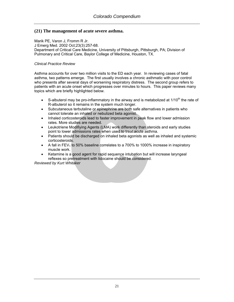# **(21) The management of acute severe asthma.**

Marik PE, Varon J, Fromm R Jr. J Emerg Med. 2002 Oct;23(3):257-68. Department of Critical Care Medicine, University of Pittsburgh, Pittsburgh, PA; Division of Pulmonary and Critical Care, Baylor College of Medicine, Houston, TX.

#### *Clinical Practice Review*

Asthma accounts for over two million visits to the ED each year. In reviewing cases of fatal asthma, two patterns emerge. The first usually involves a chronic asthmatic with poor control who presents after several days of worsening respiratory distress. The second group refers to patients with an acute onset which progresses over minutes to hours. This paper reviews many topics which are briefly highlighted below.

- S-albuterol may be pro-inflammatory in the airway and is metabolized at  $1/10^{th}$  the rate of R-albuterol so it remains in the system much longer.
- Subcutaneous terbutaline or epinephrine are both safe alternatives in patients who cannot tolerate an inhaled or nebulized beta agonist.
- Inhaled corticosteroids lead to faster improvement in peak flow and lower admission rates. More studies are needed.
- Leukotriene Modifiying Agents (LMA) work differently than steroids and early studies point to lower admissions rates when used to treat acute asthma.
- Patients should be discharged on inhaled beta agonists as well as inhaled and systemic corticosteroids.
- A fall in FEV<sub>1</sub> to 50% baseline correlates to a 700% to 1000% increase in inspiratory muscle work.
- Ketamine is a good agent for rapid sequence intubation but will increase laryngeal reflexes so pretreatment with lidocaine should be considered.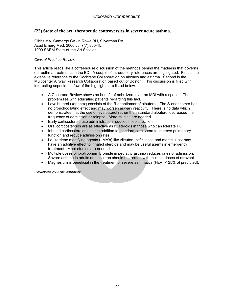# **(22) State of the art: therapeutic controversies in severe acute asthma.**

Gibbs MA, Camargo CA Jr, Rowe BH, Silverman RA. Acad Emerg Med. 2000 Jul;7(7):800-15. 1999 SAEM State-of-the-Art Session.

#### *Clinical Practice Review*

This article reads like a coffeehouse discussion of the methods behind the madness that governs our asthma treatments in the ED. A couple of introductory references are highlighted. First is the extensive reference to the Cochrane Collaboration on airways and asthma. Second is the Multicenter Airway Research Collaboration based out of Boston. This discussion is filled with interesting aspects – a few of the highlights are listed below:

- A Cochrane Review shows no benefit of nebulizers over an MDI with a spacer. The problem lies with educating patients regarding this fact.
- Levalbuterol (xopenex) consists of the R enantiomer of albuterol. The S-enantiomer has no bronchodilating effect and may worsen airwary reactivity. There is no data which demonstrates that the use of levalbuterol rather than standard albuterol decreased the frequency of admission or relapse. More studies are needed.
- Early corticosteroid use administration reduces hospitalization.
- Oral corticosteroids are as effective as IV steroids in those who can tolerate PO.
- Inhaled corticosteroids used in addition to standard care seem to improve pulmonary function and reduce admission rates.
- Leukotriene modifying agents (LMA's) like zileuton, zafirlukast, and montelukast may have an additive effect to inhaled steroids and may be useful agents in emergency treatment. More studies are needed.
- Multiple doses of ipratroprium bromide in pediatric asthma reduces rates of admission. Severe asthma in adults and children should be treated with multiple doses of atrovent.
- Magnesium is beneficial in the treatment of severe asthmatics (FEV<sub>1</sub>  $\leq$  25% of predicted).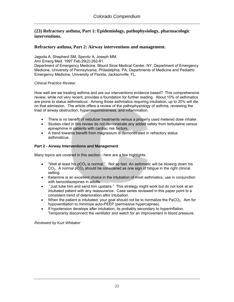# **(23) Refractory asthma, Part 1: Epidemiology, pathophysiology, pharmacologic interventions.**

# **Refractory asthma, Part 2: Airway interventions and management.**

Jagoda A, Shepherd SM, Spevitz A, Joseph MM. Ann Emerg Med. 1997 Feb;29(2):262-81. Department of Emergency Medicine, Mount Sinai Medical Center, NY; Department of Emergency Medicine, University of Pennsylvania, Philadelphia, PA; Departments of Medicine and Pediatric Emergency Medicine, University of Florida, Jacksonville, FL.

#### *Clinical Practice Review*

How well are we treating asthma and are our interventions evidence based? This comprehensive review, while not very recent, provides a foundation for further reading. About 10% of asthmatics are prone to status asthmaticus. Among those asthmatics requiring intubation, up to 20% will die on that admission. The article offers a review of the pathophysiology of asthma, reviewing the triad of airway obstruction, hyperresponsiveness, and inflammation.

- There is no benefit of nebulizer treatments versus a properly used metered dose inhaler.
- Studies cited in this review do not demonstrate any added safety from terbutaline versus epinephrine in patients with cardiac risk factors.
- A trend towards benefit from magnesium is demonstrated in refractory status asthmaticus.

#### **Part 2 - Airway Interventions and Management**

Many topics are covered in this section - here are a few highlights:

- "Well at least his  $pCO<sub>2</sub>$  is normal." Not so fast. An asthmatic will be blowing down his  $CO<sub>2</sub>$ . A normal pCO<sub>2</sub> should be considered as one sign of fatigue in the right clinical setting.
- Ketamine is an excellent choice in the intubation of most asthmatics, use in conjunction with benzodiazepines in adults.
- "Just tube him and send him upstairs." This strategy might work but do not look at an intubated patient with any reassurance. Case series reviewed in this paper point to a consistent trend of deterioration *after* intubation.
- When the patient is intubated, your goal should not be to normalize the  $PaCO<sub>2</sub>$ . Aim for hypoventilation to minimize auto-PEEP (permissive hypercapnea).
- If hypotension develops after intubation, its probably secondary to hyperinflation. Temporarily disconnect the ventilator and watch for an improvement in blood pressure.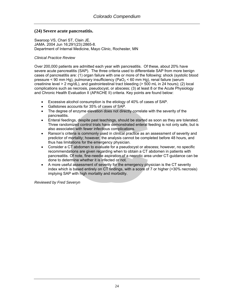# **(24) Severe acute pancreatitis.**

Swaroop VS, Chari ST, Clain JE. JAMA. 2004 Jun 16;291(23):2865-8. Department of Internal Medicine, Mayo Clinic, Rochester, MN

#### *Clinical Practice Review*

Over 200,000 patients are admitted each year with pancreatitis. Of these, about 20% have severe acute pancreatitis (SAP). The three criteria used to differentiate SAP from more benign cases of pancreatitis are: (1) organ failure with one or more of the following: shock (systolic blood pressure < 90 mm Hg), pulmonary insufficiency (PaO<sub>2</sub> < 60 mm Hg), renal failure (serum creatinine level > 2 mg/dL), and gastrointestinal tract bleeding (> 500 mL in 24 hours); (2) local complications such as necrosis, pseudocyst, or abscess; (3) at least 8 or the Acute Physiology and Chronic Health Evaluation II (APACHE II) criteria. Key points are found below:

- Excessive alcohol consumption is the etiology of 40% of cases of SAP.
- Gallstones accounts for 35% of cases of SAP.
- The degree of enzyme elevation does not directly correlate with the severity of the pancreatitis.
- Enteral feedings, despite past teachings, should be started as soon as they are tolerated. Three randomized control trials have demonstrated enteral feeding is not only safe, but is also associated with fewer infectious complications.
- Ranson's criteria is commonly used in clinical practice as an assessment of severity and predictor of mortality; however, the analysis cannot be completed before 48 hours, and thus has limitations for the emergency physician.
- Consider a CT abdomen to evaluate for a pseudocyst or abscess; however, no specific recommendations are given regarding when to obtain a CT abdomen in patients with pancreatitis. Of note, fine-needle aspiration of a necrotic area under CT-guidance can be done to determine whether it is infected or not.
- A more useful assessment of severity for the emergency physician is the CT severity index which is based entirely on CT findings, with a score of 7 or higher (>30% necrosis) implying SAP with high mortality and morbidity.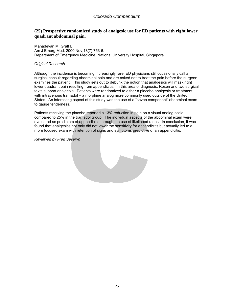# **(25) Prospective randomized study of analgesic use for ED patients with right lower quadrant abdominal pain.**

Mahadevan M, Graff L. Am J Emerg Med. 2000 Nov;18(7):753-6. Department of Emergency Medicine, National University Hospital, Singapore.

#### *Original Research*

Although the incidence is becoming increasingly rare, ED physicians still occasionally call a surgical consult regarding abdominal pain and are asked not to treat the pain before the surgeon examines the patient. This study sets out to debunk the notion that analgesics will mask right lower quadrant pain resulting from appendicitis. In this area of diagnosis, Rosen and two surgical texts support analgesia. Patients were randomized to either a placebo analgesic or treatment with intravenous tramadol – a morphine analog more commonly used outside of the United States. An interesting aspect of this study was the use of a "seven component" abdominal exam to gauge tenderness.

Patients receiving the placebo reported a 13% reduction in pain on a visual analog scale compared to 25% in the tramadol group. The individual aspects of the abdominal exam were evaluated as predictors of appendicitis through the use of likelihood ratios. In conclusion, it was found that analgesics not only did not lower the sensitivity for appendicitis but actually led to a more focused exam with retention of signs and symptoms predictive of an appendicitis.

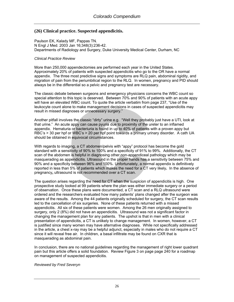# **(26) Clinical practice. Suspected appendicitis.**

Paulson EK, Kalady MF, Pappas TN. N Engl J Med. 2003 Jan 16;348(3):236-42. Departments of Radiology and Surgery, Duke University Medical Center, Durham, NC

#### *Clinical Practice Review*

More than 250,000 appendectomies are performed each year in the United States. Approximately 20% of patients with suspected appendicitis who go to the OR have a normal appendix. The three most predictive signs and symptoms are RLQ pain, abdominal rigidity, and migration of pain from the periumbilical region to the RLQ. In women, pregnancy and PID should always be in the differential so a pelvic and pregnancy test are necessary.

The classic debate between surgeons and emergency physicians concerns the WBC count so special attention to this topic is deserved. Between 70% and 90% of patients with an acute appy will have an elevated WBC count. To quote the article verbatim from page 237, "Use of the leukocyte count alone to make management decisions in cases of suspected appendicitis may result in missed diagnoses or unnecessary surgery."

Another pitfall involves the classic "dirty" urine e.g. "Well they probably just have a UTI, look at that urine." An acute appy can cause pyuria due to proximity of the ureter to an inflamed appendix. Hematuria or bacteriuria is found in up to 40% of patients with a proven appy but RBC's > 30 per hpf or WBC's > 20 per hpf point towards a primary urinary disorder. A cath UA should be obtained in equivocal circumstances.

With regards to imaging, a CT abdomen/pelvis with "appy" protocol has become the gold standard with a sensitivity of 90% to 100% and a specificity of 91% to 99%. Additionally, the CT scan of the abdomen is helpful in diagnosing other non-appendiceal pathology which may be masquerading as appendicitis. Ultrasound in the proper hands has a sensitivity between 75% and 90% and a specificity between 96% and 100%. Unfortunately, a normal appendix is definitively reported in less than 5% of patients which makes the need for a CT very likely**.** In the absence of pregnancy**,** ultrasound is not recommended over a CT scan.

The question arises regarding the need for CT when the suspicion of appendicitis is high. One prospective study looked at 99 patients where the plan was either immediate surgery or a period of observation. Once these plans were documented, a CT scan and a RLQ ultrasound were ordered and the researchers evaluated how many patients' plans changed after the surgeon was aware of the results. Among the 44 patients originally scheduled for surgery, the CT scan results led to the cancellation of six surgeries. None of these patients returned with a missed appendicitis. All six of these patients were women. Among the 26 men originally assigned to surgery, only 2 (8%) did not have an appendicitis. Ultrasound was not a significant factor in changing the management plan for any patients. The upshot is that in men with a clinical presentation of appendicitis, a CT is unlikely to change management. In women, however, a CT is justified since many women may have alternative diagnoses. While not specifically addressed in the article, a chest x-ray may be a helpful adjunct, especially in males who do not require a CT since it will reveal free air. In children, a basal infiltrate may be found on CXR that is masquerading as abdominal pain.

In conclusion, there are no national guidelines regarding the management of right lower quadrant pain but this article offers a solid foundation. Review Figure 3 on page page 240 for a roadmap on management of suspected appendicitis.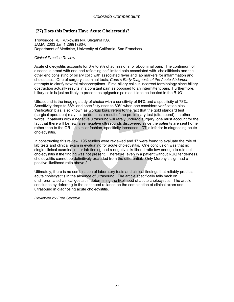# **(27) Does this Patient Have Acute Cholecystitis?**

Trowbridge RL, Rutkowski NK, Shojania KG. JAMA. 2003 Jan 1;289(1):80-6. Department of Medicine, University of California, San Francisco

#### *Clinical Practice Review*

Acute cholecystitis accounts for 3% to 9% of admissions for abdominal pain. The continuum of disease is broad with one end reflecting self limited pain associated with cholelithiasis and the other end consisting of biliary colic with associated fever and lab markers for inflammation and cholestasis. One of surgery's seminal texts, *Cope's Early Diagnosis of the Acute Abdomen* attempts to clarify several misconceptions. First, biliary colic is incorrect terminology since biliary obstruction actually results in a constant pain as opposed to an intermittent pain. Furthermore, biliary colic is just as likely to present as epigastric pain as it is to be located in the RUQ.

Ultrasound is the imaging study of choice with a sensitivity of 94% and a specificity of 78%. Sensitivity drops to 88% and specificity rises to 80% when one considers verification bias. Verification bias, also known as workup bias, refers to the fact that the gold standard test (surgical operation) may not be done as a result of the preliminary test (ultrasound). In other words, if patients with a negative ultrasound will rarely undergo surgery, one must account for the fact that there will be few false negative ultrasounds discovered since the patients are sent home rather than to the OR. In similar fashion, specificity increases. CT is inferior in diagnosing acute cholecystitis.

In constructing this review, 195 studies were reviewed and 17 were found to evaluate the role of lab tests and clinical exam in evaluating for acute cholecystitis. One conclusion was that no single clinical examination or lab finding had a negative likelihood ratio low enough to rule out cholecystitis if the finding was not present. Therefore, even in a patient without RUQ tenderness, cholecystitis cannot be definitively excluded from the differential. Only Murphy's sign had a positive likelihood ratio above 2.

Ultimately, there is no combination of laboratory tests and clinical findings that reliably predicts acute cholecystitis in the absence of ultrasound. The article specifically falls back on undifferentiated clinical gestalt in determining the likelihood of acute cholecystitis. The article concludes by deferring to the continued reliance on the combination of clinical exam and ultrasound in diagnosing acute cholecystitis.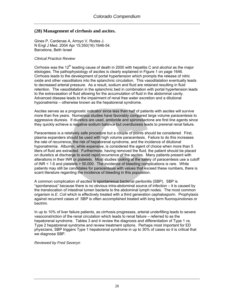# **(28) Management of cirrhosis and ascites.**

Gines P, Cardenas A, Arroyo V, Rodes J. N Engl J Med. 2004 Apr 15;350(16):1646-54. Barcelona, Beth Israel

#### *Clinical Practice Review*

Cirrhosis was the  $12<sup>th</sup>$  leading cause of death in 2000 with hepatitis C and alcohol as the major etiologies. The pathophysiology of ascites is clearly explained in Figure 1 on page 1646. Cirrhosis leads to the development of portal hypertension which prompts the release of nitric oxide and other vasodilators into the splanchnic circulation. This vasodilatation eventually leads to decreased arterial pressure. As a result, sodium and fluid are retained resulting in fluid retention. The vasodilatation in the splanchnic bed in combination with portal hypertension leads to the extravasation of fluid allowing for the accumulation of fluid in the abdominal cavity. Advanced disease leads to the impairment of renal free water excretion and a dilutional hyponatremia – otherwise known as the hepatorenal syndrome.

Ascites serves as a prognostic indicator since less than half of patients with ascites will survive more than five years. Numerous studies have favorably compared large volume paracentesis to aggressive diuresis. If diuretics are used, amiloride and spironolactone are first line agents since they quickly achieve a negative sodium balance but overdiuresis leads to prerenal renal failure.

Paracentesis is a relatively safe procedure but a couple of points should be considered. First, plasma expanders should be used with high volume paracentesis. Failure to do this increases the rate of recurrence, the risk of hepatorenal syndrome, and the incidence of dilutional hyponatremia. Albumin, while expensive, is considered the agent of choice when more than 5 liters of fluid are extracted. Furthermore, having removed the fluid, the patient should be placed on diuretics at discharge to avoid rapid recurrence of the ascites. Many patients present with alterations in their INR or platelets. Most studies looking at the safety of paracentesis use a cutoff of INR < 1.6 and platelets > 50,000. The incidence of bleeding complications is rare. While patients may still be candidates for paracentesis with values that exceed these numbers, there is scant literature regarding the incidence of bleeding in this population.

A common complication of ascites is spontaneous bacterial peritonitis (SBP). SBP is "spontaneous" because there is no obvious intra-abdominal source of infection – it is caused by the translocation of intestinal lumen bacteria to the abdominal lymph nodes. The most common organism is *E. Coli* which is effectively treated with a third generation cephalosporin. Prophylaxis against recurrent cases of SBP is often accomplished treated with long term fluoroquinolones or bactrim.

In up to 10% of liver failure patients, as cirrhosis progresses, arterial underfilling leads to severe vasoconstriction of the renal circulation which leads to renal failure – referred to as the hepatorenal syndrome. Tables 3 and 4 review the diagnosis and differentiation of Type 1 vs. Type 2 hepatorenal syndrome and review treatment options. Perhaps most important for ED physicians, SBP triggers Type 1 hepatorenal syndrome in up to 30% of cases so it is critical that we diagnose SBP.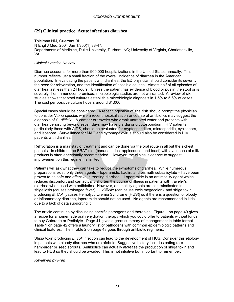# **(29) Clinical practice. Acute infectious diarrhea.**

Thielman NM, Guerrant RL. N Engl J Med. 2004 Jan 1;350(1):38-47. Departments of Medicine, Duke University, Durham, NC; University of Virginia, Charlottesville, VA.

#### *Clinical Practice Review*

Diarrhea accounts for more than 900,000 hospitalizations in the United States annually. This number reflects just a small fraction of the overall incidence of diarrhea in the American population. In evaluating the patient with diarrhea, the ED physician should consider its severity, the need for rehydration, and the identification of possible causes. Almost half of all episodes of diarrhea last less than 24 hours. Unless the patient has evidence of blood or pus in the stool or is severely ill or immunocompromised, microbiologic studies are not warranted. A review of six studies shows that stool cultures establish a microbiologic diagnosis in 1.5% to 5.6% of cases. The cost per positive culture hovers around \$1,000.

Special cases should be considered. A recent ingestion of shellfish should prompt the physician to consider V*ibrio* species while a recent hospitalization or course of antibiotics may suggest the diagnosis of *C. difficile*. A camper or traveler who drank untreated water and presents with diarrhea persisting beyond seven days may have giardia or cryptosporidium. HIV patients, particularly those with AIDS, should be evaluated for cryptosporidium, microsporidia, cyclospora, and isospora. Surveillance for MAC and cytomegalovirus should also be considered in HIV patients with diarrhea.

Rehydration is a mainstay of treatment and can be done via the oral route in all but the sickest patients. In children, the BRAT diet (bananas, rice, applesauce, and toast) with avoidance of milk products is often anecdotally recommended. However, the clinical evidence to suggest improvement on this regimen is limited.

Patients will ask what they can take to reduce the symptoms of diarrhea. While numerous preparations exist, only three agents – loperamide, kaolin, and bismuth subsalicylate – have been proven to be safe and effective in treating diarrhea. Loperamide is an antimotility agent which reduces discomfort and can actually shorten the course of illness in patients with traveler's diarrhea when used with antibiotics. However, antimotility agents are contraindicated in shigellosis (causes prolonged fever), *C. difficile* (can cause toxic megacolon), and shiga toxin producing *E. Coli* [causes Hemolytic Uremia Syndrome (HUS)] so if there is a question of bloody or inflammatory diarrhea, loperamide should not be used. No agents are recommended in kids due to a lack of data supporting it.

The article continues by discussing specific pathogens and therapies. Figure 1 on page 40 gives a recipe for a homemade oral rehydration therapy which you could offer to patients without funds to buy Gatorade or Pedialyte. Page 41 gives a great summary of management in table format. Table 1 on page 42 offers a laundry list of pathogens with common epidemiologic patterns and clinical features. Then Table 2 on page 43 goes through antibiotic regimens.

Shiga toxin producing *E. coli* infection can lead to the development of HUS. Consider this etiology in patients with bloody diarrhea who are afebrile. Suggestive history includes eating rare hamburger or seed sprouts. Antibiotics can actually *increase* the production of shiga toxin and lead to HUS so they should be avoided. This is not intuitive but important to remember.

*Reviewed by Fred*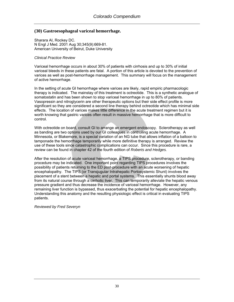# **(30) Gastroesophageal variceal hemorrhage.**

Sharara AI, Rockey DC. N Engl J Med. 2001 Aug 30;345(9):669-81. American University of Beirut, Duke University

#### *Clinical Practice Review*

Variceal hemorrhage occurs in about 30% of patients with cirrhosis and up to 30% of initial variceal bleeds in these patients are fatal. A portion of this article is devoted to the prevention of varices as well as post-hemorrhage management. This summary will focus on the management of active hemorrhage.

In the setting of acute GI hemorrhage where varices are likely, rapid empiric pharmacologic therapy is indicated. The mainstay of this treatment is octreotide. This is a synthetic analogue of somatostatin and has been shown to stop variceal hemorrhage in up to 80% of patients. Vasopressin and nitroglycerin are other therapeutic options but their side effect profile is more significant so they are considered a second line therapy behind octreotide which has minimal side effects. The location of varices makes little difference in the acute treatment regimen but it is worth knowing that gastric varices often result in massive hemorrhage that is more difficult to control.

With octreotide on board, consult GI to arrange an emergent endoscopy. Sclerotherapy as well as banding are two options used by our GI colleagues in controlling acute hemorrhage. A Minnesota, or Blakemore, is a special variation of an NG tube that allows inflation of a balloon to tamponade the hemorrhage temporarily while more definitive therapy is arranged. Review the use of these tools since catastrophic complications can occur. Since this procedure is rare, a review can be found in chapter 42 of the fourth edition of *Roberts and Hedges.*

After the resolution of acute variceal hemorrhage, a TIPS procedure, sclerotherapy, or banding procedure may be indicated. One important point regarding TIPS procedures involves the possibility of patients returning to the ED post-procedure with an acute worsening of hepatic encephalopathy. The TIPS (or Transjugular Intrahepatic Portosystemic Shunt) involves the placement of a stent between a hepatic and portal systems. This essentially shunts blood away from its natural course through a cirrhotic liver. This can temporarily alleviate the hepatic venous pressure gradient and thus decrease the incidence of variceal hemorrhage. However, any remaining liver function is bypassed, thus exacerbating the potential for hepatic encephalopathy. Understanding this anatomy and the resulting physiologic effect is critical in evaluating TIPS patients.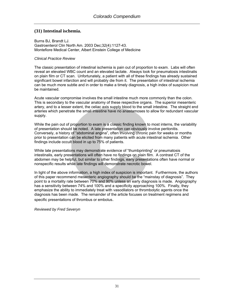# **(31) Intestinal ischemia.**

Burns BJ, Brandt LJ. Gastroenterol Clin North Am. 2003 Dec;32(4):1127-43. Montefiore Medical Center, Albert Einstein College of Medicine

#### *Clinical Practice Review*

The classic presentation of intestinal ischemia is pain out of proportion to exam. Labs will often reveal an elevated WBC count and an elevated lactate. Always look for pneumatosis intestinalis on plain film or CT scan. Unfortunately, a patient with all of these findings has already sustained significant bowel infarction and will probably die from it. The presentation of intestinal ischemia can be much more subtle and in order to make a timely diagnosis, a high index of suspicion must be maintained.

Acute vascular compromise involves the small intestine much more commonly than the colon. This is secondary to the vascular anatomy of these respective organs. The superior mesenteric artery, and to a lesser extent, the celiac axis supply blood to the small intestine. The straight end arteries which penetrate the small intestine have no anastamoses to allow for redundant vascular supply.

While the pain out of proportion to exam is a classic finding known to most interns, the variability of presentation should be noted. A late presentation can obviously involve peritonitis. Conversely, a history of "abdominal angina", often involving chronic pain for weeks or months prior to presentation can be elicited from many patients with acute intestinal ischemia. Other findings include occult blood in up to 75% of patients.

While late presentations may demonstrate evidence of "thumbprinting" or pneumatosis intestinalis, early presentations will often have no findings on plain film. A contrast CT of the abdomen may be helpful, but similar to other findings, early presentations often have normal or nonspecific results while late findings will demonstrate necrotic bowel.

In light of the above information, a high index of suspicion is important. Furthermore, the authors of this paper recommend mesenteric angiography should be the "mainstay of diagnosis". They point to a mortality rate between 70% and 90% unless an early diagnosis is made. Angiography has a sensitivity between 74% and 100% and a specificity approaching 100%. Finally, they emphasize the ability to immediately treat with vasodilators or thrombolytic agents once the diagnosis has been made. The remainder of the article focuses on treatment regimens and specific presentations of thrombus or embolus.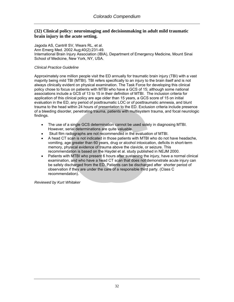# **(32) Clinical policy: neuroimaging and decisionmaking in adult mild traumatic brain injury in the acute setting.**

[Jagoda AS,](http://www.ncbi.nlm.nih.gov/entrez/query.fcgi?db=pubmed&cmd=Search&itool=pubmed_Abstract&term=%22Jagoda+AS%22%5BAuthor%5D) [Cantrill SV,](http://www.ncbi.nlm.nih.gov/entrez/query.fcgi?db=pubmed&cmd=Search&itool=pubmed_Abstract&term=%22Cantrill+SV%22%5BAuthor%5D) [Wears RL,](http://www.ncbi.nlm.nih.gov/entrez/query.fcgi?db=pubmed&cmd=Search&itool=pubmed_Abstract&term=%22Wears+RL%22%5BAuthor%5D) et al. Ann Emerg Med. 2002 Aug;40(2):231-49. International Brain Injury Association (IBIA), Department of Emergency Medicine, Mount Sinai School of Medicine, New York, NY, USA.

#### *Clinical Practice Guideline*

Approximately one million people visit the ED annually for traumatic brain injury (TBI) with a vast majority being mild TBI (MTBI). TBI refers specifically to an injury to the brain itself and is not always clinically evident on physical examination. The Task Force for developing this clinical policy chose to focus on patients with MTBI who have a GCS of 15; although some national associations include a GCS of 13 to 15 in their definition of MTBI. The inclusion criteria for application of this clinical policy are age older than 15 years, a GCS score of 15 on initial evaluation in the ED, any period of posttraumatic LOC or of posttraumatic amnesia, and blunt trauma to the head within 24 hours of presentation to the ED. Exclusion criteria include presence of a bleeding disorder, penetrating trauma, patients with multisystem trauma, and focal neurologic findings.

- The use of a single GCS determination cannot be used solely in diagnosing MTBI. However, serial determinations are quite valuable.
- Skull film radiographs are not recommended in the evaluation of MTBI.
- A head CT scan is not indicated in those patients with MTBI who do not have headache, vomiting, age greater than 60 years, drug or alcohol intoxication, deficits in short-term memory, physical evidence of trauma above the clavicle, or seizure. This recommendation is based on the Haydel et al. study published in NEJM 2000.
- Patients with MTBI who present 6 hours after sustaining the injury, have a normal clinical examination, and who have a head CT scan that does not demonstrate acute injury can be safely discharged from the ED. Patients can be discharged after shorter period of observation if they are under the care of a responsible third party. (Class C recommendation).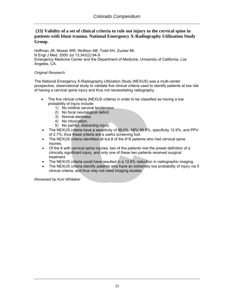# **(33) Validity of a set of clinical criteria to rule out injury to the cervical spine in patients with blunt trauma. National Emergency X-Radiography Utilization Study Group.**

[Hoffman JR,](http://www.ncbi.nlm.nih.gov/entrez/query.fcgi?db=pubmed&cmd=Search&itool=pubmed_Abstract&term=%22Hoffman+JR%22%5BAuthor%5D) [Mower WR,](http://www.ncbi.nlm.nih.gov/entrez/query.fcgi?db=pubmed&cmd=Search&itool=pubmed_Abstract&term=%22Mower+WR%22%5BAuthor%5D) [Wolfson AB,](http://www.ncbi.nlm.nih.gov/entrez/query.fcgi?db=pubmed&cmd=Search&itool=pubmed_Abstract&term=%22Wolfson+AB%22%5BAuthor%5D) [Todd KH,](http://www.ncbi.nlm.nih.gov/entrez/query.fcgi?db=pubmed&cmd=Search&itool=pubmed_Abstract&term=%22Todd+KH%22%5BAuthor%5D) [Zucker MI.](http://www.ncbi.nlm.nih.gov/entrez/query.fcgi?db=pubmed&cmd=Search&itool=pubmed_Abstract&term=%22Zucker+MI%22%5BAuthor%5D) N Engl J Med. 2000 Jul 13;343(2):94-9. Emergency Medicine Center and the Department of Medicine, University of California, Los Angeles, CA.

### *Original Research*

The National Emergency X-Radiography Utilization Study (NEXUS) was a multi-center prospective, observational study to validate five clinical criteria used to identify patients at low risk of having a cervical spine injury and thus not necessitating radiography.

- The five clinical criteria (NEXUS criteria) in order to be classified as having a low probability of injury include:
	- 1) No midline cervical tenderness.
	- 2) No focal neurological deficit.
	- 3) Normal alertness.
	- 4) No intoxication.
	- 5) No painful, distracting injury.
- The NEXUS criteria have a sensitivity of 99.0%, NPV 99.8%, specificity 12.9%, and PPV of 2.7%; thus these criteria are a useful screening tool.
- The NEXUS criteria identified all but 8 of the 818 patients who had cervical spine injuries.
- Of the 8 with cervical spine injuries, two of the patients met the preset definition of a clinically significant injury, and only one of these two patients received surgical treatment.
- The NEXUS criteria could have resulted in a 12.6% reduction in radiographic imaging.
- The NEXUS criteria identify patients who have an extremely low probability of injury via 5 clinical criteria, and thus may not need imaging studies.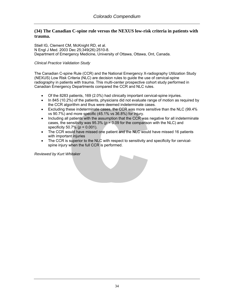## **(34) The Canadian C-spine rule versus the NEXUS low-risk criteria in patients with trauma.**

[Stiell IG,](http://www.ncbi.nlm.nih.gov/entrez/query.fcgi?db=pubmed&cmd=Search&itool=pubmed_Abstract&term=%22Stiell+IG%22%5BAuthor%5D) [Clement CM](http://www.ncbi.nlm.nih.gov/entrez/query.fcgi?db=pubmed&cmd=Search&itool=pubmed_Abstract&term=%22Clement+CM%22%5BAuthor%5D), [McKnight RD,](http://www.ncbi.nlm.nih.gov/entrez/query.fcgi?db=pubmed&cmd=Search&itool=pubmed_Abstract&term=%22McKnight+RD%22%5BAuthor%5D) et al. N Engl J Med. 2003 Dec 25;349(26):2510-8. Department of Emergency Medicine, University of Ottawa, Ottawa, Ont, Canada.

#### *Clinical Practice Validation Study*

The Canadian C-spine Rule (CCR) and the National Emergency X-radiography Utilization Study (NEXUS) Low Risk Criteria (NLC) are decision rules to guide the use of cervical-spine radiography in patients with trauma. This multi-center prospective cohort study performed in Canadian Emergency Departments compared the CCR and NLC rules.

- Of the 8283 patients, 169 (2.0%) had clinically important cervical-spine injuries.
- In 845 (10.2%) of the patients, physicians did not evaluate range of motion as required by the CCR algorithm and thus were deemed indeterminate cases.
- Excluding these indeterminate cases, the CCR was more sensitive than the NLC (99.4% vs 90.7%) and more specific (45.1% vs 36.8%) for injury.
- Including all patients with the assumption that the CCR was negative for all indeterminate cases, the sensitivity was  $95.3\%$  ( $p = 0.09$  for the comparison with the NLC) and specificity 50.7% (*p* = 0.001).
- The CCR would have missed one patient and the NLC would have missed 16 patients with important injuries
- The CCR is superior to the NLC with respect to sensitivity and specificity for cervicalspine injury when the full CCR is performed.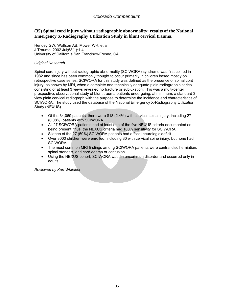## **(35) Spinal cord injury without radiographic abnormality: results of the National Emergency X-Radiography Utilization Study in blunt cervical trauma.**

[Hendey GW](http://www.ncbi.nlm.nih.gov/entrez/query.fcgi?db=pubmed&cmd=Search&itool=pubmed_Abstract&term=%22Hendey+GW%22%5BAuthor%5D), [Wolfson AB](http://www.ncbi.nlm.nih.gov/entrez/query.fcgi?db=pubmed&cmd=Search&itool=pubmed_Abstract&term=%22Wolfson+AB%22%5BAuthor%5D), [Mower WR](http://www.ncbi.nlm.nih.gov/entrez/query.fcgi?db=pubmed&cmd=Search&itool=pubmed_Abstract&term=%22Mower+WR%22%5BAuthor%5D), et al. J Trauma. 2002 Jul;53(1):1-4. University of California San Francisco-Fresno, CA.

#### *Original Research*

Spinal cord injury without radiographic abnormality (SCIWORA) syndrome was first coined in 1982 and since has been commonly thought to occur primarily in children based mostly on retrospective case series. SCIWORA for this study was defined as the presence of spinal cord injury, as shown by MRI, when a complete and technically adequate plain radiographic series consisting of at least 3 views revealed no fracture or subluxation. This was a multi-center prospective, observational study of blunt trauma patients undergoing, at minimum, a standard 3 view plain cervical radiograph with the purpose to determine the incidence and characteristics of SCIWORA. The study used the database of the National Emergency X-Radiography Utilization Study (NEXUS).

- Of the 34,069 patients, there were 818 (2.4%) with cervical spinal injury, including 27 (0.08%) patients with SCIWORA.
- All 27 SCIWORA patients had at least one of the five NEXUS criteria documented as being present; thus, the NEXUS criteria had 100% sensitivity for SCIWORA.
- Sixteen of the 27 (59%) SCIWORA patients had a focal neurologic deficit.
- Over 3000 children were enrolled, including 30 with cervical spine injury, but none had SCIWORA**.**
- The most common MRI findings among SCIWORA patients were central disc herniation, spinal stenosis, and cord edema or contusion.
- Using the NEXUS cohort, SCIWORA was an uncommon disorder and occurred only in adults.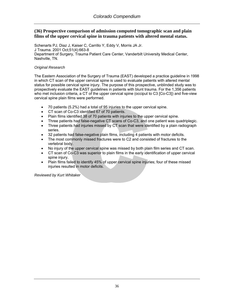## **(36) Prospective comparison of admission computed tomographic scan and plain films of the upper cervical spine in trauma patients with altered mental status.**

[Schenarts PJ](http://www.ncbi.nlm.nih.gov/entrez/query.fcgi?db=pubmed&cmd=Search&itool=pubmed_Abstract&term=%22Schenarts+PJ%22%5BAuthor%5D), [Diaz J,](http://www.ncbi.nlm.nih.gov/entrez/query.fcgi?db=pubmed&cmd=Search&itool=pubmed_Abstract&term=%22Diaz+J%22%5BAuthor%5D) [Kaiser C,](http://www.ncbi.nlm.nih.gov/entrez/query.fcgi?db=pubmed&cmd=Search&itool=pubmed_Abstract&term=%22Kaiser+C%22%5BAuthor%5D) [Carrillo Y](http://www.ncbi.nlm.nih.gov/entrez/query.fcgi?db=pubmed&cmd=Search&itool=pubmed_Abstract&term=%22Carrillo+Y%22%5BAuthor%5D), [Eddy V](http://www.ncbi.nlm.nih.gov/entrez/query.fcgi?db=pubmed&cmd=Search&itool=pubmed_Abstract&term=%22Eddy+V%22%5BAuthor%5D), [Morris JA Jr](http://www.ncbi.nlm.nih.gov/entrez/query.fcgi?db=pubmed&cmd=Search&itool=pubmed_Abstract&term=%22Morris+JA+Jr%22%5BAuthor%5D). J Trauma. 2001 Oct;51(4):663-8 Department of Surgery, Trauma Patient Care Center, Vanderbilt University Medical Center, Nashville, TN.

### *Original Research*

The Eastern Association of the Surgery of Trauma (EAST) developed a practice guideline in 1998 in which CT scan of the upper cervical spine is used to evaluate patients with altered mental status for possible cervical spine injury. The purpose of this prospective, unblinded study was to prospectively evaluate the EAST guidelines in patients with blunt trauma. For the 1,356 patients who met inclusion criteria, a CT of the upper cervical spine (occiput to C3 [Co-C3]) and five-view cervical spine plain films were performed.

- 70 patients (5.2%) had a total of 95 injuries to the upper cervical spine.
- CT scan of Co-C3 identified 67 of 70 patients.
- Plain films identified 38 of 70 patients with injuries to the upper cervical spine.
- Three patients had false-negative CT scans of Co-C3, and one patient was quadriplegic.
- Three patients had injuries missed by CT scan that were identified by a plain radiograph series.
- 32 patients had false-negative plain films, including 4 patients with motor deficits.
- The most commonly missed fractures were to C2 and consisted of fractures to the vertebral body.
- No injury of the upper cervical spine was missed by both plain film series and CT scan.
- CT scan of Co-C3 was superior to plain films in the early identification of upper cervical spine injury.
- Plain films failed to identify 45% of upper cervical spine injuries; four of these missed injuries resulted in motor deficits.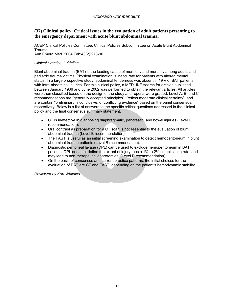### **(37) Clinical policy: Critical issues in the evaluation of adult patients presenting to the emergency department with acute blunt abdominal trauma.**

[ACEP Clinical Policies Committee;](http://www.ncbi.nlm.nih.gov/entrez/query.fcgi?db=pubmed&cmd=Search&itool=pubmed_Abstract&term=%22ACEP+Clinical+Policies+Committee%22%5BCorporate+Author%5D) [Clinical Policies Subcommittee on Acute Blunt Abdominal](http://www.ncbi.nlm.nih.gov/entrez/query.fcgi?db=pubmed&cmd=Search&itool=pubmed_Abstract&term=%22Clinical+Policies+Subcommittee+on+Acute+Blunt+Abdominal+Trauma%22%5BCorporate+Author%5D)  [Trauma](http://www.ncbi.nlm.nih.gov/entrez/query.fcgi?db=pubmed&cmd=Search&itool=pubmed_Abstract&term=%22Clinical+Policies+Subcommittee+on+Acute+Blunt+Abdominal+Trauma%22%5BCorporate+Author%5D). Ann Emerg Med. 2004 Feb;43(2):278-90.

#### *Clinical Practice Guideline*

Blunt abdominal trauma (BAT) is the leading cause of morbidity and mortality among adults and pediatric trauma victims. Physical examination is inaccurate for patients with altered mental status. In a large prospective study, abdominal tenderness was absent in 19% of BAT patients with intra-abdominal injuries. For this clinical policy, a MEDLINE search for articles published between January 1966 and June 2002 was performed to obtain the relevant articles. All articles were then classified based on the design of the study and reports were graded. Level A, B, and C recommendations are "generally accepted principles", "reflect moderate clinical certainty", and are contain "preliminary, inconclusive, or conflicting evidence" based on the panel consensus, respectively. Below is a list of answers to the specific critical questions addressed in the clinical policy and the final consensus summary statement.

- CT is ineffective in diagnosing diaphragmatic, pancreatic, and bowel injuries (Level B recommendation).
- Oral contrast as preparation for a CT scan is not essential to the evaluation of blunt abdominal trauma (Level B recommendation).
- The FAST is useful as an initial screening examination to detect hemoperitoneum in blunt abdominal trauma patients (Level B recommendation).
- Diagnostic peritoneal lavage (DPL) can be used to exclude hemoperitoneum in BAT patients. DPL does not define the extent of injury, has a 1% to 2% complication rate, and may lead to non-therapeutic laparotomies. (Level B recommendation).
- On the basis of consensus and current practice patterns, the initial choices for the evaluation of BAT are CT and FAST, depending on the patient's hemodynamic stability.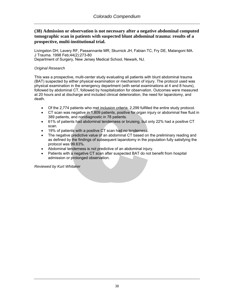## **(38) Admission or observation is not necessary after a negative abdominal computed tomographic scan in patients with suspected blunt abdominal trauma: results of a prospective, multi-institutional trial.**

[Livingston DH](http://www.ncbi.nlm.nih.gov/entrez/query.fcgi?db=pubmed&cmd=Search&itool=pubmed_Abstract&term=%22Livingston+DH%22%5BAuthor%5D), [Lavery RF,](http://www.ncbi.nlm.nih.gov/entrez/query.fcgi?db=pubmed&cmd=Search&itool=pubmed_Abstract&term=%22Lavery+RF%22%5BAuthor%5D) [Passannante MR](http://www.ncbi.nlm.nih.gov/entrez/query.fcgi?db=pubmed&cmd=Search&itool=pubmed_Abstract&term=%22Passannante+MR%22%5BAuthor%5D), [Skurnick JH](http://www.ncbi.nlm.nih.gov/entrez/query.fcgi?db=pubmed&cmd=Search&itool=pubmed_Abstract&term=%22Skurnick+JH%22%5BAuthor%5D), [Fabian TC](http://www.ncbi.nlm.nih.gov/entrez/query.fcgi?db=pubmed&cmd=Search&itool=pubmed_Abstract&term=%22Fabian+TC%22%5BAuthor%5D), [Fry DE,](http://www.ncbi.nlm.nih.gov/entrez/query.fcgi?db=pubmed&cmd=Search&itool=pubmed_Abstract&term=%22Fry+DE%22%5BAuthor%5D) [Malangoni MA](http://www.ncbi.nlm.nih.gov/entrez/query.fcgi?db=pubmed&cmd=Search&itool=pubmed_Abstract&term=%22Malangoni+MA%22%5BAuthor%5D). J Trauma. 1998 Feb;44(2):273-80 Department of Surgery, New Jersey Medical School, Newark, NJ.

### *Original Research*

This was a prospective, multi-center study evaluating all patients with blunt abdominal trauma (BAT) suspected by either physical examination or mechanism of injury. The protocol used was physical examination in the emergency department (with serial examinations at 4 and 8 hours), followed by abdominal CT, followed by hospitalization for observation. Outcomes were measured at 20 hours and at discharge and included clinical deterioration, the need for laparotomy, and death.

- Of the 2,774 patients who met inclusion criteria, 2,299 fulfilled the entire study protocol.
- CT scan was negative in 1,809 patients, positive for organ injury or abdominal free fluid in 389 patients, and nondiagnostic in 78 patients.
- 61% of patients had abdominal tenderness or bruising, but only 22% had a positive CT scan.
- 19% of patients with a positive CT scan had no tenderness.
- The negative predictive value of an abdominal CT based on the preliminary reading and as defined by the findings of subsequent laparotomy in the population fully satisfying the protocol was 99.63%.
- Abdominal tenderness is not predictive of an abdominal injury.
- Patients with a negative CT scan after suspected BAT do not benefit from hospital admission or prolonged observation.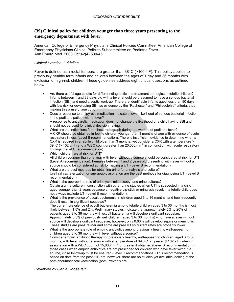### **(39) Clinical policy for children younger than three years presenting to the emergency department with fever.**

[American College of Emergency Physicians Clinical Policies Committee](http://www.ncbi.nlm.nih.gov/entrez/query.fcgi?db=pubmed&cmd=Search&itool=pubmed_Abstract&term=%22American+College+of+Emergency+Physicians+Clinical+Policies+Committee%22%5BCorporate+Author%5D); [American College of](http://www.ncbi.nlm.nih.gov/entrez/query.fcgi?db=pubmed&cmd=Search&itool=pubmed_Abstract&term=%22American+College+of+Emergency+Physicians+Clinical+Policies+Subcommittee+on+Pediatric+Fever%22%5BCorporate+Author%5D)  [Emergency Physicians Clinical Policies Subcommittee on Pediatric Fever](http://www.ncbi.nlm.nih.gov/entrez/query.fcgi?db=pubmed&cmd=Search&itool=pubmed_Abstract&term=%22American+College+of+Emergency+Physicians+Clinical+Policies+Subcommittee+on+Pediatric+Fever%22%5BCorporate+Author%5D). Ann Emerg Med. 2003 Oct;42(4):530-45.

#### *Clinical Practice Guideline*

Fever is defined as a rectal temperature greater than  $38°$  C (>100.4°F). This policy applies to previously healthy term infants and children between the ages of 1 day and 36 months with exclusion of high-risk children. These guidelines address eight critical questions as outlined below.

- Are there useful age cutoffs for different diagnostic and treatment strategies in febrile children? Infants between 1 and 28 days old with a fever should be presumed to have a serious bacterial infection (SBI) and need a septic work-up. There are identifiable infants aged less than 90 days with low risk for developing SBI, as evidence by the "Rochester" and "Philadelphia" criteria, thus making this a useful age cut-off.
- Does a response to antipyretic medication indicate a lower likelihood of serious bacterial infection in the pediatric patient with a fever? A response to antipyretic medication does not change the likelihood of a child having SBI and should not be used for clinical decisionmaking.
- What are the indications for a chest radiograph during the workup of pediatric fever? A CXR should be obtained in febrile children younger than 3 months of age with evidence of acute respiratory illness (Level B recommendation). There is insufficient evidence to determine when a CXR is required in a febrile child older than 3 months, yet consider a CXR with a temperature > 39 $\degree$  C (> 102.2 $\degree$  F) and a WBC count greater than 20,000/mm<sup>3</sup> in conjunction with acute respiratory findings (Level C recommendation).
- Which children are at risk for UTI? All children younger than one year with fever without a source should be considered at risk for UTI (Level A recommendation). Females between 1 and 2 years old presenting with fever without a source should be considered at risk for having a UTI (Level B recommendation).
- What are the best methods for obtaining urine for urinalysis and culture? Urethral catheterization or suprapubic aspiration are the best methods for diagnosing UTI (Level B recommendation).
- What is the appropriate role of urinalysis, microscopy, and urine cultures? Obtain a urine culture in conjunction with other urine studies when UTI is suspected in a child aged younger than 2 years because a negative dip-stick or urinalysis result in a febrile child does not always exclude UTI (Level B recommendation).
- What is the prevalence of occult bacteremia in children aged 3 to 36 months, and how frequently does it result in significant sequelae? The current prevalence of occult bacteremia among febrile children aged 3 to 36 months is most likely between 1.5% and 2%. Preliminary studies indicate that approximately 5% to 20% of patients aged 3 to 36 months with occult bacteremia will develop significant sequelae. Approximately 0.3% of previously well children (aged 3 to 36 months) who have a fever without source will develop significant sequelae; however, only 0.03% will develop sepsis or meningitis. These studies are pre-Prevnar and some are pre-HIB so current rates are probably lower.
- What is the appropriate role of empiric antibiotics among previously healthy, well-appearing children aged 3 to 36 months with fever without a source? Consider empiric antibiotic therapy for previously healthy, well-appearing children, aged 3 to 36 months, with fever without a source with a temperature of 39.0℃ or greater (>102.2°F) when in association with a WBC count of 15,000/mm<sup>3</sup> or greater if obtained (Level B recommendation.) In those cases when empiric antibiotics are not prescribed for children who have fever without a source, close follow-up must be ensured (Level C recommendations.) This recommendation is based on data from the post-HIB era; however, there are no studies yet available looking at the post-pneumococcal vaccination (post-Prevnar) era.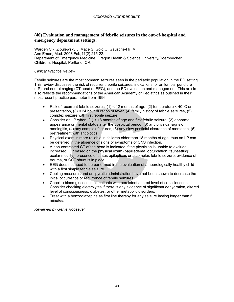# **(40) Evaluation and management of febrile seizures in the out-of-hospital and emergency department settings.**

[Warden CR](http://www.ncbi.nlm.nih.gov/entrez/query.fcgi?db=pubmed&cmd=Search&itool=pubmed_Abstract&term=%22Warden+CR%22%5BAuthor%5D), [Zibulewsky J](http://www.ncbi.nlm.nih.gov/entrez/query.fcgi?db=pubmed&cmd=Search&itool=pubmed_Abstract&term=%22Zibulewsky+J%22%5BAuthor%5D), [Mace S](http://www.ncbi.nlm.nih.gov/entrez/query.fcgi?db=pubmed&cmd=Search&itool=pubmed_Abstract&term=%22Mace+S%22%5BAuthor%5D), [Gold C](http://www.ncbi.nlm.nih.gov/entrez/query.fcgi?db=pubmed&cmd=Search&itool=pubmed_Abstract&term=%22Gold+C%22%5BAuthor%5D), [Gausche-Hill M](http://www.ncbi.nlm.nih.gov/entrez/query.fcgi?db=pubmed&cmd=Search&itool=pubmed_Abstract&term=%22Gausche%2DHill+M%22%5BAuthor%5D). Ann Emerg Med. 2003 Feb;41(2):215-22. Department of Emergency Medicine, Oregon Health & Science University/Doernbecher Children's Hospital, Portland, OR.

### *Clinical Practice Review*

Febrile seizures are the most common seizures seen in the pediatric population in the ED setting. This review discusses the risk of recurrent febrile seizures, indications for an lumbar puncture (LP) and neuroimaging (CT head or EEG), and the ED evaluation and management. This article also reflects the recommendations of the American Academy of Pediatrics as outlined in their most recent practice parameter from 1996.

- Risk of recurrent febrile seizures: (1) < 12 months of age, (2) temperature < 40◦ C on presentation, (3) < 24 hour duration of fever, (4) family history of febrile seizures, (5) complex seizure with first febrile seizure.
- Consider an LP when: (1) < 18 months of age and first febrile seizure, (2) abnormal appearance or mental status after the post-ictal period, (3) any physical signs of meningitis, (4) any complex features, (5) any slow postictal clearance of mentation, (6) pretreatment with antibiotics.
- Physical exam is more reliable in children older than 18 months of age, thus an LP can be deferred in the absence of signs or symptoms of CNS infection.
- A non-contrasted CT of the head is indicated if the physician is unable to exclude increased ICP based on the physical exam (papilledema, obtundation, "sunsetting" ocular motility), presence of status epilepticus or a complex febrile seizure, evidence of trauma, or CSF shunt is in place.
- EEG does not need to be performed in the evaluation of a neurologically healthy child with a first simple febrile seizure.
- Cooling measures and antipyretic administration have not been shown to decrease the initial occurrence or recurrence of febrile seizures.
- Check a blood glucose in all patients with persistent altered level of consciousness. Consider checking electrolytes if there is any evidence of significant dehydration, altered level of consciousness, diabetes, or other metabolic disorders.
- Treat with a benzodiazepine as first line therapy for any seizure lasting longer than 5 minutes.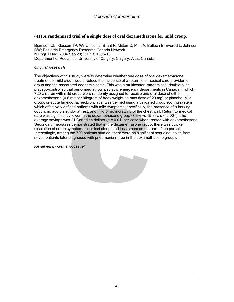# **(41) A randomized trial of a single dose of oral dexamethasone for mild croup.**

[Bjornson CL](http://www.ncbi.nlm.nih.gov/entrez/query.fcgi?db=pubmed&cmd=Search&itool=pubmed_Abstract&term=%22Bjornson+CL%22%5BAuthor%5D), [Klassen TP,](http://www.ncbi.nlm.nih.gov/entrez/query.fcgi?db=pubmed&cmd=Search&itool=pubmed_Abstract&term=%22Klassen+TP%22%5BAuthor%5D) [Williamson J](http://www.ncbi.nlm.nih.gov/entrez/query.fcgi?db=pubmed&cmd=Search&itool=pubmed_Abstract&term=%22Williamson+J%22%5BAuthor%5D), [Brant R,](http://www.ncbi.nlm.nih.gov/entrez/query.fcgi?db=pubmed&cmd=Search&itool=pubmed_Abstract&term=%22Brant+R%22%5BAuthor%5D) [Mitton C,](http://www.ncbi.nlm.nih.gov/entrez/query.fcgi?db=pubmed&cmd=Search&itool=pubmed_Abstract&term=%22Mitton+C%22%5BAuthor%5D) [Plint A](http://www.ncbi.nlm.nih.gov/entrez/query.fcgi?db=pubmed&cmd=Search&itool=pubmed_Abstract&term=%22Plint+A%22%5BAuthor%5D), [Bulloch B,](http://www.ncbi.nlm.nih.gov/entrez/query.fcgi?db=pubmed&cmd=Search&itool=pubmed_Abstract&term=%22Bulloch+B%22%5BAuthor%5D) [Evered L,](http://www.ncbi.nlm.nih.gov/entrez/query.fcgi?db=pubmed&cmd=Search&itool=pubmed_Abstract&term=%22Evered+L%22%5BAuthor%5D) [Johnson](http://www.ncbi.nlm.nih.gov/entrez/query.fcgi?db=pubmed&cmd=Search&itool=pubmed_Abstract&term=%22Johnson+DW%22%5BAuthor%5D)  [DW;](http://www.ncbi.nlm.nih.gov/entrez/query.fcgi?db=pubmed&cmd=Search&itool=pubmed_Abstract&term=%22Johnson+DW%22%5BAuthor%5D) [Pediatric Emergency Research Canada Network](http://www.ncbi.nlm.nih.gov/entrez/query.fcgi?db=pubmed&cmd=Search&itool=pubmed_Abstract&term=%22Pediatric+Emergency+Research+Canada+Network%22%5BCorporate+Author%5D). N Engl J Med. 2004 Sep 23;351(13):1306-13. Department of Pediatrics, University of Calgary, Calgary, Alta., Canada.

### *Original Research*

The objectives of this study were to determine whether one dose of oral dexamethasone treatment of mild croup would reduce the incidence of a return to a medical care provider for croup and the associated economic costs. This was a multicenter, randomized, double-blind, placebo-controlled trial performed at four pediatric emergency departments in Canada in which 720 children with mild croup were randomly assigned to receive one oral dose of either dexamethasone (0.6 mg per kilogram of body weight, to max dose of 20 mg) or placebo. Mild croup, or acute laryngotracheobronchitis, was defined using a validated croup scoring system which effectively defined patients with mild symptoms, specifically, the presence of a barking cough, no audible stridor at rest, and mild or no indrawing of the chest wall. Return to medical care was significantly lower in the dexamethasone group (7.3% vs 15.3%, *p* < 0.001). The average savings was 21 Canadian dollars (*p* = 0.01) per case when treated with dexamethasone. Secondary measures demonstrated that in the dexamethasone group, there was quicker resolution of croup symptoms, less lost sleep, and less stress on the part of the parent. Interestingly, among the 720 patients studied, there were no significant sequelae, aside from seven patients later diagnosed with pneumonia (three in the dexamethasone group).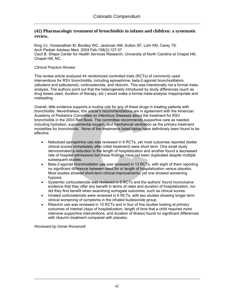### **(42) Pharmacologic treatment of bronchiolitis in infants and children: a systematic review.**

[King VJ](http://www.ncbi.nlm.nih.gov/entrez/query.fcgi?db=pubmed&cmd=Search&itool=pubmed_Abstract&term=%22King+VJ%22%5BAuthor%5D), [Viswanathan M](http://www.ncbi.nlm.nih.gov/entrez/query.fcgi?db=pubmed&cmd=Search&itool=pubmed_Abstract&term=%22Viswanathan+M%22%5BAuthor%5D), [Bordley WC](http://www.ncbi.nlm.nih.gov/entrez/query.fcgi?db=pubmed&cmd=Search&itool=pubmed_Abstract&term=%22Bordley+WC%22%5BAuthor%5D), [Jackman AM,](http://www.ncbi.nlm.nih.gov/entrez/query.fcgi?db=pubmed&cmd=Search&itool=pubmed_Abstract&term=%22Jackman+AM%22%5BAuthor%5D) [Sutton SF,](http://www.ncbi.nlm.nih.gov/entrez/query.fcgi?db=pubmed&cmd=Search&itool=pubmed_Abstract&term=%22Sutton+SF%22%5BAuthor%5D) [Lohr KN,](http://www.ncbi.nlm.nih.gov/entrez/query.fcgi?db=pubmed&cmd=Search&itool=pubmed_Abstract&term=%22Lohr+KN%22%5BAuthor%5D) [Carey TS.](http://www.ncbi.nlm.nih.gov/entrez/query.fcgi?db=pubmed&cmd=Search&itool=pubmed_Abstract&term=%22Carey+TS%22%5BAuthor%5D) Arch Pediatr Adolesc Med. 2004 Feb;158(2):127-37 Cecil B. Sheps Center for Health Services Research, University of North Carolina at Chapel Hill, Chapel Hill, NC.

### *Clinical Practice Review*

This review article analyzed 44 randomized controlled trials (RCTs) of commonly used interventions for RSV bronchiolitis, including epinephrine, beta-2-agonist bronchodilators (albuterol and salbutamol), corticosteroids, and ribavirin. This was intentionally not a formal metaanalysis. The authors point out that the heterogeneity introduced by study differences (such as drug doses used, duration of therapy, etc.) would make a formal meta-analysis inappropriate and misleading.

Overall, little evidence supports a routine role for any of these drugs in treating patients with bronchiolitis. Nevertheless, this article's recommendations are in agreement with the American Academy of Pediatrics Committee on Infectious Diseases about the treatment for RSV bronchiolitis in the 2003 Red Book. The committee recommends supportive care as needed, including hydration, supplemental oxygen, and mechanical ventilation as the primary treatment modalities for bronchiolitis. None of the treatments listed below have definitively been found to be effective.

- Nebulized epinephrine use was reviewed in 8 RCTs, yet most outcomes reported (better clinical scores immediately after initial treatment) were short term. One small study demonstrated a reduction in the length of hospitalization and another found a decreased rate of hospital admissions but these findings have not been duplicated despite multiple subsequent studies.
- Beta-2-agonist bronchodilator use was reviewed in 13 RCTs, with eight of them reporting no significant difference between need for or length of hospitalization versus placebo. Most studies showed short-term clinical improvements, yet one showed worsening hypoxia.
- Systemtic corticosteroids was reviewed in 5 RCTs and the authors' found inconclusive evidence that they offer any benefit in terms of rates and duration of hospitalization, nor did they find benefit when examining surrogate outcomes, such as clinical scores.
- Inhaled corticosteroids were reviewed in 6 RCTs, with two studies showing longer term clinical worsening of symptoms in the inhaled budesonide group.
- Ribavirin use was reviewed in 10 RCTs and in four of five studies looking at primary outcomes of interest (days of hospitalization, length of time that a child required more intensive supportive interventions, and duration of illness) found no significant differences with ribavirin treatment compared with placebo.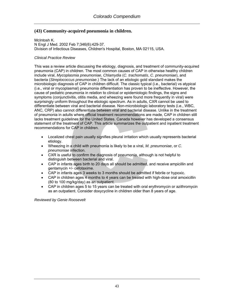# **(43) Community-acquired pneumonia in children.**

[McIntosh K](http://www.ncbi.nlm.nih.gov/entrez/query.fcgi?db=pubmed&cmd=Search&itool=pubmed_Abstract&term=%22McIntosh+K%22%5BAuthor%5D). N Engl J Med. 2002 Feb 7;346(6):429-37. Division of Infectious Diseases, Children's Hospital, Boston, MA 02115, USA.

### *Clinical Practice Review*

This was a review article discussing the etiology, diagnosis, and treatment of community-acquired pneumonia (CAP) in children. The most common causes of CAP in otherwise healthy children include viral, *Mycoplasmia pneumoniae*, *Chlamydia* (*C. trachomatis*, *C. pneumoniae*), and bacteria (*Streptococcus pneumoniae*.) The lack of an etiologic gold standard makes the microbiologic diagnosis of CAP in children difficult. The classic typical (i.e., bacterial) vs atypical (i.e., viral or mycoplasmal) pneumonia differentiation has proven to be ineffective. However, the cause of pediatric pneumonia in relation to clinical or epidemiologic findings, the signs and symptoms (conjunctivitis, otitis media, and wheezing were found more frequently in viral) were surprisingly uniform throughout the etiologic spectrum. As in adults, CXR cannot be used to differentiate between viral and bacterial disease. Non-microbiologic laboratory tests (i.e., WBC, ANC, CRP) also cannot differentiate between viral and bacterial disease. Unlike in the treatment of pneumonia in adults where official treatment recommendations are made, CAP in children still lacks treatment guidelines for the United States. Canada however has developed a consensus statement of the treatment of CAP. This article summarizes the outpatient and inpatient treatment recommendations for CAP in children.

- Localized chest pain usually signifies pleural irritation which usually represents bacterial etiology.
- Wheezing in a child with pneumonia is likely to be a viral, *M. pneumoniae*, or *C. pneumoniae* infection.
- CXR is useful to confirm the diagnosis of pneumonia, although is not helpful to distinguish between bacterial and viral.
- CAP in infants ages birth to 20 days all should be admitted, and receive ampicillin and gentamycin +/- cefotaxime.
- CAP in infants ages 3 weeks to 3 months should be admitted if febrile or hypoxic.
- CAP in children ages 4 months to 4 years can be treated with high-dose oral amoxicillin (80 to 100 mg/kg/day) as an outpatient.
- CAP in children ages 5 to 15 years can be treated with oral erythromycin or azithromycin as an outpatient. Consider doxycycline in children older than 8 years of age.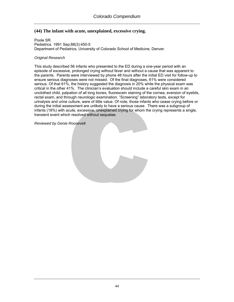# **(44) The infant with acute, unexplained, excessive crying.**

[Poole SR](http://www.ncbi.nlm.nih.gov/entrez/query.fcgi?db=pubmed&cmd=Search&itool=pubmed_Abstract&term=%22Poole+SR%22%5BAuthor%5D). Pediatrics. 1991 Sep;88(3):450-5 Department of Pediatrics, University of Colorado School of Medicine, Denver.

#### *Original Research*

This study described 56 infants who presented to the ED during a one-year period with an episode of excessive, prolonged crying without fever and without a cause that was apparent to the parents. Parents were interviewed by phone 48 hours after the initial ED visit for follow-up to ensure serious diagnoses were not missed. Of the final diagnoses, 61% were considered serious. Of that 61%, the history suggested the diagnosis in 20% while the physical exam was critical in the other 41%. The clinician's evaluation should include a careful skin exam in an unclothed child, palpation of all long bones, fluorescein staining of the cornea, eversion of eyelids, rectal exam, and through neurologic examination. "Screening" laboratory tests, except for urinalysis and urine culture, were of little value. Of note, those infants who cease crying before or during the initial assessment are unlikely to have a serious cause. There was a subgroup of infants (18%) with acute, excessive, unexplained crying for whom the crying represents a single, transient event which resolved without sequelae.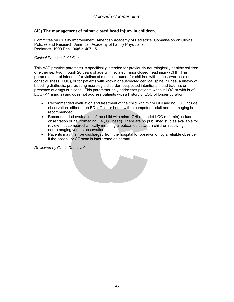# **(45) The management of minor closed head injury in children.**

Committee on Quality Improvement, American Academy of Pediatrics. Commission on Clinical Policies and Research, American Academy of Family Physicians. Pediatrics. 1999 Dec;104(6):1407-15.

### *Clinical Practice Guideline*

This AAP practice parameter is specifically intended for previously neurologically healthy children of either sex two through 20 years of age with isolated minor closed head injury (CHI). This parameter is not intended for victims of multiple trauma, for children with unobserved loss of consciousness (LOC), or for patients with known or suspected cervical spine injuries, a history of bleeding diathesis, pre-existing neurologic disorder, suspected intentional head trauma, or presence of drugs or alcohol. This parameter only addresses patients without LOC or with brief LOC (< 1 minute) and does not address patients with a history of LOC of longer duration.

- Recommended evaluation and treatment of the child with minor CHI and no LOC include observation, either in an ED, office, or home with a competent adult and no imaging is recommended.
- Recommended evaluation of the child with minor CHI and brief LOC (< 1 min) include observation or neuroimaging (i.e., CT head). There are no published studies available for review that compared clinically meaningful outcomes between children receiving neuroimaging versus observation.
- Patients may then be discharged from the hospital for observation by a reliable observer if the postinjury CT scan is interpreted as normal.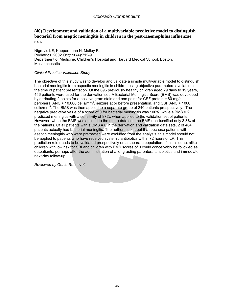# **(46) Development and validation of a multivariable predictive model to distinguish bacterial from aseptic meningitis in children in the post-Haemophilus influenzae era.**

[Nigrovic LE](http://www.ncbi.nlm.nih.gov/entrez/query.fcgi?db=pubmed&cmd=Search&itool=pubmed_Abstract&term=%22Nigrovic+LE%22%5BAuthor%5D), [Kuppermann N,](http://www.ncbi.nlm.nih.gov/entrez/query.fcgi?db=pubmed&cmd=Search&itool=pubmed_Abstract&term=%22Kuppermann+N%22%5BAuthor%5D) [Malley R](http://www.ncbi.nlm.nih.gov/entrez/query.fcgi?db=pubmed&cmd=Search&itool=pubmed_Abstract&term=%22Malley+R%22%5BAuthor%5D). Pediatrics. 2002 Oct;110(4):712-9. Department of Medicine, Children's Hospital and Harvard Medical School, Boston, Massachusetts.

### *Clinical Practice Validation Study*

The objective of this study was to develop and validate a simple multivariable model to distinguish bacterial meningitis from aspectic meningitis in children using objective parameters available at the time of patient presentation. Of the 696 previously healthy children aged 29 days to 19 years, 456 patients were used for the derivation set. A Bacterial Meningitis Score (BMS) was developed by attributing 2 points for a positive gram stain and one point for CSF protein > 80 mg/dL, peripheral  $\overline{ANC} > 10,000$  cells/mm<sup>3</sup>, seizure at or before presentation, and CSF ANC > 1000  $\text{cells/mm}^3$ . The BMS was then applied to a separate group of 240 patients prospectively. The negative predictive value of a score of 0 for bacterial meningitis was 100%, while a BMS > 2 predicted meningitis with a sensitivity of 87%, when applied to the validation set of patients. However, when the BMS was applied to the entire data set, the BMS misclassified only 3.3% of the patients. Of all patients with a BMS = 0 in the derivation and validation data sets, 2 of 404 patients actually had bacterial meningitis. The authors' point out that because patients with aseptic meningitis who were pretreated were excluded from the analysis, this model should not be applied to patients who have received systemic antibiotics within 72 hours of LP. This prediction rule needs to be validated prospectively on a separate population. If this is done, alike children with low risk for SBI and children with BMS scores of 0 could conceivably be followed as outpatients, perhaps after the administration of a long-acting parenteral antibiotics and immediate next-day follow-up.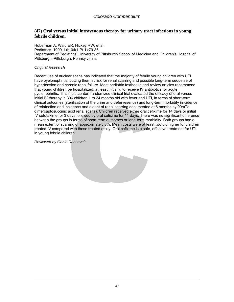## **(47) Oral versus initial intravenous therapy for urinary tract infections in young febrile children.**

[Hoberman A](http://www.ncbi.nlm.nih.gov/entrez/query.fcgi?db=pubmed&cmd=Search&itool=pubmed_Abstract&term=%22Hoberman+A%22%5BAuthor%5D), [Wald ER](http://www.ncbi.nlm.nih.gov/entrez/query.fcgi?db=pubmed&cmd=Search&itool=pubmed_Abstract&term=%22Wald+ER%22%5BAuthor%5D), [Hickey RW](http://www.ncbi.nlm.nih.gov/entrez/query.fcgi?db=pubmed&cmd=Search&itool=pubmed_Abstract&term=%22Hickey+RW%22%5BAuthor%5D), et al. Pediatrics. 1999 Jul;104(1 Pt 1):79-86 Department of Pediatrics, University of Pittsburgh School of Medicine and Children's Hospital of Pittsburgh, Pittsburgh, Pennsylvania.

### *Original Research*

Recent use of nuclear scans has indicated that the majority of febrile young children with UTI have pyelonephritis, putting them at risk for renal scarring and possible long-term sequelae of hypertension and chronic renal failure. Most pediatric textbooks and review articles recommend that young children be hospitalized, at least initially, to receive IV antibiotics for acute pyelonephritis. This multi-center, randomized clinical trial evaluated the efficacy of oral versus initial IV therapy in 306 children 1 to 24 months old with fever and UTI, in terms of short-term clinical outcomes (sterilization of the urine and defervesence) and long-term morbidity (incidence of reinfection and incidence and extent of renal scarring documented at 6 months by 99mTcdimercaptosuccinic acid renal scans). Children received either oral cefixime for 14 days or initial IV cefotaxime for 3 days followed by oral cefixime for 11 days. There was no significant difference between the groups in terms of short-term outcomes or long-term morbidity. Both groups had a mean extent of scarring of approximately 8%. Mean costs were at least twofold higher for children treated IV compared with those treated orally. Oral cefixime is a safe, effective treatment for UTI in young febrile children.

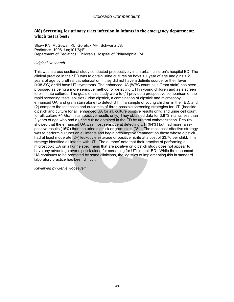### **(48) Screening for urinary tract infection in infants in the emergency department: which test is best?**

[Shaw KN,](http://www.ncbi.nlm.nih.gov/entrez/query.fcgi?db=pubmed&cmd=Search&itool=pubmed_Abstract&term=%22Shaw+KN%22%5BAuthor%5D) [McGowan KL](http://www.ncbi.nlm.nih.gov/entrez/query.fcgi?db=pubmed&cmd=Search&itool=pubmed_Abstract&term=%22McGowan+KL%22%5BAuthor%5D), [Gorelick MH,](http://www.ncbi.nlm.nih.gov/entrez/query.fcgi?db=pubmed&cmd=Search&itool=pubmed_Abstract&term=%22Gorelick+MH%22%5BAuthor%5D) [Schwartz JS.](http://www.ncbi.nlm.nih.gov/entrez/query.fcgi?db=pubmed&cmd=Search&itool=pubmed_Abstract&term=%22Schwartz+JS%22%5BAuthor%5D) Pediatrics. 1998 Jun;101(6):E1 Department of Pediatrics, Children's Hospital of Philadelphia, PA

#### *Original Research*

This was a cross-sectional study conducted prospectively in an urban children's hospital ED. The clinical practice in their ED was to obtain urine cultures on boys  $\leq 1$  year of age and girls  $\leq 2$ years of age by urethral catheterization if they did not have a definite source for their fever (>38.3◦ C) or did have UTI symptoms. The enhanced UA (WBC count plus Gram stain) has been proposed as being a more sensitive method for detecting UTI in young children and as a screen to eliminate cultures. The goals of this study were to (1) provide a prospective comparison of the rapid screening tests' abilities (urine dipstick, a combination of dipstick and microscopy, enhanced UA, and gram stain alone) to detect UTI in a sample of young children in their ED; and (2) compare the test costs and outcomes of three possible screening strategies for UTI (bedside dipstick and culture for all; enhanced UA for all, culture positive results only; and urine cell count for all, culture +/- Gram stain positive results only.) They obtained data for 3,873 infants less than 2 years of age who had a urine culture obtained in the ED by urethral catheterization. Results showed that the enhanced UA was most sensitive at detecting UTI (94%) but had more falsepositive results (16%) than the urine dipstick or gram stain (3%). The most cost-effective strategy was to perform cultures on all infants and begin presumptive treatment on those whose dipstick had at least moderate (2+) leukocyte esterase or positive nitrite at a cost of \$3.70 per child. This strategy identified all infants with UTI. The authors' note that their practice of performing a microscopic UA on all urine specimens that are positive on dipstick study does not appear to have any advantage over dipstick alone for screening for UTI in their ED. While the enhanced UA continues to be promoted by some clinicians, the logistics of implementing this in standard laboratory practice has been difficult.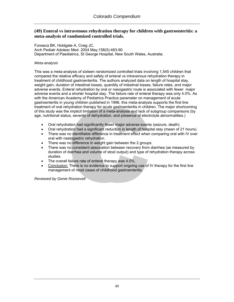### **(49) Enteral vs intravenous rehydration therapy for children with gastroenteritis: a meta-analysis of randomized controlled trials.**

[Fonseca BK](http://www.ncbi.nlm.nih.gov/entrez/query.fcgi?db=pubmed&cmd=Search&itool=pubmed_Abstract&term=%22Fonseca+BK%22%5BAuthor%5D), [Holdgate A,](http://www.ncbi.nlm.nih.gov/entrez/query.fcgi?db=pubmed&cmd=Search&itool=pubmed_Abstract&term=%22Holdgate+A%22%5BAuthor%5D) [Craig JC.](http://www.ncbi.nlm.nih.gov/entrez/query.fcgi?db=pubmed&cmd=Search&itool=pubmed_Abstract&term=%22Craig+JC%22%5BAuthor%5D) Arch Pediatr Adolesc Med. 2004 May;158(5):483-90. Department of Paediatrics, St George Hospital, New South Wales, Australia.

#### *Meta-analysis*

This was a meta-analysis of sixteen randomized controlled trials involving 1,545 children that compared the relative efficacy and safety of enteral vs intravenous rehydration therapy in treatment of childhood gastroenteritis. The authors analyzed data on length of hospital stay, weight gain, duration of intestinal losses, quanitity of intestinal losses, failure rates, and major adverse events. Enteral rehydration by oral or nasogastric route is associated with fewer major adverse events and a shorter hospital stay. The failure rate of enteral therapy was only 4.0%. As with the American Academy of Pediatrics Practice parameter on management of acute gastroenteritis in young children published in 1996, this meta-analysis supports the first line treatment of oral rehydration therapy for acute gastroenteritis in children. The major shortcoming of this study was the implicit limitation of a meta-analysis and lack of subgroup comparisons (by age, nutritional status, severity of dehydration, and presence of electrolyte abnormalities.)

- Oral rehydration had significantly fewer major adverse events (seizure, death).
- Oral rehydration had a significant reduction in length of hospital stay (mean of 21 hours).
- There was no identifiable difference in treatment effect when comparing oral with IV over oral with nastogastric rehydration.
- There was no difference in weight gain between the 2 groups.
- There was no consistent association between recovery from diarrhea (as measured by duration of diarrhea and volume of stool output) and type of rehydration therapy across studies.
- The overall failure rate of enteral therapy was 4.0%.
- Conclusion: There is no evidence to support ongoing use of IV therapy for the first line management of most cases of childhood gastroenteritis.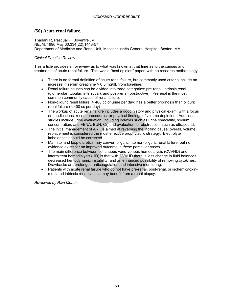## **(50) Acute renal failure.**

Thadani R, Pascual P, Boventre JV. NEJM. 1996 May 30;334(22):1448-57. Department of Medicine and Renal Unit, Massachusetts General Hospital, Boston, MA.

### *Clinical Practice Review*

This article provides an overview as to what was known at that time as to the causes and treatments of acute renal failure. This was a "best opinion" paper, with no research methodology.

- There is no formal definition of acute renal failure, but commonly used criteria include an increase in serum creatinine > 0.5 mg/dL from baseline.
- Renal failure causes can be divided into three categories: pre-renal, intrinsic renal (glomerular, tubular, interstitial), and post-renal (obstructive). Prerenal is the most common community cause of renal failure.
- Non-oliguric renal failure (> 400 cc of urine per day) has a better prognosis than oliguric renal failure (< 400 cc per day)
- The workup of acute renal failure includes a good history and physical exam, with a focus on medications, recent procedures, or physical findings of volume depletion. Additional studies include urine evaluation (including indexes such as urine osmolality, sodium concentration, and FENA, BUN, Cr) and evaluation for obstruction, such as ultrasound.
- The initial management of ARF is aimed at reversing the inciting cause; overall, volume replacement is considered the most effective prophylactic strategy. Electrolyte imbalances should be corrected.
- Mannitol and loop diuretics may convert oliguric into non-oliguric renal failure, but no evidence exists for an improved outcome in *these* particular cases.
- The main difference between continuous veno-venous hemodialysis (CVVHD) and intermittent hemodialysis (HD) is that with CVVHD there is less change in fluid balances, decreased hemodynamic instability, and an enhanced possibility of removing cytokines. Drawbacks are prolonged anticoagulation and intensive monitoring.
- Patients with acute renal failure who do not have pre-renal, post-renal, or ischemic/toxinmediated intrinsic renal causes may benefit from a renal biopsy.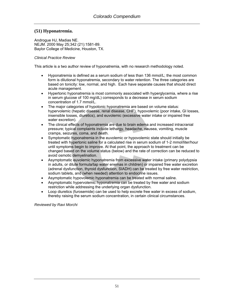# **(51) Hyponatremia.**

Androgue HJ, Madias NE. NEJM. 2000 May 25;342 (21):1581-89. Baylor College of Medicine, Houston, TX.

### *Clinical Practice Review*

This article is a two author review of hyponatremia, with no research methodology noted.

- Hyponatremia is defined as a serum sodium of less than 136 mmol/L; the most common form is dilutional hyponatremia, secondary to water retention. The three categories are based on tonicity: low, normal, and high. Each have separate causes that should direct acute management.
- Hypertonic hyponatremia is most commonly associated with hyperglycemia, where a rise in serum glucose of 100 mg/dL) corresponds to a decrease in serum sodium concentration of 1.7 mmol/L.
- The major categories of hypotonic hyponatremia are based on volume status: hypervolemic (hepatic disease, renal disease, CHF), hypovolemic (poor intake, GI losses, insensible losses, diuretics), and euvolemic (excessive water intake or impaired free water excretion).
- The clinical effects of hyponatremia are due to brain edema and increased intracranial pressure; typical complaints include lethargy, headache, nausea, vomiting, muscle cramps, seizures, coma, and death.
- Symptomatic hyponatremia in the euvolemic or hypovolemic state should initially be treated with hypertonic saline for a calculated rise in serum sodium of 1-2 mmol/liter/hour until symptoms begin to improve. At that point, the approach to treatment can be changed based on the volume status (below) and the rate of correction can be reduced to avoid osmotic demyelination.
- Asymptomatic euvolemic hyponatremia from excessive water intake (primary polydypsia in adults, or dilute formula/tap water enemas in children) or impaired free water excretion (adrenal dysfunction, thyroid dysfunction, SIADH) can be treated by free water restriction, sodium tablets, and (when needed) attention to endocrine issues.
- Asymptomatic hypovolemic hyponatremia can be treated with normal saline.
- Asymptomatic hypervolemic hyponatremia can be treated by free water and sodium restriction while addressing the underlying organ dysfunction.
- Loop diuretics (furosemide) can be used to help excrete free water in excess of sodium, thereby raising the serum sodium concentration, in certain clinical circumstances.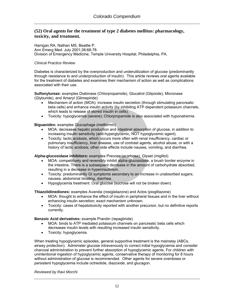### **(52) Oral agents for the treatment of type 2 diabetes mellitus: pharmacology, toxicity, and treatment.**

Harrigan RA, Nathan MS, Beattie P. Ann Emerg Med. July 2001;38:68-78. Division of Emergency Medicine, Temple University Hospital, Philadelphia, PA.

#### *Clinical Practice Review*

Diabetes is characterized by the overproduction and underutilization of glucose (predominantly through resistance to and underproduction of insulin). This article reviews oral agents available for the treatment of diabetes and examines their mechanism of action as well as complications associated with their use.

**Sulfonylureas:** examples Diabinase (Chlorpropamide), Glucatrol (Glipizide), Micronase (Glyburide), and Amaryl (Glimepiride)

- Mechanism of action (MOA): increase insulin secretion (through stimulating pancreatic beta cells) and enhance insulin activity (by inhibiting ATP dependent potassium channels, which leads to release of stored insulin in cells).
- Toxicity: hypoglycemia (severe); Chlorpropamide is also associated with hyponatremia.

**Biguanides:** examples Glucophage (metformin)

- MOA: decreases hepatic production and intestinal absorption of glucose, in addition to increasing insulin sensitivity (anti-hyperglycemic, NOT hypoglycemic agent).
- Toxicity: lactic acidosis, which occurs more often with renal insufficiency, cardiac or pulmonary insufficiency, liver disease, use of contrast agents, alcohol abuse, or with a history of lactic acidosis; other side effects include nausea, vomiting, and diarrhea.

**Alpha-glucosidase inhibitors:** examples Precose (acarbose), Glyset (miglitol)

- MOA: competitively and reversibly inhibit alpha-glucosidase, a brush border enzyme in the intestine. There is a subsequent decrease in the amount of carbohydrate absorbed, resulting in a decrease in hyperinsulinism.
- Toxicity: predominantly GI symptoms secondary to an increase in unabsorbed sugars; nausea, abdominal bloating, diarrhea.
- Hypoglycemia treatment: Oral glucose (sucrose will not be broken down).

**Thiazolidinediones:** examples Avandia (rosiglatazone) and Actos (pioglitazone)

- MOA: thought to enhance the effect of insulin in peripheral tissues and in the liver without enhancing insulin secretion; exact mechanism unknown.
- Toxicity: cases of hepatotoxicity reported with another precursor, but no definitive reports currently.

**Benzoic Acid derivatives:** example Prandin (repaglinide)

- MOA: binds to ATP mediated potassium channels on pancreatic beta cells which decreases insulin levels with resulting increased insulin sensitivity.
- Toxicity: hypoglycemia.

When treating hypoglycemic episodes, general supportive treatment is the mainstay (ABCs, airway protection). Administer glucose intravenously to correct initial hypoglycemia and consider charcoal administration to prevent further absorption of hypoglycemic agents. For children with unintentional ingestion of hypoglycemic agents, conservative therapy of monitoring for 8 hours without administration of glucose is recommended. Other agents for severe overdoses or persistent hypoglycemia include octreotide, diazoxide, and glucagon.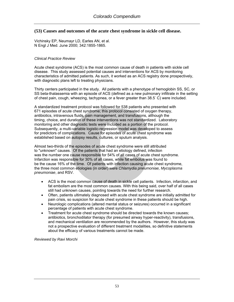## **(53) Causes and outcomes of the acute chest syndrome in sickle cell disease.**

Vichinsky EP, Neumayr LD, Earles AN, et al. N Engl J Med. June 2000; 342:1855-1865.

### *Clinical Practice Review*

Acute chest syndrome (ACS) is the most common cause of death in patients with sickle cell disease. This study assessed potential causes and interventions for ACS by monitoring characteristics of admitted patients. As such, it worked as an ACS registry done prospectively, with diagnostic plans left to treating physicians.

Thirty centers participated in the study. All patients with a phenotype of hemoglobin SS, SC, or SS beta-thalassemia with an episode of ACS (defined as a new pulmonary infiltrate in the setting of chest pain, cough, wheezing, tachypnea, or a fever greater than 38.5° C) were included.

A standardized treatment protocol was followed for 538 patients who presented with 671 episodes of acute chest syndrome; this protocol consisted of oxygen therapy, antibiotics, intravenous fluids, pain management, and transfusions, although the timing, choice, and duration of these interventions was not standardized. Laboratory monitoring and other diagnostic tests were included as a portion of the protocol. Subsequently, a multi-variable logistic-regression model was developed to assess for predictors of complications. Cause for episodes of acute chest syndrome was established based on autopsy results, cultures, or sputum analysis.

Almost two-thirds of the episodes of acute chest syndrome were still attributed to "unknown" causes. Of the patients that had an etiology defined, infection was the number one cause responsible for 54% of all cases of acute chest syndrome. Infarction was responsible for 30% of all cases, while fat embolus was found to be the cause 16% of the time. Of patients with infection causing acute chest syndrome, the three most common etiologies (in order) were *Chlamydia pneumoniae, Mycoplasma pneumoniae*, and RSV.

- ACS is the most common cause of death in sickle cell patients. Infection, infarction, and fat embolism are the most common causes. With this being said, over half of all cases still had unknown causes, pointing towards the need for further research.
- Often, patients ultimately diagnosed with acute chest syndrome are initially admitted for pain crisis, so suspicion for acute chest syndrome in these patients should be high.
- Neurologic complications (altered mental status or seizures) occurred in a significant percentage of patients with acute chest syndrome.
- Treatment for acute chest syndrome should be directed towards the known causes; antibiotics, bronchodilator therapy (for presumed airway hyper-reactivity), transfusions, and mechanical ventilation are recommended by the authors. However, this study was not a prospective evaluation of different treatment modalities, so definitive statements about the efficacy of various treatments cannot be made.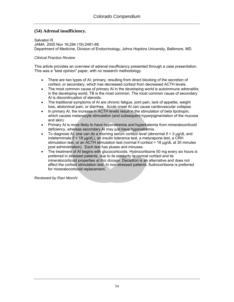# **(54) Adrenal insufficiency.**

Salvatori R. JAMA. 2005 Nov 16;294 (19):2481-88. Department of Medicine, Division of Endocrinology, Johns Hopkins University, Baltimore, MD.

### *Clinical Practice Review*

This article provides an overview of adrenal insufficiency presented through a case presentation. This was a "best opinion" paper, with no research methodology.

- There are two types of AI; primary, resulting from direct blocking of the secretion of cortisol, or secondary, which has decreased cortisol from decreased ACTH levels.
- The most common cause of primary AI in the developing world is autoimmune adrenalitis; in the developing world, TB is the most common. The most common cause of secondary AI is discontinuation of steroids.
- The traditional symptoms of AI are chronic fatigue, joint pain, lack of appetite, weight loss, abdominal pain, or diarrhea. Acute onset AI can cause cardiovascular collapse.
- In primary AI, the increase in ACTH levels result in the stimulation of beta lipotropin, which causes melanocyte stimulation (and subsequent hyperpigmentation of the mucosa and skin).
- Primary AI is more likely to have hyponatremia *and* hyperkalemia from mineralocorticoid deficiency, whereas secondary AI may just have hyponatremia.
- To diagnose AI, one can do a morning serum cortisol level (abnormal if < 3 μg/dL and indeterminate if < 18 μg/dL), an insulin tolerance test, a metyrapone test, a CRH stimulation test, or an ACTH stimulation test (normal if cortisol > 18 μg/dL at 30 minutes post administration). Each test has pluses and minuses.
- The treatment of AI begins with glucocorticoids. Hydrocortisone 50 mg every six hours is preferred in stressed patients, due to its similarity to normal cortisol and its mineralocorticoid properties *at this dosage*. Decadron is an alternative and does not affect the cortisol stimulation test. In non-stressed patients, fludrocortisone is preferred for mineralocorticoid replacement.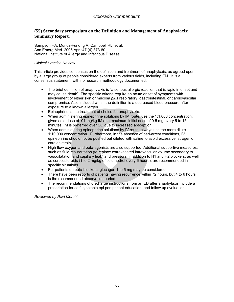## **(55) Secondary symposium on the Definition and Management of Anaphylaxis: Summary Report.**

Sampson HA, Munoz-Furlong A, Campbell RL, et al. Ann Emerg Med. 2006 April;47 (4):373-80. National Institute of Allergy and Infectious Disease.

### *Clinical Practice Review*

This article provides consensus on the definition and treatment of anaphylaxis, as agreed upon by a large group of people considered experts from various fields, including EM. It is a consensus statement, with no research methodology documented.

- The brief definition of anaphylaxis is "a serious allergic reaction that is rapid in onset and may cause death". The specific criteria require an acute onset of symptoms with involvement of either skin or mucosa *plus* respiratory, gastrointestinal, or cardiovascular compromise. Also included within the definition is a decreased blood pressure after exposure to a known allergen.
- Epinephrine is the treatment of choice for anaphylaxis.
- When administering epinephrine solutions by IM route, use the 1:1,000 concentration, given as a dose of .01 mg/kg IM at a maximum initial dose of 0.5 mg every 5 to 15 minutes. IM is preferred over SQ due to increased absorption.
- When administering epinephrine solutions by IV route, always use the more dilute 1:10,000 concentration. Furthermore, in the absence of peri-arrest conditions, IV epinephrine should not be pushed but diluted with saline to avoid excessive iatrogenic cardiac strain.
- High flow oxygen and beta-agonists are also supported. Additional supportive measures, such as fluid resuscitation (to replace extravasated intravascular volume secondary to vasodilatation and capillary leak) and pressors, in addition to H1 and H2 blockers, as well as corticosteroids (1 to 2 mg/kg of solumedrol every 6 hours), are recommended in specific situations.
- For patients on beta-blockers, glucagon 1 to 5 mg may be considered.
- There have been reports of patients having recurrence within 72 hours, but 4 to 6 hours is the recommended observation period. .
- The recommendations of discharge instructions from an ED after anaphylaxis include a prescription for self-injectable epi pen patient education, and follow up evaluation.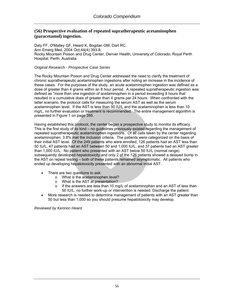## **(56) Prospective evaluation of repeated supratherapeutic acetaminophen (paracetamol) ingestion.**

Daly FF, O'Malley GF, Heard K, Bogdan GM, Dart RC. Ann Emerg Med. 2004 Oct;44(4):393-8. Rocky Mountain Poison and Drug Center, Denver Health, University of Colorado; Royal Perth Hospital, Perth, Australia

#### *Original Research - Prospective Case Series*

The Rocky Mountain Poison and Drug Center addressed the need to clarify the treatment of chronic supratherapeutic acetaminophen ingestions after noting an increase in the incidence of these cases. For the purposes of the study, an acute acetaminophen ingestion was defined as a dose of greater than 4 grams within an 8 hour period. A repeated supratherapeutic ingestion was defined as "more than one ingestion of acetaminophen in a period exceeding 8 hours that resulted in a cumulative does of greater than 4 grams per 24 hours. When confronted with the latter scenario, the protocol calls for measuring the serum AST as well as the serum acetaminophen level. If the AST is less than 50 IU/L and the acetaminophen is less than 10 mg/L, no further evaluation or treatment is recommended. The entire management algorithm is presented in Figure 1 on page 395.

Having established this protocol, the center began a prospective study to monitor its efficacy. This is the first study of its kind – no guidelines previously existed regarding the management of repeated supratherapeutic acetaminophen ingestions. Of all calls taken by the center regarding acetaminophen, 3.8% met the inclusion criteria. The patients were categorized on the basis of their initial AST level. Of the 249 patients who were enrolled, 126 patients had an AST less than 50 IU/L, 47 patients had an AST between 50 and 1,000 IU/L, and 37 patients had an AST greater than 1,000 IU/L. No patient who presented with an AST below 50 IU/L (normal range) subsequently developed hepatotoxicity and only 2 of the 126 patients showed a delayed bump in the AST on repeat testing – both of these patients remained asymptomatic. All patients who ended up developing hepatotoxicity presented with an abnormal initial AST.

- There are two questions to ask:
	- o What is the acetaminophen level?
	- o What is the AST at presentation?
	- $\circ$  If the answers are less than 10 mg/L of acetaminophen and an AST of less than 50 IU/L, no further work-up or intervention is needed. Discharge the patient.
- More research is needed to determine management of patients with an AST greater than 50 but less than 1,000 so you should presume hepatotoxicity may develop.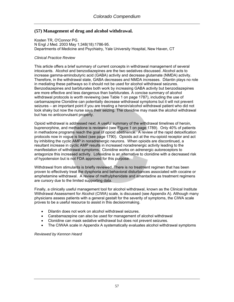# **(57) Management of drug and alcohol withdrawal.**

Kosten TR, O'Connor PG. N Engl J Med. 2003 May 1;348(18):1786-95. Departments of Medicine and Psychiatry, Yale University Hospital, New Haven, CT

### *Clinical Practice Review*

This article offers a brief summary of current concepts in withdrawal management of several intoxicants. Alcohol and benzodiazepines are the two sedatives discussed. Alcohol acts to increase gamma-aminobutyric acid (GABA) activity and decrease glutamate (NMDA) activity. Therefore, in the withdrawal state, GABA decreases and NMDA increases. Dilantin plays no role in mediating these pathways so it should not be used for alcohol withdrawal seizures. Benzodiazepines and barbiturates both work by increasing GABA activity but benzodiazepines are more effective and less dangerous than barbiturates. A concise summary of alcohol withdrawal protocols is worth reviewing (see Table 1 on page 1787), including the use of carbamazepine Clonidine can potentially decrease withdrawal symptoms but it will not prevent seizures – an important point if you are treating a heroin/alcohol withdrawal patient who did not look shaky but now the nurse says their seizing. The clonidine may mask the alcohol withdrawal but has no anticonvulsant property.

Opioid withdrawal is addressed next. A useful summary of the withdrawal timelines of heroin, buprenorphine, and methadone is reviewed (see Figure 1 on page 1789). Only 40% of patients in methadone programs reach the goal of opioid abstinence. A review of the rapid detoxification protocols now in vogue is listed (see page 1790). Opioids act at the mu-opioid receptor and act by inhibiting the cyclic AMP in noradrenergic neurons. When opioids are discontinued, a resultant increase in cyclic AMP results in increased noradrenergic activity leading to the manifestation of withdrawal symptoms. Clonidine works on adrenergic autoreceptors to antagonize this increased activity. Lofexidine is an alternative to clonidine with a decreased risk of hypotension but is not FDA approved for this purpose.

Withdrawal from stimulants is briefly reviewed. There is no treatment regimen that has been proven to effectively treat the dysphoria and behavioral disturbances associated with cocaine or amphetamine withdrawal. A review of methylphenidate and amantadine as treatment regimens are cursory due to the limited supporting data.

Finally, a clinically useful management tool for alcohol withdrawal, known as the Clinical Institute Withdrawal Assessment for Alcohol (CIWA) scale, is discussed (see Appendix A). Although many physicians assess patients with a general gestalt for the severity of symptoms, the CIWA scale proves to be a useful resource to assist in this decisionmaking.

- Dilantin does not work on alcohol withdrawal seizures.
- Carabamazepine can also be used for management of alcohol withdrawal
- Clonidine can mask sedative withdrawal but does not prevent seizures.
- The CIWAA scale in Appendix A systematically evaluates alcohol withdrawal symptoms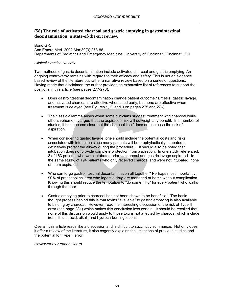## **(58) The role of activated charcoal and gastric emptying in gastrointestinal decontamination: a state-of-the-art review.**

#### Bond GR.

Ann Emerg Med. 2002 Mar;39(3):273-86. Departments of Pediatrics and Emergency Medicine, University of Cincinnati, Cincinnati, OH

### *Clinical Practice Review*

Two methods of gastric decontamination include activated charcoal and gastric emptying. An ongoing controversy remains with regards to their efficacy and safety. This is not an evidence based review of the literature but rather a narrative review based on a series of questions. Having made that disclaimer, the author provides an exhaustive list of references to support the positions in this article (see pages 277-278).

- Does gastrointestinal decontamination change patient outcome? Emesis, gastric lavage, and activated charcoal are effective when used early, but none are effective when treatment is delayed (see Figures 1, 2, and 3 on pages 275 and 276).
- The classic dilemma arises when some clinicians suggest treatment with charcoal while others vehemently argue that the aspiration risk will outweigh any benefit. In a number of studies, it has become clear that the charcoal itself does not increase the risk of aspiration.
- When considering gastric lavage, one should include the potential costs and risks associated with intubation since many patients will be prophylactically intubated to definitively protect the airway during the procedure. It should also be noted that intubation does not provide complete protection from aspiration. In one study referenced, 8 of 163 patients who were intubated prior to charcoal and gastric lavage aspirated. In the same study, of 194 patients who only received charcoal and were not intubated, none of them aspirated.
- Who can forgo gastrointestinal decontamination all together? Perhaps most importantly, 90% of preschool children who ingest a drug are managed at home without complication. Knowing this should reduce the temptation to "do something" for every patient who walks through the door.
- Gastric emptying prior to charcoal has not been shown to be beneficial. The basic thought process behind this is that toxins "available" to gastric emptying is also available to binding by charcoal. However, read the interesting discussion of the risk of Type II error (see page 281) which makes this conclusion less certain. It should be recalled that none of this discussion would apply to those toxins not affected by charcoal which include iron, lithium, acid, alkali, and hydrocarbon ingestions.

Overall, this article reads like a discussion and is difficult to succinctly summarize. Not only does it offer a review of the literature, it also cogently explains the limitations of previous studies and the potential for Type II error.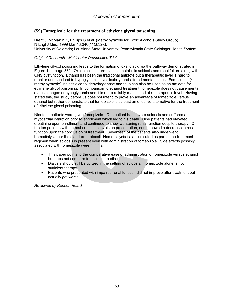# **(59) Fomepizole for the treatment of ethylene glycol poisoning.**

Brent J, McMartin K, Phillips S et al. (Methylpyrazole for Toxic Alcohols Study Group) N Engl J Med. 1999 Mar 18;340(11):832-8. University of Colorado; Louisiana State University; Pennsylvania State Geisinger Health System

### *Original Research - Multicenter Prospective Trial*

Ethylene Glycol poisoning leads to the formation of oxalic acid via the pathway demonstrated in Figure 1 on page 832. Oxalic acid, in turn, causes metabolic acidosis and renal failure along with CNS dysfunction. Ethanol has been the traditional antidote but a therapeutic level is hard to monitor and can lead to hypoglycemia, liver toxicity, and altered mental status. Fomepizole (4 methylpyrazole) inhibits alcohol dehydrogenase and thus can also be used as an antidote for ethylene glycol poisoning. In comparison to ethanol treatment, fomepizole does not cause mental status changes or hypoglycemia and it is more reliably maintained at a therapeutic level. Having stated this, the study before us does not intend to prove an advantage of fomepizole versus ethanol but rather demonstrate that fomepizole is at least an effective alternative for the treatment of ethylene glycol poisoning.

Nineteen patients were given fomepizole. One patient had severe acidosis and suffered an myocardial infarction prior to enrollment which led to his death. Nine patients had elevated creatinine upon enrollment and continued to show worsening renal function despite therapy. Of the ten patients with normal creatinine levels on presentation, none showed a decrease in renal function upon the conclusion of treatment. Seventeen of the patients also underwent hemodialysis per the standard protocol. Hemodialysis is still indicated as part of the treatment regimen when acidosis is present even with administration of fomepizole. Side effects possibly associated with fomepizole were minimal.

- This paper points to the comparative ease of administration of fomepizole versus ethanol but does not compare fomepizole to ethanol.
- Dialysis should still be utilized in the setting of acidosis. Fomepizole alone is not sufficient therapy.
- Patients who presented with impaired renal function did not improve after treatment but actually got worse.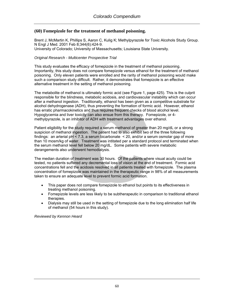## **(60) Fomepizole for the treatment of methanol poisoning.**

Brent J, McMartin K, Phillips S, Aaron C, Kulig K; Methylpyrazole for Toxic Alcohols Study Group. N Engl J Med. 2001 Feb 8;344(6):424-9. University of Colorado; University of Massachusetts; Louisiana State University.

### *Original Research - Multicenter Prospective Trial*

This study evaluates the efficacy of fomepizole in the treatment of methanol poisoning. Importantly, this study does not compare fomepizole versus ethanol for the treatment of methanol poisoning. Only eleven patients were enrolled and the rarity of methanol poisoning would make such a comparison study difficult. Rather, it demonstrates that fomepizole is an effective alternative treatment in the setting of methanol poisoning.

The metabolite of methanol is ultimately formic acid (see Figure 1, page 425). This is the culprit responsible for the blindness, metabolic acidosis, and cardiovascular instability which can occur after a methanol ingestion. Traditionally, ethanol has been given as a competitive substrate for alcohol dehydrogenase (ADH), thus preventing the formation of formic acid. However, ethanol has erratic pharmacokinetics and thus requires frequent checks of blood alcohol level. Hypoglycemia and liver toxicity can also ensue from this therapy. Fomepizole, or 4 methylpyrazole, is an inhibitor of ADH with treatment advantages over ethanol.

Patient eligibility for the study required a serum methanol of greater than 20 mg/dL or a strong suspicion of methanol ingestion. The patient had to also exhibit two of the three following findings: an arterial pH < 7.3, a serum bicarbonate  $\leq$  20, and/or a serum osmolar gap of more than 10 mosm/kg of water. Treatment was intitated per a standard protocol and terminated when the serum methanol level fell below 20 mg/dL. Some patients with severe metabolic derangements also underwent hemodialysis.

The median duration of treatment was 30 hours. Of the patients where visual acuity could be tested, no patients suffered any decremental loss of vision at the end of treatment. Formic acid concentrations fell and the acidosis resolved in all patients treated with fomepizole. The plasma concentration of fomepizole was maintained in the therapeutic range in 98% of all measurements taken to ensure an adequate level to prevent formic acid formation.

- This paper does not compare fomepizole to ethanol but points to its effectiveness in treating methanol poisoning.
- Fomepizole levels are less likely to be subtherapeutic in comparison to traditional ethanol therapies.
- Dialysis may still be used in the setting of fomepizole due to the long elimination half life of methanol (54 hours in this study).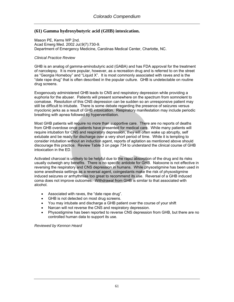# **(61) Gamma hydroxybutyric acid (GHB) intoxication.**

Mason PE, Kerns WP 2nd. Acad Emerg Med. 2002 Jul;9(7):730-9. Department of Emergency Medicine, Carolinas Medical Center, Charlotte, NC.

#### *Clinical Practice Review*

GHB is an analog of gamma-aminobutyric acid (GABA) and has FDA approval for the treatment of narcolepsy. It is more popular, however, as a recreation drug and is referred to on the street as "Georgia Homeboy" and "Liquid X". It is most commonly associated with raves and is the "date rape drug" that is often described in the popular culture. GHB is undetectable on routine drug screens.

Exogenously administered GHB leads to CNS and respiratory depression while providing a euphoria for the abuser. Patients will present somewhere on the spectrum from somnolent to comatose. Resolution of this CNS depression can be sudden so an unresponsive patient may still be difficult to intubate. There is some debate regarding the presence of seizures versus myoclonic jerks as a result of GHB intoxication. Respiratory manifestation may include periodic breathing with apnea followed by hyperventilation.

Most GHB patients will require no more than supportive care. There are no reports of deaths from GHB overdose once patients have presented for medical care. While many patients will require intubation for CNS and respiratory depression, they will often wake up abruptly, self extubate and be ready for discharge over a very short period of time. While it is tempting to consider intubation without an induction agent, reports of agitation as mentioned above should discourage this practice. Review Table 3 on page 734 to understand the clinical course of GHB intoxication in the ED.

Activated charcoal is unlikely to be helpful due to the rapid absorption of the drug and its risks usually outweigh any benefits. There is no specific antidote for GHB. Naloxone is not effective in reversing the respiratory and CNS depression in humans. While physostigmine has been used in some anesthesia settings as a reversal agent, coingestants make the risk of physostigmine induced seizures or arrhythmias too great to recommend its use. Reversal of a GHB induced coma does not improve outcomes. Withdrawal from GHB is similar to that associated with alcohol.

- Associated with raves, the "date rape drug".
- GHB is not detected on most drug screens.
- You may intubate and discharge a GHB patient over the course of your shift
- Narcan will not reverse the CNS and respiratory depression.
- Physostigmine has been reported to reverse CNS depression from GHB, but there are no controlled human data to support its use.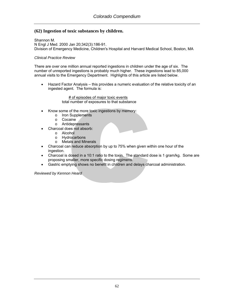## **(62) Ingestion of toxic substances by children.**

Shannon M. N Engl J Med. 2000 Jan 20;342(3):186-91. Division of Emergency Medicine, Children's Hospital and Harvard Medical School, Boston, MA

### *Clinical Practice Review*

There are over one million annual reported ingestions in children under the age of six. The number of unreported ingestions is probably much higher. These ingestions lead to 85,000 annual visits to the Emergency Department. Highlights of this article are listed below.

• Hazard Factor Analysis – this provides a numeric evaluation of the relative toxicity of an ingested agent. The formula is:

> # of episodes of major toxic events total number of exposures to that substance

- Know some of the more toxic ingestions by memory:
	- o Iron Supplements
	- o Cocaine
	- o Antidepressants
- Charcoal does not absorb:
	- o Alcohol
	- o Hydrocarbons
	- o Metals and Minerals
- Charcoal can reduce absorption by up to 75% when given within one hour of the ingestion.
- Charcoal is dosed in a 10:1 ratio to the toxin. The standard dose is 1 gram/kg. Some are proposing smaller, more specific dosing regimens.
- Gastric emptying shows no benefit in children and delays charcoal administration.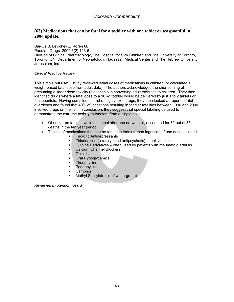## **(63) Medications that can be fatal for a toddler with one tablet or teaspoonful: a 2004 update.**

Bar-Oz B, Levichek Z, Koren G.

Paediatr Drugs. 2004;6(2):123-6.

Division of Clinical Pharmacology, The Hospital for Sick Children and The University of Toronto, Toronto, ON; Department of Neonatology, Hadassah Medical Center and The Hebrew University, Jerusalem, Israel.

### *Clinical Practice Review*

This simple but useful study reviewed lethal doses of medications in children (or calculated a weight-based fatal dose from adult data). The authors acknowledged the shortcoming of presuming a linear dose-toxicity relationship in converting adult toxicities to children. They then identified drugs where a fatal dose to a 10 kg toddler would be delivered by just 1 to 2 tablets or teaspoonfuls. Having compiled this list of highly toxic drugs, they then looked at reported fatal overdoses and found that 40% of ingestions resulting in toddler fatalities between 1990 and 2000 involved drugs on the list. In conclusion, they suggest that special labeling be used to demonstrate the extreme toxicity to toddlers from a single dose.

- Of note, iron tablets, while not lethal after one or two pills, accounted for 32 out of 85 deaths in the ten year period.
- The list of medications that can be fatal to a toddler upon ingestion of one dose included:
	- **Tricyclic Antidepressants**
	- Thioridazine (a rarely used antipsychotic) arrhythmias
	- Quinine Derivatives often used by patients with rheumatoid arthritis
	- Calcium Channel Blockers
	- **D**Dioids
	- Oral Hypoglycemics
	- **Theophylline**
	- **•** Podophylline
	- **Camphor**
	- Methyl Salicylate (oil of wintergreen)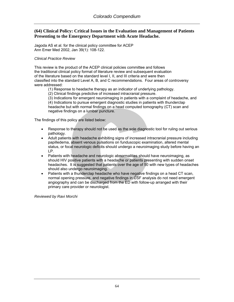## **(64) Clinical Policy: Critical Issues in the Evaluation and Management of Patients Presenting to the Emergency Department with Acute Headache.**

Jagoda AS et al. for the clinical policy committee for ACEP Ann Emer Med 2002, Jan 39(1): 108-122.

#### *Clinical Practice Review*

This review is the product of the ACEP clinical policies committee and follows the traditional clinical policy format of literature review and subsequent evaluation of the literature based on the standard level I, II, and III criteria and were then classified into the standard Level A, B, and C recommendations. Four areas of controversy were addressed:

(1) Response to headache therapy as an indicator of underlying pathology.

(2) Clinical findings predictive of increased intracranial pressure.

 (3) Indications for emergent neuroimaging in patients with a complaint of headache, and (4) Indications to pursue emergent diagnostic studies in patients with thunderclap headache but with normal findings on a head computed tomography (CT) scan and negative findings on a lumbar puncture.

The findings of this policy are listed below:

- Response to therapy should not be used as the sole diagnostic tool for ruling out serious pathology.
- Adult patients with headache exhibiting signs of increased intracranial pressure including papilledema, absent venous pulsations on funduscopic examination, altered mental status, or focal neurologic deficits should undergo a neuroimaging study before having an LP.
- Patients with headache and neurologic abnormalities should have neuroimaging, as should HIV positive patients with a headache or patients presenting with sudden onset headaches. It is suggested that patients over the age of 50 with new types of headaches should also undergo neuroimaging.
- Patients with a thunderclap headache who have negative findings on a head CT scan, normal opening pressure, and negative findings in CSF analysis do not need emergent angiography and can be discharged from the ED with follow-up arranged with their primary care provider or neurologist.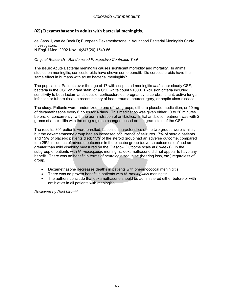### **(65) Dexamethasone in adults with bacterial meningitis.**

de Gans J, van de Beek D; European Dexamethasone in Adulthood Bacterial Meningitis Study Investigators. N Engl J Med. 2002 Nov 14;347(20):1549-56.

#### *Original Research - Randomized Prospective Controlled Trial*

The issue: Acute Bacterial meningitis causes significant morbidity and mortality. In animal studies on meningitis, corticosteroids have shown some benefit. Do corticosteroids have the same effect in humans with acute bacterial meningitis?

The population: Patients over the age of 17 with suspected meningitis *and* either cloudy CSF, bacteria in the CSF on gram stain, or a CSF white count >1000. Exclusion criteria included sensitivity to beta-lactam antibiotics or corticosteroids, pregnancy, a cerebral shunt, active fungal infection or tuberculosis, a recent history of head trauma, neurosurgery, or peptic ulcer disease.

The study: Patients were randomized to one of two groups; either a placebo medication, or 10 mg of dexamethasone every 6 hours for 4 days. This medication was given either 10 to 20 minutes before, or concurrently, with the administration of antibiotics. Initial antibiotic treatment was with 2 grams of amoxicillin with the drug regimen changed based on the gram stain of the CSF.

The results: 301 patients were enrolled; baseline characteristics of the two groups were similar, but the dexamethasone group had an increased occurrence of seizures. 7% of steroid patients and 15% of placebo patients died; 15% of the steroid group had an adverse outcome, compared to a 25% incidence of adverse outcomes in the placebo group (adverse outcomes defined as greater than mild disability measured on the Glasgow Outcome scale at 8 weeks). In the subgroup of patients with *N. meningitidis* meningitis, dexamethasone did not appear to have any benefit. There was no benefit in terms of neurologic sequelae (hearing loss, etc.) regardless of group.

- Dexamethasone decreases deaths in patients with pneumococcal meninigitis
- There was no proven benefit in patients with *N. meningitidis* meningitis
- The authors conclude that dexamethasone should be administered either before or with antibiotics in all patients with meningitis.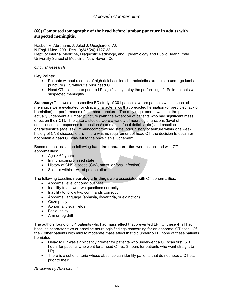## **(66) Computed tomography of the head before lumbar puncture in adults with suspected meningitis.**

Hasbun R, Abrahams J, Jekel J, Quagliarello VJ. N Engl J Med. 2001 Dec 13;345(24):1727-33. Dept. of Internal Medicine, Diagnostic Radiology, and Epidemiology and Public Health, Yale University School of Medicine, New Haven, Conn.

#### *Original Research*

**Key Points:** 

- Patients without a series of high risk baseline characteristics are able to undergo lumbar puncture (LP) without a prior head CT.
- Head CT scans done prior to LP significantly delay the performing of LPs in patients with suspected meningitis.

**Summary:** This was a prospective ED study of 301 patients, where patients with suspected meningitis were evaluated for clinical characteristics that predicted herniation (or predicted lack of herniation) on performance of a lumbar puncture. The only requirement was that the patient actually underwent a lumbar puncture (with the exception of patients who had significant mass effect on their CT). The criteria studied were a variety of neurologic functions (level of consciousness, responses to questions/commands, focal deficits, etc.) and baseline characteristics (age, sex, immunocompromised state, prior history of seizure within one week, history of CNS disease, etc.). There was no requirement of head CT; the decision to obtain or not obtain a head CT was left to the physician's judgement.

Based on their data, the following **baseline characteristics** were associated with CT abnormalities:

- Age  $> 60$  years
- Immunocompromised state
- History of CNS disease (CVA, mass, or focal infection)
- Seizure within 1 wk of presentation

The following baseline **neurologic findings** were associated with CT abnormalities:

- Abnormal level of consciousness
- Inability to answer two questions correctly
- Inability to follow two commands correctly
- Abnormal language (aphasia, dysarthria, or extinction)
- Gaze palsy
- Abnormal visual fields
- Facial palsy
- Arm or leg drift

The authors found only 4 patients who had mass effect that prevented LP. Of these 4, all had baseline characteristics or baseline neurologic findings concerning for an abnormal CT scan. Of the 7 other patients with mild to moderate mass effect that did undergo LP, none of these patients herniated.

- Delay to LP was significantly greater for patients who underwent a CT scan first (5.3) hours for patients who went for a head CT vs. 3 hours for patients who went straight to LP)
- There is a set of criteria whose absence can identify patients that do not need a CT scan prior to their LP.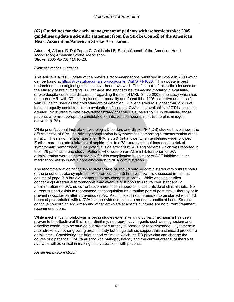## **(67) Guidelines for the early management of patients with ischemic stroke: 2005 guidelines update a scientific statement from the Stroke Council of the American Heart Association/American Stroke Association.**

Adams H, Adams R, Del Zoppo G, Goldstein LB; Stroke Council of the American Heart Association; American Stroke Association. Stroke. 2005 Apr;36(4):916-23.

### *Clinical Practice Guideline*

This article is a 2005 update of the previous recommendations published in *Stroke* in 2003 which can be found at [http://stroke.ahajournals.org/cgi/content/full/34/4/1056.](http://stroke.ahajournals.org/cgi/content/full/34/4/1056) This update is best understood if the original guidelines have been reviewed. The first part of this article focuses on the efficacy of brain imaging. CT remains the standard neuroimaging modality in evaluating stroke despite continued discussion regarding the role of MRI. Since 2003, one study which has compared MRI with CT as a replacement modality and found it be 100% sensitive and specific with CT being used as the gold standard of detection. While this would suggest that MRI is at least an equally useful tool in the evaluation of possible CVA's, the availability of CT is still much greater. No studies to date have demonstrated that MRI is superior to CT in identifying those patients who are appropriate candidates for intravenous recombinant tissue plasminogen activator (rtPA).

While prior National Institute of Neurologic Disorders and Stroke (NINDS) studies have shown the effectiveness of rtPA, the primary complication is symptomatic hemorrhagic transformation of the infract. This risk of hemorrhage after rtPA is 5.2% but a lower when guidelines were followed. Furthermore, the administration of aspirin prior to rtPA therapy did not increase the risk of symptomatic hemorrhage. One potential side effect of rtPA is angioedema which was reported in 9 of 176 patients in one study. Patients who were on an ACE inhibitors prior to rtPA administration were at increased risk for this complication but history of ACE inhibitors in the medication history is *not* a contraindication to rtPA administration.

The recommendation continues to state that rtPA should only be administered within three hours of the onset of stroke symptoms. References to a 4.5 hour window are discussed in the first column of page 918 but did not mount to any changes in policy. While ongoing studies concerning intraarterial thrombolysis may eventually support this route over standard IV administration of rtPA, no current recommendation supports its use outside of clinical trials. No current support exists to recommend anticoagulation as a routine part of post stroke therapy or to prevent re-occlusion after intravenous rtPA. Aspirin is still recommended to be started within 48 hours of presentation with a CVA but the evidence points to modest benefits at best. Studies continue concerning abciximab and other anti-platelet agents but there are no current treatment recommendations.

While mechanical thrombolysis is being studies extensively, no current mechanism has been proven to be effective at this time. Similarly, neuroprotective agents such as magnesium and citicoline continue to be studied but are not currently supported or recommended. Hypothermia after stroke is another growing area of study but no guidelines support this a standard procedure at this time. Considering the brief period of time in which the ED physician can change the course of a patient's CVA, familiarity with pathophysiology and the current arsenal of therapies available will be critical in making timely decisions with patients.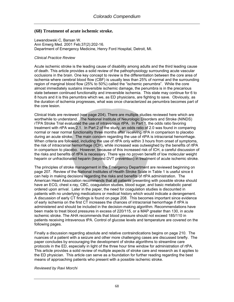### **(68) Treatment of acute ischemic stroke.**

Lewandowski C, Barsan W. Ann Emerg Med. 2001 Feb;37(2):202-16. Department of Emergency Medicine, Henry Ford Hospital, Detroit, MI.

#### *Clinical Practice Review*

Acute ischemic stroke is the leading cause of disability among adults and the third leading cause of death. This article provides a solid review of the pathophysiology surrounding acute vascular occlusions in the brain. One key concept to review is the differentiation between the core area of ischemia where cerebral blood flow (CBF) is usually less than 25% of normal and the surrounding region of marginal blood flow (25% to 50%) called the "ischemic penumbra". While the core almost immediately sustains irreversible ischemic damage, the penumbra is in the precarious state between continued functionality and irreversible ischemia. This state may continue for 6 to 8 hours and it is this penumbra which we, as ED physicians, are fighting to save. Obviously, as the duration of ischemia progresses, what was once characterized as penumbra becomes part of the core lesion.

Clinical trials are reviewed (see page 204). There are multiple studies reviewed here which are worthwhile to understand. The National Institute of Neurologic Disorders and Stroke (NINDS) rTPA Stroke Trial evaluated the use of intravenous rtPA. In Part 1, the odds ratio favoring treatment with rtPA was 2.1. In Part 2 of the study, an odds ratio of 2.0 was found in comparing normal or near normal functionality three months after receiving rtPA in comparison to placebo during an acute stroke. The main concern regarding the use of rtPA is intracranial hemorrhage. When criteria are followed, including the use of rtPA only within 3 hours from onset of symptoms, the risk of intracranial hemorrhage (ICH), while increased was outweighed by the benefits of rtPA in comparison to placebo. However, because of this increased risk of ICH, a careful discussion of the risks and benefits of rtPA is necessary. There was no proven benefit of low molecular weight heparin or unfractionated heparin (beyond DVT prevention) in treatment of acute ischemic stroke.

The principles of stroke management in the Emergency Department are reviewed beginning on page 207. Review of the National Institutes of Health Stroke Scale in Table 1 is useful since it can help in making decisions regarding the risks and benefits of rtPA administration. The American Heart Association recommends that all patients presenting with possible stroke should have an ECG, chest x-ray, CBC, coagulation studies, blood sugar, and basic metabolic panel ordered upon arrival. Later in the paper, the need for coagulation studies is discounted in patients with no underlying medications or medical history which would indicate a derangement. A discussion of early CT findings is found on page 208. This becomes important since evidence of early ischemia on the first CT increases the chances of intracranial hemorrhage if rtPA is administered and should be included in the decision-making algorithm. Recommendations have been made to treat blood pressures in excess of 220/115, or a MAP greater than 130, in acute ischemic stroke. The AHA recommends that blood pressure should not exceed 185/110 in patients receiving intravenous tPA. Control of glucose levels and temperature are covered on the following pages.

Finally a discussion regarding absolute and relative contraindications begins on page 210. The nuances of a patient with a seizure and other more challenging cases are discussed briefly. The paper concludes by encouraging the development of stroke algorithms to streamline care protocols in the ED, especially in light of the three hour time window for administration of rtPA. This article provides a solid review of multiple aspects of stroke care and research as it applies to the ED physician. This article can serve as a foundation for further reading regarding the best means of approaching patients who present with a possible ischemic stroke.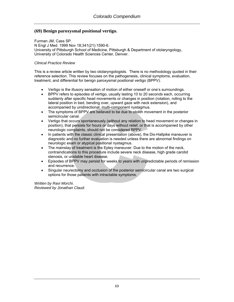## **(69) Benign paroxysmal positional vertigo.**

Furman JM, Cass SP. N Engl J Med. 1999 Nov 18;341(21):1590-6. University of Pittsburgh School of Medicine, Pittsburgh & Department of otolaryngology, University of Colorado Health Sciences Center, Denver.

#### *Clinical Practice Review*

This is a review article written by two otolaryngologists. There is no methodology quoted in their reference selection. This review focuses on the pathogenesis, clinical symptoms, evaluation, treatment, and differential for benign paroxysmal positional vertigo (BPPV).

- Vertigo is the illusory sensation of motion of either oneself or one's surroundings.
- BPPV refers to episodes of vertigo, usually lasting 10 to 20 seconds each, occurring suddenly after specific head movements or changes in position (rotation, rolling to the lateral position in bed, bending over, upward gaze with neck extension), and accompanied by unidirectional, multi-component nystagmus.
- The symptoms of BPPV are believed to be due to otolith movement in the posterior semicircular canal.
- Vertigo that occurs spontaneously (without any relation to head movement or changes in position), that persists for hours or days without relief, or that is accompanied by other neurologic complaints, should not be considered BPPV.
- In patients with the classic clinical presentation (above), the Dix-Hallpike maneuver is diagnostic and no further evaluation is needed unless there are abnormal findings on neurologic exam or atypical positional nystagmus.
- The mainstay of treatment is the Epley maneuver. Due to the motion of the neck, contraindications to this procedure include severe neck disease, high grade carotid stenosis, or unstable heart disease.
- Episodes of BPPV may persist for weeks to years with unpredictable periods of remission and recurrence.
- Singular neurectomy and occlusion of the posterior semicircular canal are two surgical options for those patients with intractable symptoms.

*Written by Ravi Morchi. Reviewed by Jonathan Claud.*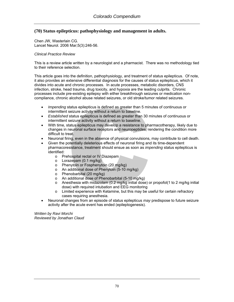# **(70) Status epilepticus: pathophysiology and management in adults.**

Chen JW, Wasterlain CG. Lancet Neurol. 2006 Mar;5(3):246-56.

#### *Clinical Practice Review*

This is a review article written by a neurologist and a pharmacist. There was no methodology tied to their reference selection.

This article goes into the definition, pathophysiology, and treatment of status epilepticus. Of note, it also provides an extensive differential diagnosis for the causes of status epilepticus, which it divides into acute and chronic processes. In acute processes, metabolic disorders, CNS infection, stroke, head trauma, drug toxicity, and hypoxia are the leading culprits. Chronic processes include pre-existing epilepsy with either breakthrough seizures or medication noncompliance, chronic alcohol abuse related seizures, or old stroke/tumor related seizures.

- *Impending* status epilepticus is defined as greater than 5 minutes of continuous or intermittent seizure activity without a return to baseline.
- *Established* status epilepticus is defined as greater than 30 minutes of continuous or intermittent seizure activity without a return to baseline.
- With time, status epilepticus may develop a resistance to pharmacotherapy, likely due to changes in neuronal surface receptors and neuropeptides, rendering the condition more difficult to treat.
- Neuronal firing, even in the absence of physical convulsions, may contribute to cell death.
- Given the potentially deleterious effects of neuronal firing and its time-dependent pharmacoresistance, treatment should ensue as soon as *impending* status epilepticus is identified:
	- o Prehospital rectal or IV Diazepam
	- o Lorazepam (0.1 mg/kg)
	- o Phenytoin or Fosphenytoin (20 mg/kg)
	- o An additional dose of Phenytoin (5-10 mg/kg)
	- o Phenobarbital (20 mg/kg)
	- o An additional dose of Phenobarbital (5-10 mg/kg)
	- $\circ$  Anesthesia with midazolam (0.2 mg/kg initial dose) or propofol(1 to 2 mg/kg initial dose) with required intubation and EEG monitoring
	- o Limited experience with Ketamine, but this may be useful for certain refractory cases requiring anesthesia.
- Neuronal changes from an episode of status epilepticus *may* predispose to future seizure activity after the acute event has ended (epileptogenesis).

*Written by Ravi Morchi Reviewed by Jonathan Claud*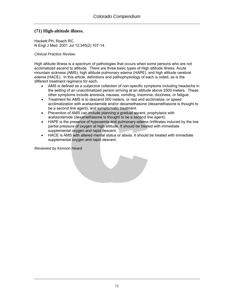# **(71) High-altitude illness.**

Hackett PH, Roach RC. N Engl J Med. 2001 Jul 12;345(2):107-14.

*Clinical Practice Review* 

High altitude illness is a spectrum of pathologies that occurs when some persons who are not acclimatized ascend to altitude. There are three basic types of High altitude illness: Acute mountain sickness (AMS), high altitude pulmonary edema (HAPE), and high altitude cerebral edema (HACE). In this article, definitions and pathophysiology of each is noted, as is the different treatment regimens for each.

- AMS is defined as a *subjective* collection of non-specific symptoms including headache in the setting of an unacclimatized person arriving at an altitude above 2500 meters. These other symptoms include anorexia, nausea, vomiting, insomnia, dizziness, or fatigue.
- Treatment for AMS is to descend 500 meters, or rest and acclimatize, or speed acclimatization with acetazolamide and/or dexamethasone (dexamethasone is thought to be a second line agent), and symptomatic treatment.
- Prevention of AMS can include planning a gradual ascent, prophylaxis with acetazolamide (dexamethasone is thought to be a second line agent).
- HAPE is the presence of hypoxemia and pulmonary edema /infiltrates induced by the low partial pressure of oxygen at high altitude. It should be treated with immediate supplemental oxygen and rapid descent.
- HACE is AMS with altered mental status or ataxia. It should be treated with immediate supplemental oxygen and rapid descent.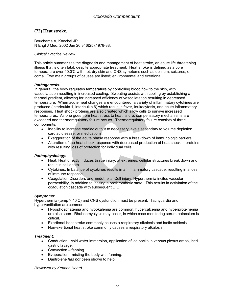# **(72) Heat stroke.**

Bouchama A, Knochel JP. N Engl J Med. 2002 Jun 20;346(25):1978-88.

#### *Clinical Practice Review*

This article summarizes the diagnosis and management of heat stroke, an acute life threatening illness that is often fatal, despite appropriate treatment. Heat stroke is defined as a core temperature over 40.0℃ with hot, dry skin and CNS symptoms such as delirium, seizures, or coma. Two main groups of causes are listed; environmental and exertional.

#### *Pathogenesis:*

In general, the body regulates temperature by controlling blood flow to the skin, with vasodilatation resulting in increased cooling. Sweating assists with cooling by establishing a thermal gradient, allowing for increased efficiency of vasodilatation resulting in decreased temperature. When acute heat changes are encountered, a variety of inflammatory cytokines are produced (interleukin 1, interleukin 6) which result in fever, leukocytosis, and acute inflammatory responses. Heat shock proteins are also created which allow cells to survive increased temperatures. As one goes from heat stress to heat failure, compensatory mechanisms are exceeded and thermoregulatory failure occurs. Thermoregulatory failure consists of three components:

- Inability to increase cardiac output to necessary levels secondary to volume depletion, cardiac disease, or medications.
- Exaggeration of the acute phase response with a breakdown of immunologic barriers.
- Alteration of the heat shock response with decreased production of heat shock proteins with resulting loss of protection for individual cells.

#### *Pathophysiology:*

- Heat: Heat directly induces tissue injury; at extremes, cellular structures break down and result in cell death.
- Cytokines: Imbalance of cytokines results in an inflammatory cascade, resulting in a loss of immune response.
- Coagulation Disorders and Endothelial Cell injury: Hyperthermia incites vascular permeability, in addition to inciting a prothrombotic state. This results in activiation of the coagulation cascade with subsequent DIC.

#### *Symptoms:*

Hyperthermia (temp > 40℃) and CNS dysfunction must be present. Tachycardia and hyperventilation are common.

- Hypophosphatemia and hypokalemia are common; hypercalcemia and hyperproteinemia are also seen. Rhabdomyolysis may occur, in which case monitoring serum potassium is critical.
- Exertional heat stroke commonly causes a respiratory alkalosis and lactic acidosis.
- Non-exertional heat stroke commonly causes a respiratory alkalosis.

#### *Treatment:*

- Conduction cold water immersion, application of ice packs in venous plexus areas, iced gastric lavage.
- Convection fanning.
- Evaporation misting the body with fanning.
- Dantrolene *has not* been shown to help.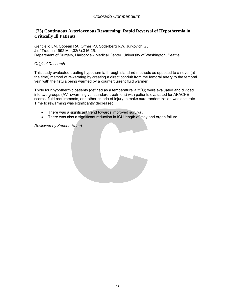## **(73) Continuous Arteriovenous Rewarming: Rapid Reversal of Hypothermia in Critically Ill Patients.**

Gentilello LM, Cobean RA, Offner PJ, Soderberg RW, Jurkovich GJ. J of Trauma 1992 Mar;32(3):316-25. Department of Surgery, Harborview Medical Center, University of Washington, Seattle.

#### *Original Research*

This study evaluated treating hypothermia through standard methods as opposed to a novel (at the time) method of rewarming by creating a direct conduit from the femoral artery to the femoral vein with the fistula being warmed by a countercurrent fluid warmer.

Thirty four hypothermic patients (defined as a temperature < 35◦ C) were evaluated and divided into two groups (AV rewarming vs. standard treatment) with patients evaluated for APACHE scores, fluid requirements, and other criteria of injury to make sure randomization was accurate. Time to rewarming was significantly decreased.

- There was a significant trend towards improved survival.
- There was also a significant reduction in ICU length of stay and organ failure.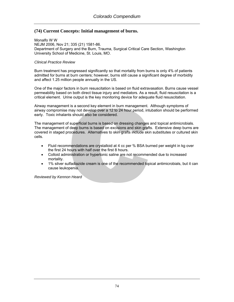## **(74) Current Concepts: Initial management of burns.**

Monalfo W W NEJM 2006, Nov 21; 335 (21) 1581-86. Department of Surgery and the Burn, Trauma, Surgical Critical Care Section, Washington University School of Medicine, St. Louis, MO.

#### *Clinical Practice Review*

Burn treatment has progressed significantly so that mortality from burns is only 4% of patients admitted for burns at burn centers; however, burns still cause a significant degree of morbidity and affect 1.25 million people annually in the US.

One of the major factors in burn resuscitation is based on fluid extravasation. Burns cause vessel permeability based on both direct tissue injury and mediators. As a result, fluid resuscitation is a critical element. Urine output is the key monitoring device for adequate fluid resuscitation.

Airway management is a second key element in burn management. Although symptoms of airway compromise may not develop over a 12 to 24 hour period, intubation should be performed early. Toxic inhalants should also be considered.

The management of superficial burns is based on dressing changes and topical antimicrobials. The management of deep burns is based on excisions and skin grafts. Extensive deep burns are covered in staged procedures. Alternatives to skin grafts include skin substitutes or cultured skin cells.

- Fluid recommendations are crystalloid at 4 cc per % BSA burned per weight in kg over the first 24 hours with half over the first 8 hours.
- Colloid administration or hypertonic saline are not recommended due to increased mortality.
- 1% silver sulfadiazide cream is one of the recommended topical antimicrobials, but it can cause leukopenia.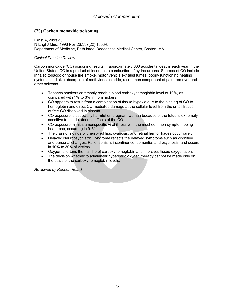# **(75) Carbon monoxide poisoning.**

[Ernst A,](http://www.ncbi.nlm.nih.gov/entrez/query.fcgi?db=pubmed&cmd=Search&itool=pubmed_Abstract&term=%22Ernst+A%22%5BAuthor%5D) [Zibrak JD](http://www.ncbi.nlm.nih.gov/entrez/query.fcgi?db=pubmed&cmd=Search&itool=pubmed_Abstract&term=%22Zibrak+JD%22%5BAuthor%5D). N Engl J Med. 1998 Nov 26;339(22):1603-8. Department of Medicine, Beth Israel Deaconess Medical Center, Boston, MA.

### *Clinical Practice Review*

Carbon monoxide (CO) poisoning results in approximately 600 accidental deaths each year in the United States. CO is a product of incomplete combustion of hydrocarbons. Sources of CO include inhaled tobacco or house fire smoke, motor vehicle exhaust fumes, poorly functioning heating systems, and skin absorption of methylene chloride, a common component of paint remover and other solvents.

- Tobacco smokers commonly reach a blood carboxyhemoglobin level of 10%, as compared with 1% to 3% in nonsmokers.
- CO appears to result from a combination of tissue hypoxia due to the binding of CO to hemoglobin and direct CO-mediated damage at the cellular level from the small fraction of free CO dissolved in plasma.
- CO exposure is especially harmful on pregnant woman because of the fetus is extremely sensitive to the deleterious effects of the CO.
- CO exposure mimics a nonspecific viral illness with the most common symptom being headache, occurring in 91%.
- The classic findings of cherry-red lips, cyanosis, and retinal hemorrhages occur rarely.
- Delayed Neuropsychiatric Syndrome reflects the delayed symptoms such as cognitive and personal changes, Parkinsonism, incontinence, dementia, and psychosis, and occurs in 10% to 30% of victims.
- Oxygen shortens the half-life of carboxyhemoglobin and improves tissue oxygenation.
- The decision whether to administer hyperbaric oxygen therapy cannot be made only on the basis of the carboxyhemoglobin levels.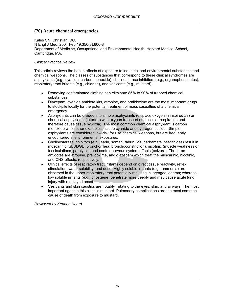# **(76) Acute chemical emergencies.**

[Kales SN,](http://www.ncbi.nlm.nih.gov/entrez/query.fcgi?db=pubmed&cmd=Search&itool=pubmed_Abstract&term=%22Kales+SN%22%5BAuthor%5D) [Christiani DC](http://www.ncbi.nlm.nih.gov/entrez/query.fcgi?db=pubmed&cmd=Search&itool=pubmed_Abstract&term=%22Christiani+DC%22%5BAuthor%5D). N Engl J Med. 2004 Feb 19;350(8):800-8 Department of Medicine, Occupational and Environmental Health, Harvard Medical School, Cambridge, MA.

#### *Clinical Practice Review*

This article reviews the health effects of exposure to industrial and environmental substances and chemical weapons. The classes of substances that correspond to these clinical syndromes are asphyxiants (e.g., cyanide, carbon monoxide), cholinesterase inhibitors (e.g., organophosphates), respiratory tract irritants (e.g., chlorine), and vesicants (e.g., mustard).

- Removing contaminated clothing can eliminate 85% to 90% of trapped chemical substances.
- Diazepam, cyanide antidote kits, atropine, and pralidoxime are the most important drugs to stockpile locally for the potential treatment of mass casualties of a chemical emergency.
- Asphyxiants can be divided into simple asphyxiants (displace oxygen in inspired air) or chemical asphyxiants (interfere with oxygen transport and cellular respiration and therefore cause tissue hypoxia). The most common chemical asphyxiant is carbon monoxide while other examples include cyanide and hydrogen sulfide. Simple asphyxiants are considered low-risk for use chemical weapons, but are frequently encountered in environmental exposures.
- Cholinesterase inhibitors (e.g., sarin, soman, tabun, VX, carbamate insecticides) result in muscarinic (SLUDGE, bronchorrhea, bronchoconstriction), nicotinic (muscle weakness or fasciculations, paralysis), and central nervous system effects (seizure). The three antidotes are atropine, pralidoxime, and diazepam which treat the muscarinic, nicotinic, and CNS effects, respectively.
- Clinical effects of respiratory tract irritants depend on direct tissue reactivity, reflex stimulation, water solubility, and dose. Highly soluble irritants (e.g., ammonia) are absorbed in the upper respiratory tract potentially resulting in laryngeal edema; whereas, low soluble irritants (e.g., phosgene) penetrate more deeply and may cause acute lung injury with a delayed onset.
- Vesicants and skin caustics are notably irritating to the eyes, skin, and airways. The most important agent in this class is mustard. Pulmonary complications are the most common cause of death from exposure to mustard.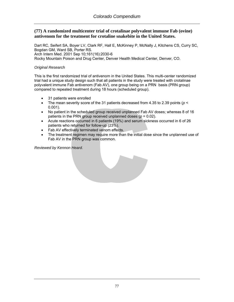## **(77) A randomized multicenter trial of crotalinae polyvalent immune Fab (ovine) antivenom for the treatment for crotaline snakebite in the United States.**

[Dart RC](http://www.ncbi.nlm.nih.gov/entrez/query.fcgi?db=pubmed&cmd=Search&itool=pubmed_Abstract&term=%22Dart+RC%22%5BAuthor%5D), [Seifert SA,](http://www.ncbi.nlm.nih.gov/entrez/query.fcgi?db=pubmed&cmd=Search&itool=pubmed_Abstract&term=%22Seifert+SA%22%5BAuthor%5D) [Boyer LV](http://www.ncbi.nlm.nih.gov/entrez/query.fcgi?db=pubmed&cmd=Search&itool=pubmed_Abstract&term=%22Boyer+LV%22%5BAuthor%5D), [Clark RF](http://www.ncbi.nlm.nih.gov/entrez/query.fcgi?db=pubmed&cmd=Search&itool=pubmed_Abstract&term=%22Clark+RF%22%5BAuthor%5D), [Hall E,](http://www.ncbi.nlm.nih.gov/entrez/query.fcgi?db=pubmed&cmd=Search&itool=pubmed_Abstract&term=%22Hall+E%22%5BAuthor%5D) [McKinney P,](http://www.ncbi.nlm.nih.gov/entrez/query.fcgi?db=pubmed&cmd=Search&itool=pubmed_Abstract&term=%22McKinney+P%22%5BAuthor%5D) [McNally J](http://www.ncbi.nlm.nih.gov/entrez/query.fcgi?db=pubmed&cmd=Search&itool=pubmed_Abstract&term=%22McNally+J%22%5BAuthor%5D), [Kitchens CS](http://www.ncbi.nlm.nih.gov/entrez/query.fcgi?db=pubmed&cmd=Search&itool=pubmed_Abstract&term=%22Kitchens+CS%22%5BAuthor%5D), [Curry SC,](http://www.ncbi.nlm.nih.gov/entrez/query.fcgi?db=pubmed&cmd=Search&itool=pubmed_Abstract&term=%22Curry+SC%22%5BAuthor%5D) [Bogdan GM](http://www.ncbi.nlm.nih.gov/entrez/query.fcgi?db=pubmed&cmd=Search&itool=pubmed_Abstract&term=%22Bogdan+GM%22%5BAuthor%5D), [Ward SB,](http://www.ncbi.nlm.nih.gov/entrez/query.fcgi?db=pubmed&cmd=Search&itool=pubmed_Abstract&term=%22Ward+SB%22%5BAuthor%5D) [Porter RS](http://www.ncbi.nlm.nih.gov/entrez/query.fcgi?db=pubmed&cmd=Search&itool=pubmed_Abstract&term=%22Porter+RS%22%5BAuthor%5D). Arch Intern Med. 2001 Sep 10;161(16):2030-6 Rocky Mountain Poison and Drug Center, Denver Health Medical Center, Denver, CO.

### *Original Research*

This is the first randomized trial of antivenom in the United States. This multi-center randomized trial had a unique study design such that all patients in the study were treated with crotalinae polyvalent immune Fab antivenom (Fab AV), one group being on a PRN basis (PRN group) compared to repeated treatment during 18 hours (scheduled group).

- 31 patients were enrolled
- The mean severity score of the 31 patients decreased from 4.35 to 2.39 points ( $p <$ 0.001).
- No patient in the scheduled group received unplanned Fab AV doses; whereas 8 of 16 patients in the PRN group received unplanned doses  $(p = 0.02)$ .
- Acute reactions occurred in 6 patients (19%) and serum sickness occurred in 6 of 26 patients who returned for follow-up (23%).
- Fab AV effectively terminated venom effects.
- The treatment regimen may require more than the initial dose since the unplanned use of Fab AV in the PRN group was common.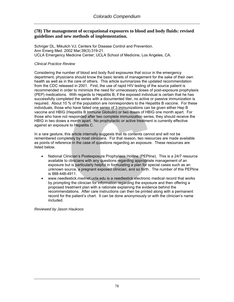### **(78) The management of occupational exposures to blood and body fluids: revised guidelines and new methods of implementation.**

Schriger DL, Mikulich VJ; Centers for Disease Control and Prevention. Ann Emerg Med. 2002 Mar;39(3):319-21. UCLA Emergency Medicine Center; UCLA School of Medicine, Los Angeles, CA.

#### *Clinical Practice Review*

Considering the number of blood and body fluid exposures that occur in the emergency department, physicians should know the basic tenets of management for the sake of their own health as well as in the care of others. This article summarizes the updated recommendation from the CDC released in 2001. First, the use of rapid HIV testing of the source patient is recommended in order to minimize the need for unnecessary doses of post-exposure prophylaxis (PEP) medications. With regards to Hepatitis B, if the exposed individual is certain that he has successfully completed the series with a documented titer, no active or passive immunization is required. About 10 % of the population are nonresponders to the Hepatitis B vaccine. For these individuals, those who have failed one series of 3 immunizations can be given either Hep B vaccine and HBIG (Hepatitis B Immune Globulin) or two doses of HBIG one month apart. For those who have not responded after two complete immunization series, they should receive the HBIG in two doses a month apart. No prophylactic or active treatment is currently effective against an exposure to Hepatitis C.

In a rare gesture, this article internally suggests that its contents cannot and will not be remembered completely by most clinicians. For that reason, two resources are made available as points of reference in the case of questions regarding an exposure. These resources are listed below.

- National Clinician's Postexposure Prophylaxis Hotline (PEPline). This is a 24/7 resource available to clinicians with any questions regarding appropriate management of an exposure but is particularly helpful in formulating a plan for special cases such as an unknown source, a pregnant exposed clinician, and so forth. The number of this PEPline is 888-448-4911.
- www.needlestick.mednet.ucla.edu is a needlestick electronic medical record that works by prompting the clinician for information regarding the exposure and then offering a proposed treatment plan with a rationale explaining the evidence behind the recommendations. After care instructions can then be printed along with a permanent record for the patient's chart. It can be done anonymously or with the clinician's name included.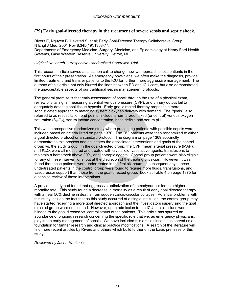## **(79) Early goal-directed therapy in the treatment of severe sepsis and septic shock.**

Rivers E, Nguyen B, Havstad S, et al; Early Goal-Directed Therapy Collaborative Group. N Engl J Med. 2001 Nov 8;345(19):1368-77. Departments of Emergency Medicine, Surgery, Medicine, and Epidemiology at Henry Ford Health Systems, Case Western Reserve University, Detroit, MI

### *Original Research - Prospective Randomized Controlled Trial*

This research article served as a clarion call to change how we approach septic patients in the first hours of their presentation. As emergency physicians, we often make the diagnosis, provide limited treatment, and transfer patients to the ICU for further, more aggressive management. The authors of this article not only blurred the lines between ED and ICU care, but also demonstrated the unacceptable aspects of our traditional sepsis management protocols.

The general premise is that early assessment of shock through the use of a physical exam, review of vital signs, measuring a central venous pressure (CVP), and urinary output fail to adequately detect global tissue hypoxia. Early goal directed therapy proposes a more sophisticated approach to matching systemic oxygen delivery with demand. The "goals", also referred to as resuscitation end points, include a normalized mixed (or central) venous oxygen saturation  $(S<sub>cy</sub>O<sub>2</sub>)$ , serum lactate concentration, base deficit, and serum pH.

This was a prospective randomized study where presenting patients with possible sepsis were included based on criteria listed on page 1370. The 263 patients were then randomized to either a goal directed protocol or a standard protocol. The diagram on page 1369 succinctly demonstrates this process and delineates the associated interventions and goals of the control group vs. the study group. In the goal-directed group, the CVP, mean arterial pressure (MAP), and  $S_{\rm cv}O_2$  were all measured and treated with crystalloid, vasoactive agents, transfusions to maintain a hematocrit above 30%, and inotropic agents. Control group patients were also eligible for any of these interventions, but at the discretion of the treating physician. However, it was found that these patients were undertreated in the first six hours. In subsequent days, these undertreated patients in the control group were found to require more fluids, transfusions, and vasopressor support than those from the goal-directed group. Look at Table 4 on page 1375 for a concise review of these interventions.

A previous study had found that aggressive optimization of hemodynamics led to a higher mortality rate. This study found a decrease in mortality as a result of early goal directed therapy with a near 50% decline in deaths from sudden cardiovascular collapse. Potential problems with this study include the fact that as this study occurred at a single institution, the control group may have started receiving a more goal directed approach and the investigators supervising the goal directed group were not blinded. However, upon admission to the ICU, the clinicians were blinded to the goal directed vs. control status of the patients. This article has spurred an abundance of ongoing research concerning the specific role that we, as emergency physicians, play in the early management of sepsis. We have included this article since it has served as a foundation for further research and clinical practice modifications. A search of the literature will find more recent articles by Rivers and others which build further on the basic premises of this study.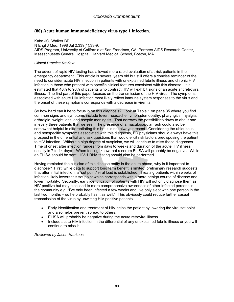## **(80) Acute human immunodeficiency virus type 1 infection.**

Kahn JO, Walker BD. N Engl J Med. 1998 Jul 2;339(1):33-9. AIDS Program, University of California at San Francisco, CA; Partners AIDS Research Center, Massachusetts General Hospital, Harvard Medical School, Boston, MA

#### *Clincal Practice Review*

The advent of rapid HIV testing has allowed more rapid evaluation of at-risk patients in the emergency department. This article is several years old but still offers a concise reminder of the need to consider acute HIV infection in patients with unexplained febrile illness and chronic HIV infection in those who present with specific clinical features consistent with this disease. It is estimated that 40% to 90% of patients who contract HIV will exhibit signs of an acute antiretroviral illness. The first part of this paper focuses on the transmission of the HIV virus. The symptoms associated with acute HIV infection most likely reflect immune system responses to the virus and the onset of these symptoms corresponds with a decrease in viremia.

So how hard can it be to focus in on this diagnosis? Look at Table 1 on page 35 where you find common signs and symptoms include fever, headache, lymphademopathy, pharyngitis, myalgia, arthralgia, weight loss, and aseptic meningitis. That narrows the possibilities down to about one in every three patients that we see. The presence of a maculopapular rash could also be somewhat helpful in differentiating this but it is not always present. Considering the ubiquitous and nonspecific symptoms associated with this diagnosis, ED physicians should always have this prospect in the differential and ask questions that would elicit risk factors predisposing the patient to HIV infection. Without a high degree of suspicion, we will continue to miss these diagnoses. Time of onset after infection ranges from days to weeks and duration of the acute HIV illness usually is 7 to 14 days. When testing, know that a serum ELISA will probably be negative. While an ELISA should be sent, HIV-1 RNA testing should also be performed.

Having reminded the clinician of this disease entity in the acute phase, why is it important to diagnose? First, while data to support long term benefit is limited, preliminary research suggests that after initial infection, a "set point" viral load is established. Treating patients within weeks of infection likely lowers this set point which corresponds with a more benign course of disease and lower mortality. Secondly, early identification of patients with HIV will not only diagnose them as HIV positive but may also lead to more comprehensive awareness of other infected persons in the community e.g. "I've only been infected a few weeks and I've only slept with one person in the last two months – so he probably has it as well." This obviously could reduce further casual transmission of the virus by unwitting HIV positive patients.

- Early identification and treatment of HIV helps the patient by lowering the viral set point and also helps prevent spread to others.
- ELISA will probably be negative during the acute retroviral illness.
- Include acute HIV infection in the differential of any unexplained febrile illness or you will continue to miss it.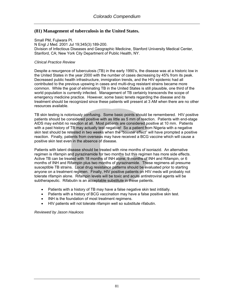## **(81) Management of tuberculosis in the United States.**

Small PM, Fujiwara PI. N Engl J Med. 2001 Jul 19;345(3):189-200. Division of Infectious Diseases and Geographic Medicine, Stanford University Medical Center, Stanford, CA; New York City Department of Public Health, NY.

#### *Clinical Practice Review*

Despite a resurgence of tuberculosis (TB) in the early 1990's, the disease was at a historic low in the United States in the year 2000 with the number of cases decreasing by 45% from its peak. Decreased public health infrastructure, immigration trends, and the HIV epidemic had all contributed to the previous upswing in cases and multi-drug resistant strains became more common. While the goal of eliminating TB in the United States is still plausible, one third of the world population is currently infected. Management of TB certainly transcends the scope of emergency medicine practice. However, some basic tenets regarding the disease and its treatment should be recognized since these patients will present at 3 AM when there are no other resources available.

TB skin testing is notoriously confusing. Some basic points should be remembered. HIV positive patients should be considered positive with as little as 5 mm of reaction. Patients with end-stage AIDS may exhibit no reaction at all. Most patients are considered positive at 10 mm. Patients with a past history of TB may actually test negative! So a patient from Nigeria with a negative skin test should be retested in two weeks when the "booster effect" will have prompted a positive reaction. Finally, patients from overseas may have received a BCG vaccine which will cause a positive skin test even in the absence of disease.

Patients with latent disease should be treated with nine months of isoniazid. An alternative regimen is rifampin and pyrazinamide for two months but this regimen has more side effects. Active TB can be treated with 18 months of INH alone, 9 months of INH and Rifampin, or 6 months of INH and Rifampin plus two months of pyrazinamide. These regimens all presume susceptible TB strains. Local drug resistance patterns should be evaluated prior to starting anyone on a treatment regimen. Finally, HIV positive patients on HIV meds will probably not tolerate rifampin alone. Rifampin levels will be toxic and acute antiretroviral agents will be subtherapeutic. Rifabutin is an acceptable substitute in these patients.

- Patients with a history of TB may have a false negative skin test intitially.
- Patients with a history of BCG vaccination may have a false positive skin test.
- INH is the foundation of most treatment regimens.
- HIV patients will not tolerate rifampin well so substitute rifabutin.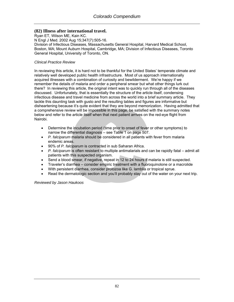## **(82) Illness after international travel.**

Ryan ET, Wilson ME, Kain KC.

N Engl J Med. 2002 Aug 15;347(7):505-16.

Division of Infectious Diseases, Massachusetts General Hospital, Harvard Medical School, Boston, MA; Mount Auburn Hospital, Cambridge, MA; Division of Infectious Diseases, Toronto General Hospital, University of Toronto, ON.

### *Clinical Practice Review*

In reviewing this article, it is hard not to be thankful for the United States' temperate climate and relatively well developed public health infrastructure. Most of us approach internationally acquired illnesses with a combination of curiosity and bewilderment. We're happy if we remember the details of malaria and order a peripheral smear but what other things lurk out there? In reviewing this article, the original intent was to quickly run through all of the diseases discussed. Unfortunately, that is essentially the structure of the article itself, condensing infectious disease and travel medicine from across the world into a brief summary article. They tackle this daunting task with gusto and the resulting tables and figures are informative but disheartening because it's quite evident that they are beyond memorization. Having admitted that a comprehensive review will be impossible in this page, be satisfied with the summary notes below and refer to the article itself when that next patient arrives on the red-eye flight from Nairobi.

- Determine the incubation period (time prior to onset of fever or other symptoms) to narrow the differential diagnosis – see Table 1 on page 507.
- *P. falciparum* malaria should be considered in all patients with fever from malaria endemic areas.
- 90% of *P. falciparum* is contracted in sub Saharan Africa.
- *P. falciparum* is often resistant to multiple antimalarials and can be rapidly fatal admit all patients with this suspected organism.
- Send a blood smear, if negative, repeat in 12 to 24 hours if malaria is still suspected.
- Traveler's diarrhea consider empiric treatment with a fluoroquinolone or a macrolide
- With persistent diarrhea, consider protozoa like G. lamblia or tropical sprue.
- Read the dermatologic section and you'll probably stay out of the water on your next trip.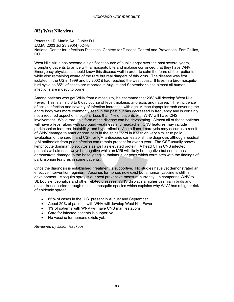### **(83) West Nile virus.**

Petersen LR, Marfin AA, Gubler DJ. JAMA. 2003 Jul 23;290(4):524-8. National Center for Infectious Diseases, Centers for Disease Control and Prevention, Fort Collins, CO

West Nile Virus has become a significant source of public angst over the past several years, prompting patients to arrive with a mosquito bite and malaise convinced that they have WNV. Emergency physicians should know this disease well in order to calm the fears of their patients while also remaining aware of the rare but real dangers of this virus. The disease was first isolated in the US in 1999 and by 2002 it had reached the west coast. It lives in a bird-mosquitobird cycle so 85% of cases are reported in August and September since almost all human infections are mosquito borne.

Among patients who get WNV from a mosquito, it's estimated that 20% will develop West Nile Fever. This is a mild 3 to 6 day course of fever, malaise, anorexia, and nausea. The incidence of active infection and severity of infection increases with age. A maculopapular rash covering the entire body was more commonly seen in the past but has decreased in frequency and is certainly not a required aspect of infection. Less than 1% of patients with WNV will have CNS involvement. While rare, this form of the disease can be devastating. Almost all of these patients will have a fever along with profound weakness and headache. CNS features may include parkinsonian features, instability, and hyporeflexia. Acute flaccid paralysis may occur as a result of WNV damage to anterior horn cells in the spinal cord in a fashion very similar to polio. Evaluation of the serum and CSF for IgM antibodies can establish the diagnosis although residual IgM antibodies from prior infection can remain present for over a year. The CSF usually shows lymphocyte dominant pleocytosis as well as elevated protein. A head CT in CNS infected patients will almost always be negative while an MRI will likely be negative but sometimes demonstrate damage to the basal ganglia, thalamus, or pons which correlates with the findings of parkinsonian features in some patients.

Once the diagnosis is established, treatment is supportive. No studies have yet demonstrated an effective intervention regimen. Vaccines for horses now exist but a human vaccine is still in development. Mosquito spray is our best preventive measure currently. In comparing WNV to St. Louis encephalitis and other related diseases, WNV displays a higher viremia in birds and easier transmission through multiple mosquito species which explains why WNV has a higher risk of epidemic spread.

- 85% of cases in the U.S. present in August and September.
- About 20% of patients with WNV will develop West Nile Fever.
- 1% of patients with WNV will have CNS manifestations.
- Care for infected patients is supportive.
- No vaccine for humans exists yet.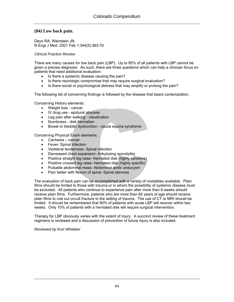### **(84) Low back pain.**

Deyo RA, Weinstein JN. N Engl J Med. 2001 Feb 1;344(5):363-70.

#### *Clinical Practice Review*

There are many causes for low back pain (LBP). Up to 85% of all patients with LBP cannot be given a precise diagnosis. As such, there are three questions which can help a clinician focus on patients that need additional evaluation:

- Is there a systemic disease causing the pain?
- Is there neurologic compromise that may require surgical evaluation?
- Is there social or psychological distress that may amplify or prolong the pain?

The following list of concerning findings is followed by the disease that bears contemplation.

Concerning History elements:

- Weight loss cancer
- IV drug use epidural abscess
- Leg pain after walking claudication
- Numbness disk herniation
- Bowel or bladder dysfunction cauda equina syndrome

Concerning Physical Exam elements:

- Cachexia cancer
- Fever- Spinal infection
- Vertebral tenderness- Spinal infection
- Decreased chest expansion- Ankylosing spondylitis
- Positive straight leg raise- Herniated disk (highly sensitive)
- Positive crossed leg raise-Herniated disk (highly specific)
- Pulsatile abdominal mass- Abdominal aortic aneurysm
- Pain better with flexion of spine- Spinal stenosis

The evaluation of back pain can be accomplished with a variety of modalities available. Plain films should be limited to those with trauma or in whom the possibility of systemic disease must be excluded. All patients who continue to experience pain after more than 6 weeks should receive plain films. Furthermore, patients who are more than 65 years of age should receive plain films to rule out occult fracture in the setting of trauma. The use of CT or MRI should be limited. It should be remembered that 90% of patients with acute LBP will recover within two weeks. Only 10% of patients with a herniated disk will require surgical intervention.

Therapy for LBP obviously varies with the extent of injury. A succinct review of these treatment regimens is reviewed and a discussion of prevention of future injury is also included.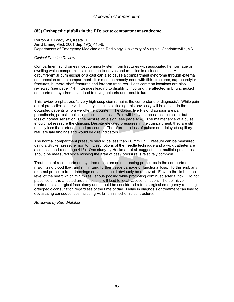# **(85) Orthopedic pitfalls in the ED: acute compartment syndrome.**

Perron AD, Brady WJ, Keats TE. Am J Emerg Med. 2001 Sep;19(5):413-6. Departments of Emergency Medicine and Radiology, University of Virginia, Charlottesville, VA

#### *Clinical Practice Review*

Compartment syndromes most commonly stem from fractures with associated hemorrhage or swelling which compromises circulation to nerves and muscles in a closed space. A circumferential burn eschar or a cast can also cause a compartment syndrome through external compression on the compartment. It is most commonly seen with tibial fractures, supracondylar fractures, humeral shaft fractures and forearm fractures. Less common locations are also reviewed (see page 414). Besides leading to disablility involving the affected limb, unchecked compartment syndrome can lead to myoglobinuria and renal failure.

This review emphasizes "a very high suspicion remains the cornerstone of diagnosis". While pain out of proportion to the visible injury is a classic finding, this obviously will be absent in the obtunded patients whom we often encounter. The classic five P's of diagnosis are pain, paresthesia, paresis, pallor, and pulselessness. Pain will likely be the earliest indicator but the loss of normal sensation is the most reliable sign (see page 414). The maintenance of a pulse should not reassure the clinician. Despite elevated pressures in the compartment, they are still usually less than arterial blood pressures. Therefore, the loss of pulses or a delayed capillary refill are late findings and would be dire indicators.

The normal compartment pressure should be less than 20 mm Hg. Pressure can be measured using a Stryker pressure monitor. Descriptions of the needle technique and a wick catheter are also described (see page 415). One study by Heckman et al. suggests that multiple pressures should be measured since missing the area of peak pressure is relatively common.

Treatment of a compartment syndrome centers on decreasing pressures in the compartment, maximizing blood flow, and minimizing further tissue damage or functional loss. To this end, any external pressure from dressings or casts should obviously be removed. Elevate the limb to the level of the heart which minimizes venous pooling while promoting continued arterial flow. Do not place ice on the affected area since this will lead to local vasoconstriction. The definitive treatment is a surgical fasciotomy and should be considered a true surgical emergency requiring orthopedic consultation regardless of the time of day. Delay in diagnosis or treatment can lead to devastating consequences including Volkmann's ischemic contracture.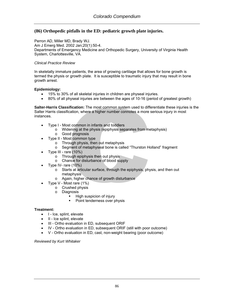# **(86) Orthopedic pitfalls in the ED: pediatric growth plate injuries.**

Perron AD, Miller MD, Brady WJ. Am J Emerg Med. 2002 Jan;20(1):50-4. Departments of Emergency Medicine and Orthopedic Surgery, University of Virginia Health System, Charlottesville, VA.

#### *Clinical Practice Review*

In skeletally immature patients, the area of growing cartilage that allows for bone growth is termed the physis or growth plate. It is susceptible to traumatic injury that may result in bone growth arrest.

#### **Epidemiology:**

- 15% to 30% of all skeletal injuries in children are physeal injuries.
- 80% of all physeal injuries are between the ages of 10-16 (period of greatest growth)

**Salter-Harris Classification:** The most common system used to differentiate these injuries is the Salter Harris classification, where a higher number connotes a more serious injury in most instances.

- Type I Most common in infants and toddlers
	- o Widening at the physis (epiphysis separates from metaphysis)
	- o Good prognosis
- Type II Most common type
	- o Through physis, then out metaphysis
	- o Segment of metaphyseal bone is called "Thurston Holland" fragment
- Type III rare (10%)
	- o Through epiphysis then out physis
	- o Chance for disturbance of blood supply
- Type IV- rare  $(10%)$ 
	- o Starts at articular surface, through the epiphysis, physis, and then out metaphysis
	- o Again, higher chance of growth disturbance
	- Type V Most rare (1%)
		- o Crushed physis
			- o Diagnosis
				- **High suspicion of injury** 
					- Point tenderness over physis

#### **Treatment:**

- I Ice, splint, elevate
- II Ice splint, elevate
- III Ortho evaluation in ED, subsequent ORIF
- IV Ortho evaluation in ED, subsequent ORIF (still with poor outcome)
- V Ortho evaluation in ED, cast, non-weight bearing (poor outcome)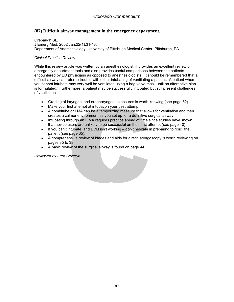# **(87) Difficult airway management in the emergency department.**

Orebaugh SL. J Emerg Med. 2002 Jan;22(1):31-48. Department of Anesthesiology, University of Pittsbugh Medical Center, Pittsburgh, PA.

### *Clinical Practice Review*

While this review article was written by an anesthesiologist, it provides an excellent review of emergency department tools and also provides useful comparisons between the patients encountered by ED physicians as opposed to anesthesiologists. It should be remembered that a difficult airway can refer to trouble with either intubating of ventilating a patient. A patient whom you cannot intubate may very well be ventilated using a bag valve mask until an alternative plan is formulated. Furthermore, a patient may be successfully intubated but still present challenges of ventilation.

- Grading of laryngeal and oropharyngeal exposures is worth knowing (see page 32).
- Make your first attempt at intubation your best attempt.
- A combitube or LMA can be a temporizing measure that allows for ventilation and then creates a calmer environment as you set up for a definitive surgical airway.
- Intubating through an ILMA requires practice ahead of time since studies have shown that novice users are unlikely to be successful on their first attempt (see page 40).
- If you can't intubate, and BVM isn't working don't hesitate in preparing to "cric" the patient (see page 35).
- A comprehensive review of blades and aids for direct laryngoscopy is worth reviewing on pages 35 to 38.
- A basic review of the surgical airway is found on page 44.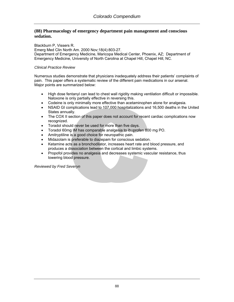### **(88) Pharmacology of emergency department pain management and conscious sedation.**

Blackburn P, Vissers R. Emerg Med Clin North Am. 2000 Nov;18(4):803-27. Department of Emergency Medicine, Maricopa Medical Center, Phoenix, AZ; Department of Emergency Medicine, University of North Carolina at Chapel Hill, Chapel Hill, NC.

### *Clinical Practice Review*

Numerous studies demonstrate that physicians inadequately address their patients' complaints of pain. This paper offers a systematic review of the different pain medications in our arsenal. Major points are summarized below:

- High dose fentanyl can lead to chest wall rigidity making ventilation difficult or impossible. Naloxone is only partially effective in reversing this.
- Codeine is only minimally more effective than acetaminophen alone for analgesia.
- NSAID GI complications lead to 107,000 hospitalizations and 16,500 deaths in the United States annually.
- The COX II section of this paper does not account for recent cardiac complications now recognized.
- Toradol should never be used for more than five days.
- Toradol 60mg IM has comparable analgesia to ibuprofen 800 mg PO.
- Amitryptiline is a good choice for neuropathic pain.
- Midazolam is preferable to diazepam for conscious sedation.
- Ketamine acts as a bronchodilator, increases heart rate and blood pressure, and produces a dissociation between the cortical and limbic systems.
- Propofol provides no analgesia and decreases systemic vascular resistance, thus lowering blood pressure.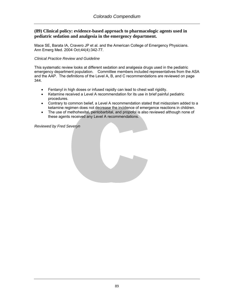## **(89) Clinical policy: evidence-based approach to pharmacologic agents used in pediatric sedation and analgesia in the emergency department.**

Mace SE, Barata IA, Cravero JP et al. and the American College of Emergency Physicians. Ann Emerg Med. 2004 Oct;44(4):342-77.

### *Clinical Practice Review and Guideline*

This systematic review looks at different sedation and analgesia drugs used in the pediatric emergency department population. Committee members included representatives from the ASA and the AAP. The definitions of the Level A, B, and C recommendations are reviewed on page 344.

- Fentanyl in high doses or infused rapidly can lead to chest wall rigidity.
- Ketamine received a Level A recommendation for its use in brief painful pediatric procedures.
- Contrary to common belief, a Level A recommendation stated that midazolam added to a ketamine regimen does not decrease the incidence of emergence reactions in children.
- The use of methohexital, pentobarbital, and propofol is also reviewed although none of these agents received any Level A recommendations.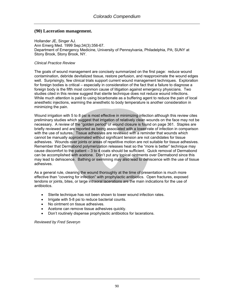### **(90) Laceration management.**

Hollander JE, Singer AJ. Ann Emerg Med. 1999 Sep;34(3):356-67. Department of Emergency Medicine, University of Pennsylvania, Philadelphia, PA; SUNY at Stony Brook, Stony Brook, NY.

#### *Clinical Practice Review*

The goals of wound management are concisely summarized on the first page: reduce wound contamination, debride devitalized tissue, restore perfusion, and reapproximate the wound edges well. Surprisingly, few clinical trials support current wound management techniques. Exploration for foreign bodies is critical – especially in consideration of the fact that a failure to diagnose a foreign body is the fifth most common cause of litigation against emergency physicians. Two studies cited in this review suggest that sterile technique does not reduce wound infections. While much attention is paid to using bicarbonate as a buffering agent to reduce the pain of local anesthetic injections, warming the anesthetic to body temperature is another consideration in minimizing the pain.

Wound irrigation with 5 to 8 psi is most effective in minimizing infection although this review cites preliminary studies which suggest that irrigation of relatively clean wounds on the face may not be necessary. A review of the "golden period" of wound closure is found on page 361. Staples are briefly reviewed and are reported as being associated with a lower rate of infection in comparison with the use of sutures. Tissue adhesives are reviewed with a reminder that wounds which cannot be manually approximated without significant tension are not candidates for tissue adhesives. Wounds over joints or areas of repetitive motion are not suitable for tissue adhesives. Remember that Dermabond polymerization releases heat so the "more is better" technique may cause discomfort to the patient – 3 to 4 coats should be sufficient. Quick removal of Dermabond can be accomplished with acetone. Don't put any topical ointments over Dermabond since this may lead to dehiscence. Bathing or swimming may also lead to dehiscence with the use of tissue adhesives.

As a general rule, cleaning the wound thoroughly at the time of presentation is much more effective than "covering for infection" with prophylactic antibiotics. Open fractures, exposed tendons or joints, bites, or large intraoral lacerations are the main indications for the use of antibiotics.

- Sterile technique has not been shown to lower wound infection rates.
- Irrigate with 5-8 psi to reduce bacterial counts.
- No ointment on tissue adhesives.
- Acetone can remove tissue adhesives quickly.
- Don't routinely dispense prophylactic antibiotics for lacerations.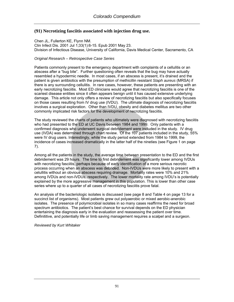# **(91) Necrotizing fasciitis associated with injection drug use.**

Chen JL, Fullerton KE, Flynn NM. Clin Infect Dis. 2001 Jul 1;33(1):6-15. Epub 2001 May 23. Division of Infectious Disease, University of California, Davis Medical Center, Sacramento, CA

### *Original Research – Retrospective Case Series*

Patients commonly present to the emergency department with complaints of a cellulitis or an abscess after a "bug bite". Further questioning often reveals that the bug may have actually resembled a hypodermic needle. In most cases, if an abscess is present, it's drained and the patient is given antibiotics with the presumption of methicillin resistant *Staph aureus* (MRSA) if there is any surrounding cellulitis. In rare cases, however, these patients are presenting with an early necrotizing fasciitis. Most ED clinicians would agree that necrotizing fasciitis is one of the scariest disease entities since it often appears benign until it has caused extensive underlying damage. This article not only offers a review of necrotizing fasciitis but also specifically focuses on those cases resulting from IV drug use (IVDU). The ultimate diagnosis of necrotizing fasciitis involves a surgical exploration. Other than IVDU, obesity and diabetes mellitus are two other commonly implicated risk factors for the development of necrotizing fasciitis.

The study reviewed the charts of patients who ultimately were diagnosed with necrotizing fasciitis who had presented to the ED at UC Davis between 1984 and 1999. Only patients with a confirmed diagnosis who underwent surgical debridement were included in the study. IV drug use (IVDA) was determined through chart review. Of the 107 patients included in the study, 55% were IV drug users. Interestingly, while the study period extended from 1984 to 1999, the incidence of cases increased dramatically in the latter half of the nineties (see Figure 1 on page 7).

Among all the patients in the study, the average time between presentation to the ED and the first debridement was 29 hours. The time to first debridement was significantly lower among IVDUs with necrotizing fasciitis, perhaps because of early identification of a more serious necrotic process occurring when an abscess was debrided. Non-IVDUs were more likely to present with a celullitis without an obvious abscess requiring drainage. Mortality rates were 10% and 21% among IVDUs and non-IVDUs, respectively. The lower mortality rate among IVDU's is potentially explained by the more aggressive management in this population. This is lower than other case series where up to a quarter of all cases of necrotizing fasciitis prove fatal.

An analysis of the bacteriologic isolates is discussed (see page 8 and Table 4 on page 13 for a succinct list of organisms). Most patients grew out polyaerobic or mixed aerobic-anerobic isolates. The presence of polymicrobial isolates in so many cases reaffirms the need for broad spectrum antibiotics. The patient's best chance for survival depends on the ED physician entertaining the diagnosis early in the evaluation and reassessing the patient over time. Definititive, and potentially life or limb saving management requires a scalpel and a surgeon.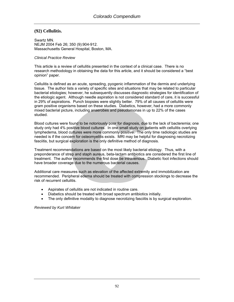# **(92) Cellulitis.**

Swartz MN. NEJM 2004 Feb 26; 350 (9):904-912. Massachusetts General Hospital, Boston, MA.

#### *Clinical Practice Review*

This article is a review of cellulitis presented in the context of a clinical case. There is no research methodology in obtaining the data for this article, and it should be considered a "best opinion" paper.

Cellulitis is defined as an acute, spreading, pyogenic inflammation of the dermis and underlying tissue. The author lists a variety of specific sites and situations that may be related to particular bacterial etiologies; however, he subsequently discusses diagnostic strategies for identification of the etiologic agent. Although needle aspiration is not considered standard of care, it is successful in 29% of aspirations. Punch biopsies were slightly better. 79% of all causes of cellulitis were gram positive organisms based on these studies. Diabetics, however, had a more commonly mixed bacterial picture, including anaerobes and pseudomonas in up to 22% of the cases studied.

Blood cultures were found to be notoriously poor for diagnosis, due to the lack of bacteremia; one study only had 4% positive blood cultures. In one small study on patients with cellulitis overlying lymphedema, blood cultures were more commonly positive. The only time radiologic studies are needed is if the concern for osteomyelitis exists. MRI may be helpful for diagnosing necrotizing fasciitis, but surgical exploration is the only definitive method of diagnosis.

Treatment recommendations are based on the most likely bacterial etiology. Thus, with a preponderance of strep and staph aureus, beta-lactam antibiotics are considered the first line of treatment. The author recommends the first dose be intravenous. Diabetic foot infections should have broader coverage due to the numerous bacterial causes.

Additional care measures such as elevation of the affected extremity and immobilization are recommended. Peripheral edema should be treated with compression stockings to decrease the risk of recurrent cellulitis.

- Aspirates of cellulitis are not indicated in routine care.
- Diabetics should be treated with broad spectrum antibiotics initially.
- The only definitive modality to diagnose necrotizing fasciitis is by surgical exploration.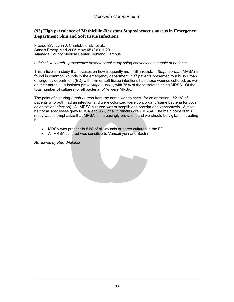## **(93) High prevalence of Methicillin-Resistant Staphylococcus aureus in Emergency Department Skin and Soft tissue Infections.**

Frazee BW, Lynn J, Charlebois ED, et al.. Annals Emerg Med 2005 May; 45 (3):311-20. Alameda County Medical Center Highland Campus

#### *Original Research - prospective observational study using convenience sample of patients*

This article is a study that focuses on how frequently methicillin-resistant *Staph aureus* (MRSA) is found in common wounds in the emergency department. 137 patients presented to a busy urban emergency department (ED) with skin or soft tissue infections had those wounds cultured, as well as their nares; 119 isolates grew *Staph aureus,* with 75% of these isolates being MRSA. Of the total number of cultures (of all bacteria) 51% were MRSA.

The point of culturing *Staph aureus* from the nares was to check for colonization. 52.1% of patients who both had an infection and were colonized were concordant (same bacteria for both colonization/infection). All MRSA cultured was susceptible to bactrim and vancomycin. Almost half of all abscesses grew MRSA and 95% of all furuncles grew MRSA. The main point of this study was to emphasize that MRSA is increasingly prevalent and we should be vigilant in treating it.

- MRSA was present in 51% of all wounds or nares cultured in the ED.
- All MRSA cultured was sensitive to Vancomycin and Bactrim..

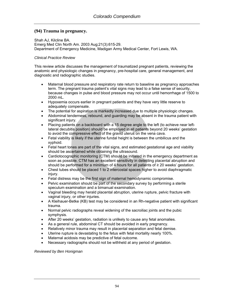# **(94) Trauma in pregnancy.**

[Shah AJ,](http://www.ncbi.nlm.nih.gov/entrez/query.fcgi?db=pubmed&cmd=Search&itool=pubmed_Abstract&term=%22Shah+AJ%22%5BAuthor%5D) [Kilcline BA](http://www.ncbi.nlm.nih.gov/entrez/query.fcgi?db=pubmed&cmd=Search&itool=pubmed_Abstract&term=%22Kilcline+BA%22%5BAuthor%5D). Emerg Med Clin North Am. 2003 Aug;21(3):615-29. Department of Emergency Medicine, Madigan Army Medical Center, Fort Lewis, WA.

### *Clinical Practice Review*

This review article discusses the management of traumatized pregnant patients, reviewing the anatomic and physiologic changes in pregnancy, pre-hospital care, general management, and diagnostic and radiographic studies.

- Maternal blood pressure and respiratory rate return to baseline as pregnancy approaches term. The pregnant trauma patient's vital signs may lead to a false sense of security, because changes in pulse and blood pressure may not occur until hemorrhage of 1500 to 2000 mL.
- Hypoxemia occurs earlier in pregnant patients and they have very little reserve to adequately compensate.
- The potential for aspiration is markedly increased due to multiple physiologic changes.
- Abdominal tenderness, rebound, and guarding may be absent in the trauma patient with significant injury.
- Placing patients on a backboard with a 15 degree angle to the left (to achieve near leftlateral decubitis position) should be employed in all patients beyond 20 weeks' gestation to avoid the compressive effect of the gravid uterus on the vena cava.
- Fetal viability is likely if the uterine fundal height is between the umbilicus and the xyphoid.
- Fetal heart tones are part of the vital signs, and estimated gestational age and viability should be ascertained while obtaining the ultrasound.
- Cardiotocographic monitoring (CTM) should be initiated in the emergency department as soon as possible. CTM has an excellent sensitivity in detecting placental abruption and should be performed for a minimum of 4 hours for all patients of  $\geq$  20 weeks' gestation.
- Chest tubes should be placed 1 to 2 intercostal spaces higher to avoid diaphragmatic injury.
- Fetal distress may be the first sign of maternal hemodynamic compromise.
- Pelvic examination should be part of the secondary survey by performing a sterile speculum examination and a bimanual examination.
- Vaginal bleeding may herald placental abruption, uterine rupture, pelvic fracture with vaginal injury, or other injuries.
- A Kleihauer-Betke (KB) test may be considered in an Rh-negative patient with significant trauma.
- Normal pelvic radiographs reveal widening of the sacroiliac joints and the pubic symphysis.
- After 20 weeks' gestation, radiation is unlikely to cause any fetal anomalies.
- As a general rule, abdominal CT should be avoided in early pregnancy.
- Relatively minor trauma may result in placental separation and fetal demise.
- Uterine rupture is devastating to the fetus with fetal mortality nearly 100%.
- Maternal acidosis may be predictive of fetal outcome.
- Necessary radiographs should not be withheld at any period of gestation.

#### *Reviewed by Ben Honigman*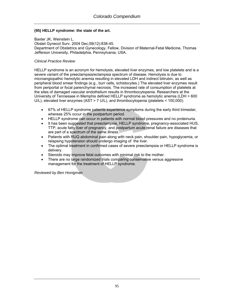### **(95) HELLP syndrome: the state of the art.**

[Baxter JK](http://www.ncbi.nlm.nih.gov/entrez/query.fcgi?db=pubmed&cmd=Search&itool=pubmed_Abstract&term=%22Baxter+JK%22%5BAuthor%5D), [Weinstein L](http://www.ncbi.nlm.nih.gov/entrez/query.fcgi?db=pubmed&cmd=Search&itool=pubmed_Abstract&term=%22Weinstein+L%22%5BAuthor%5D). Obstet Gynecol Surv. 2004 Dec;59(12):838-45. Department of Obstetrics and Gynecology, Fellow, Division of Maternal-Fetal Medicine, Thomas Jefferson University, Philadelphia, Pennsylvania, USA.

#### *Clinical Practice Review*

HELLP syndrome is an acronym for hemolysis, elevated liver enzymes, and low platelets and is a severe variant of the preeclampsia/eclampsia spectrum of disease. Hemolysis is due to microangiopathic hemolytic anemia resulting in elevated LDH and indirect bilirubin, as well as peripheral blood smear findings (e.g., burr cells, schistocytes.) The elevated liver enzymes result from periportal or focal parenchymal necrosis. The increased rate of consumption of platelets at the sites of damaged vascular endothelium results in thrombocytopenia. Researchers at the University of Tennessee in Memphis defined HELLP syndrome as hemolytic anemia (LDH > 600 U/L), elevated liver enzymes (AST > 7 U/L), and thrombocytopenia (platelets < 100,000).

- 67% of HELLP syndrome patients experience symptoms during the early third trimester, whereas 25% occur in the postpartum period.
- HELLP syndrome can occur in patients with normal blood pressures and no proteinuria.
- It has been suggested that preeclampsia, HELLP syndrome, pregnancy-associated HUS, TTP, acute fatty liver of pregnancy, and postpartum acute renal failure are diseases that are part of a spectrum of the same illness.
- Patients with RUQ abdominal pain along with neck pain, shoulder pain, hypoglycemia, or relapsing hypotension should undergo imaging of the liver.
- The optimal treatment in confirmed cases of severe preeclampsia or HELLP syndrome is delivery.
- Steroids may improve fetal outcomes with minimal risk to the mother.
- There are no large randomized trials comparing conservative versus aggressive management for the treatment of HELLP syndrome.

*Reviewed by Ben Honigman*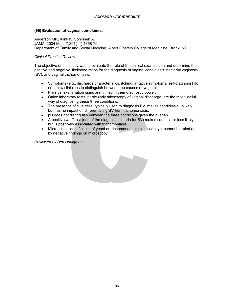### **(96) Evaluation of vaginal complaints.**

[Anderson MR](http://www.ncbi.nlm.nih.gov/entrez/query.fcgi?db=pubmed&cmd=Search&itool=pubmed_Abstract&term=%22Anderson+MR%22%5BAuthor%5D), [Klink K,](http://www.ncbi.nlm.nih.gov/entrez/query.fcgi?db=pubmed&cmd=Search&itool=pubmed_Abstract&term=%22Klink+K%22%5BAuthor%5D) [Cohrssen A.](http://www.ncbi.nlm.nih.gov/entrez/query.fcgi?db=pubmed&cmd=Search&itool=pubmed_Abstract&term=%22Cohrssen+A%22%5BAuthor%5D) JAMA. 2004 Mar 17;291(11):1368-79. Department of Family and Social Medicine, Albert Einstein College of Medicine, Bronx, NY.

#### *Clinical Practice Review*

The objective of this study was to evaluate the role of the clinical examination and determine the positive and negative likelihood ratios for the diagnosis of vaginal candidiasis, bacterial vaginosis (BV), and vaginal trichomoniasis.

- Symptoms (e.g., discharge characteristics, itching, irritative symptoms, self-diagnosis) do not allow clinicians to distinguish between the causes of vaginitis.
- Physical examination signs are limited in their diagnostic power.
- Office laboratory tests, particularly microscopy of vaginal discharge, are the most useful way of diagnosing these three conditions.
- The presence of clue cells, typically used to diagnosis BV, makes candidiasis unlikely, but has no impact on differentiating BV from trichomoniasis.
- pH does not distinguish between the three conditions given the overlap.
- A positive whiff test (one of the diagnostic criteria for BV) makes candidiasis less likely, but is positively associated with trichomoniasis.
- Microscopic identification of yeast or trichomonads is diagnostic; yet cannot be ruled out by negative findings on microscopy.

*Reviewed by Ben Honigman*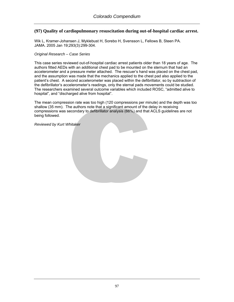## **(97) Quality of cardiopulmonary resuscitation during out-of-hospital cardiac arrest.**

Wik L, Kramer-Johansen J, Myklebust H, Sorebo H, Svensson L, Fellows B, Steen PA. JAMA. 2005 Jan 19;293(3):299-304.

#### *Original Research – Case Series*

This case series reviewed out-of-hospital cardiac arrest patients older than 18 years of age. The authors fitted AEDs with an additional chest pad to be mounted on the sternum that had an accelerometer and a pressure meter attached. The rescuer's hand was placed on the chest pad, and the assumption was made that the mechanics applied to the chest pad also applied to the patient's chest. A second accelerometer was placed within the defibrillator, so by subtraction of the defibrillator's accelerometer's readings, only the sternal pads movements could be studied. The researchers examined several outcome variables which included ROSC, "admitted alive to hospital", and "discharged alive from hospital".

The mean compression rate was too high (120 compressions per minute) and the depth was too shallow (35 mm). The authors note that a significant amount of the delay in receiving compressions was secondary to defibrillator analysis (66%) and that ACLS guidelines are not being followed.

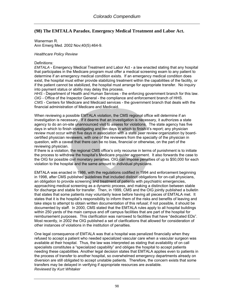# **(98) The EMTALA Paradox. Emergency Medical Treatment and Labor Act.**

Wanerman R. Ann Emerg Med. 2002 Nov;40(5):464-9.

#### *Healthcare Policy Review*

#### Definitions:

*EMTALA* - Emergency Medical Treatment and Labor Act - a law enacted stating that any hospital that participates in the Medicare program must offer a medical screening exam to any patient to determine if an emergency medical condition exists. If an emergency medical condition does exist, the hospital must either provide stabilizing treatment within the capabilities of the facility, or if the patient cannot be stabilized, the hospital must arrange for appropriate transfer. No inquiry into payment status or ability may delay this process.

*HHS* - Department of Health and Human Services - the enforcing government branch for this law. *OIG* - Office of the Inspector General - the compliance and enforcement branch of HHS. *CMS* - Centers for Medicare and Medicaid services - the government branch that deals with the financial administration of Medicare and Medicaid.

When reviewing a possible EMTALA violation, the CMS regional office will determine if an investigation is necessary. If it deems that an investigation is necessary, it authorizes a state agency to do an on-site unannounced visit to assess for violations. The state agency has five days in which to finish investigating and ten days in which to finish it's report; any physician review must occur within five days in association with a state peer review organization by boardcertified physician reviewers, with one of the reviewers from the specialty of the physician in question, with a caveat that there can be no bias, financial or otherwise, on the part of the reviewing physician.

If there is a violation, the regional CMS office's only recourse in terms of punishment is to initiate the process to withdraw the hospital's Medicare provider agreement. It also forwards the case to the OIG for possible civil monetary penalties. OIG can impose penalties of up to \$50,000 for each violation to the hospital and the same amount to individual physicians.

EMTALA was enacted in 1986, with the regulations codified in 1994 and enforcement beginning in 1998, after CMS published guidelines that included distinct obligations for on-call physicians, an obligation to provide screening and treatment of patients with psychiatric emergencies, approaching medical screening as a dynamic process, and making a distinction between stable for discharge and stable for transfer. Then, in 1999, CMS and the OIG jointly published a bulletin that states that some patients may voluntarily leave before having all pieces of EMTALA met. It states that it is the hospital's responsibility to inform them of the risks and benefits of leaving and take steps to attempt to obtain written documentation of this refusal; if not possible, it should be documented by staff. In 2000, CMS stated that the EMTALA rules apply to all hospital buildings within 250 yards of the main campus and off campus facilities that are part of the hospital for reimbursement purposes. This clarification was narrowed to facilities that have "dedicated EDs". Most recently, in 2002 the OIG published a set of clarifications that allowed for consideration of other instances of violations in the institution of penalties.

One legal consequence of EMTALA was that a hospital was penalized financially when they refused to accept a patient who needed specialized vascular care when a vascular surgeon was available at their hospital. Thus, the law was interpreted as stating that availability of on call specialists constitutes a "specialized capability" and obliges the hospital to accept patients needing these capabilities. Another legal decision states that EMTALA applies even to patients in the process of transfer to another hospital, so overwhelmed emergency departments already on diversion are still obligated to accept unstable patients. Therefore, the concern exists that some transfers may be delayed in verifying if appropriate resources are available. *Reviewed by Kurt Whitaker*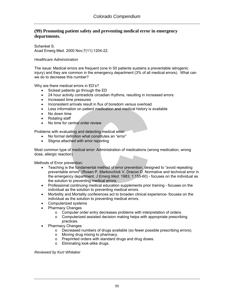# **(99) Promoting patient safety and preventing medical error in emergency departments.**

Schenkel S. Acad Emerg Med. 2000 Nov;7(11):1204-22.

### *Healthcare Administration*

The issue: Medical errors are frequent (one in 50 patients sustains a preventable iatrogenic injury) and they are common in the emergency department (3% of all medical errors). What can we do to decrease this number?

Why are there medical errors in ED's?

- Sickest patients go through the ED
- 24 hour activity contradicts circadian rhythms, resulting in increased errors
- Increased time pressures
- Inconsistent arrivals result in flux of boredom versus overload
- Less information on patient medication and medical history is available
- No down time
- Rotating staff
- No time for central order review

Problems with evaluating and detecting medical error:

- No formal definition what constitutes an "error"
- Stigma attached with error reporting

Most common type of medical error: Administration of medications (wrong medication, wrong dose, allergic reaction)

Methods of Error prevention:

- Teaching is the fundamental method of error prevention, designed to "avoid repeating preventable errors" (Rosen P, Markovchick V, Dracon D. Normative and technical error in the emergency department. *J Emerg Med*. 1983; 1:155-60) - focuses on the individual as the solution to preventing medical errors.
- Professional continuing medical education supplements prior training focuses on the individual as the solution to preventing medical errors.
- Morbidity and Mortality conferences act to broaden clinical experience- focuses on the individual as the solution to preventing medical errors.
- Computerized systems
- Pharmacy Changes
	- o Computer order entry decreases problems with interpretation of orders.
	- o Computerized assisted decision making helps with appropriate prescribing practices.
- Pharmacy Changes
	- o Decreased numbers of drugs available (so fewer possible prescribing errors).
	- o Moving drug mixing to pharmacy.
	- o Preprinted orders with standard drugs and drug doses.
	- o Eliminating look-alike drugs.